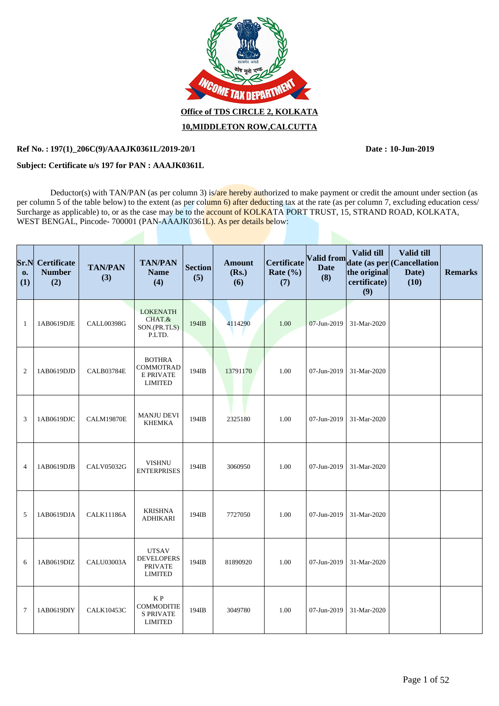

## **Ref No. : Date : 197(1)\_206C(9)/AAAJK0361L/2019-20/1 10-Jun-2019**

## **Subject: Certificate u/s 197 for PAN : AAAJK0361L**

Deductor(s) with TAN/PAN (as per column 3) is/are hereby authorized to make payment or credit the amount under section (as per column 5 of the table below) to the extent (as per column 6) after deducting tax at the rate (as per column 7, excluding education cess/ Surcharge as applicable) to, or as the case may be to the account of KOLKATA PORT TRUST, 15, STRAND ROAD, KOLKATA, WEST BENGAL, Pincode- 700001 (PAN-AAAJK0361L). As per details below:

| Sr.N<br>0.<br>(1) | <b>Certificate</b><br><b>Number</b><br>(2) | <b>TAN/PAN</b><br>(3) | <b>TAN/PAN</b><br><b>Name</b><br>(4)                                    | <b>Section</b><br>(5) | <b>Amount</b><br>(Rs.)<br>(6) | <b>Certificate</b><br>Rate $(\% )$<br>(7) | (8)         | <b>Valid till</b><br>the original<br>certificate)<br>(9) | <b>Valid till</b><br>Valid from date (as per Cancellation<br>Date)<br>(10) | <b>Remarks</b> |
|-------------------|--------------------------------------------|-----------------------|-------------------------------------------------------------------------|-----------------------|-------------------------------|-------------------------------------------|-------------|----------------------------------------------------------|----------------------------------------------------------------------------|----------------|
| $\mathbf{1}$      | 1AB0619DJE                                 | <b>CALL00398G</b>     | <b>LOKENATH</b><br>CHAT.&<br>SON.(PR.TLS)<br>P.LTD.                     | 194IB                 | 4114290                       | 1.00                                      | 07-Jun-2019 | 31-Mar-2020                                              |                                                                            |                |
| $\overline{2}$    | 1AB0619DJD                                 | <b>CALB03784E</b>     | <b>BOTHRA</b><br><b>COMMOTRAD</b><br><b>E PRIVATE</b><br><b>LIMITED</b> | 194IB                 | 13791170                      | 1.00                                      | 07-Jun-2019 | 31-Mar-2020                                              |                                                                            |                |
| 3                 | 1AB0619DJC                                 | <b>CALM19870E</b>     | <b>MANJU DEVI</b><br><b>KHEMKA</b>                                      | 194IB                 | 2325180                       | 1.00                                      | 07-Jun-2019 | 31-Mar-2020                                              |                                                                            |                |
| $\overline{4}$    | 1AB0619DJB                                 | <b>CALV05032G</b>     | <b>VISHNU</b><br><b>ENTERPRISES</b>                                     | 194IB                 | 3060950                       | 1.00                                      | 07-Jun-2019 | 31-Mar-2020                                              |                                                                            |                |
| 5                 | 1AB0619DJA                                 | <b>CALK11186A</b>     | <b>KRISHNA</b><br><b>ADHIKARI</b>                                       | 194IB                 | 7727050                       | 1.00                                      | 07-Jun-2019 | 31-Mar-2020                                              |                                                                            |                |
| 6                 | 1AB0619DIZ                                 | CALU03003A            | <b>UTSAV</b><br><b>DEVELOPERS</b><br><b>PRIVATE</b><br><b>LIMITED</b>   | 194IB                 | 81890920                      | 1.00                                      | 07-Jun-2019 | 31-Mar-2020                                              |                                                                            |                |
| $\overline{7}$    | 1AB0619DIY                                 | <b>CALK10453C</b>     | K P<br><b>COMMODITIE</b><br><b>S PRIVATE</b><br><b>LIMITED</b>          | 194IB                 | 3049780                       | 1.00                                      | 07-Jun-2019 | 31-Mar-2020                                              |                                                                            |                |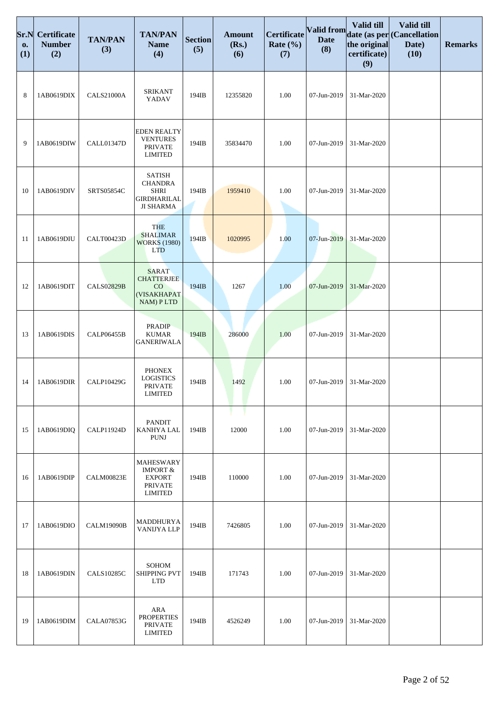| Sr.N<br>0.<br>(1) | <b>Certificate</b><br><b>Number</b><br>(2) | <b>TAN/PAN</b><br>(3) | <b>TAN/PAN</b><br><b>Name</b><br>(4)                                                         | <b>Section</b><br>(5) | <b>Amount</b><br>(Rs.)<br>(6) | Certificate<br>Rate $(\% )$<br>(7) | Valid from<br><b>Date</b><br>(8) | Valid till<br>the original<br>certificate)<br>(9) | Valid till<br>date (as per (Cancellation<br>Date)<br>(10) | <b>Remarks</b> |
|-------------------|--------------------------------------------|-----------------------|----------------------------------------------------------------------------------------------|-----------------------|-------------------------------|------------------------------------|----------------------------------|---------------------------------------------------|-----------------------------------------------------------|----------------|
| 8                 | 1AB0619DIX                                 | <b>CALS21000A</b>     | <b>SRIKANT</b><br>YADAV                                                                      | 194IB                 | 12355820                      | 1.00                               | 07-Jun-2019                      | 31-Mar-2020                                       |                                                           |                |
| 9                 | 1AB0619DIW                                 | <b>CALL01347D</b>     | <b>EDEN REALTY</b><br><b>VENTURES</b><br><b>PRIVATE</b><br><b>LIMITED</b>                    | 194IB                 | 35834470                      | 1.00                               | 07-Jun-2019                      | 31-Mar-2020                                       |                                                           |                |
| 10                | 1AB0619DIV                                 | SRTS05854C            | <b>SATISH</b><br><b>CHANDRA</b><br><b>SHRI</b><br><b>GIRDHARILAL</b><br><b>JI SHARMA</b>     | 194IB                 | 1959410                       | 1.00                               | 07-Jun-2019                      | 31-Mar-2020                                       |                                                           |                |
| 11                | 1AB0619DIU                                 | <b>CALT00423D</b>     | <b>THE</b><br><b>SHALIMAR</b><br><b>WORKS (1980)</b><br><b>LTD</b>                           | 194IB                 | 1020995                       | 1.00                               | 07-Jun-2019                      | 31-Mar-2020                                       |                                                           |                |
| 12                | 1AB0619DIT                                 | <b>CALS02829B</b>     | <b>SARAT</b><br><b>CHATTERJEE</b><br>$\rm CO$<br>(VISAKHAPAT<br>NAM) PLTD                    | 194IB                 | 1267                          | 1.00                               | 07-Jun-2019                      | 31-Mar-2020                                       |                                                           |                |
| 13                | 1AB0619DIS                                 | CALP06455B            | <b>PRADIP</b><br><b>KUMAR</b><br><b>GANERIWALA</b>                                           | 194IB                 | 286000                        | 1.00                               | 07-Jun-2019                      | 31-Mar-2020                                       |                                                           |                |
| 14                | 1AB0619DIR                                 | CALP10429G            | <b>PHONEX</b><br><b>LOGISTICS</b><br>PRIVATE<br><b>LIMITED</b>                               | 194IB                 | 1492                          | 1.00                               | 07-Jun-2019                      | 31-Mar-2020                                       |                                                           |                |
| 15                | 1AB0619DIQ                                 | <b>CALP11924D</b>     | <b>PANDIT</b><br>KANHYA LAL<br><b>PUNJ</b>                                                   | 194IB                 | 12000                         | 1.00                               | 07-Jun-2019                      | 31-Mar-2020                                       |                                                           |                |
| 16                | 1AB0619DIP                                 | <b>CALM00823E</b>     | <b>MAHESWARY</b><br><b>IMPORT &amp;</b><br><b>EXPORT</b><br><b>PRIVATE</b><br><b>LIMITED</b> | 194IB                 | 110000                        | 1.00                               | 07-Jun-2019                      | 31-Mar-2020                                       |                                                           |                |
| 17                | 1AB0619DIO                                 | <b>CALM19090B</b>     | MADDHURYA<br>VANIJYA LLP                                                                     | 194IB                 | 7426805                       | 1.00                               | 07-Jun-2019                      | 31-Mar-2020                                       |                                                           |                |
| 18                | 1AB0619DIN                                 | <b>CALS10285C</b>     | SOHOM<br>SHIPPING PVT<br><b>LTD</b>                                                          | 194IB                 | 171743                        | 1.00                               | 07-Jun-2019                      | 31-Mar-2020                                       |                                                           |                |
| 19                | 1AB0619DIM                                 | <b>CALA07853G</b>     | ARA<br><b>PROPERTIES</b><br><b>PRIVATE</b><br><b>LIMITED</b>                                 | 194IB                 | 4526249                       | 1.00                               | 07-Jun-2019                      | 31-Mar-2020                                       |                                                           |                |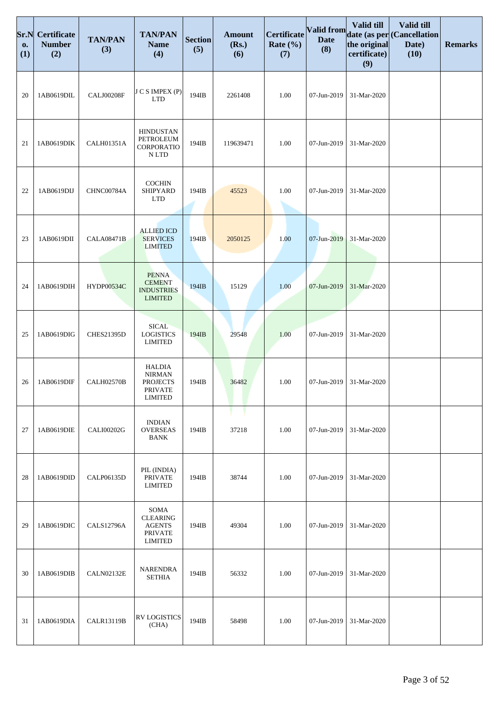| Sr.N<br>0.<br>(1) | <b>Certificate</b><br><b>Number</b><br>(2) | <b>TAN/PAN</b><br>(3) | <b>TAN/PAN</b><br><b>Name</b><br>(4)                                                  | <b>Section</b><br>(5) | <b>Amount</b><br>(Rs.)<br>(6) | <b>Certificate</b><br>Rate $(\% )$<br>(7) | <b>Valid from</b><br><b>Date</b><br>(8) | Valid till<br>the original<br>certificate)<br>(9) | Valid till<br>date (as per (Cancellation<br>Date)<br>(10) | <b>Remarks</b> |
|-------------------|--------------------------------------------|-----------------------|---------------------------------------------------------------------------------------|-----------------------|-------------------------------|-------------------------------------------|-----------------------------------------|---------------------------------------------------|-----------------------------------------------------------|----------------|
| 20                | 1AB0619DIL                                 | CALJ00208F            | J C S IMPEX (P)<br><b>LTD</b>                                                         | 194IB                 | 2261408                       | 1.00                                      | 07-Jun-2019                             | 31-Mar-2020                                       |                                                           |                |
| 21                | 1AB0619DIK                                 | CALH01351A            | <b>HINDUSTAN</b><br>PETROLEUM<br>CORPORATIO<br>N LTD                                  | 194IB                 | 119639471                     | 1.00                                      | 07-Jun-2019                             | 31-Mar-2020                                       |                                                           |                |
| 22                | 1AB0619DIJ                                 | CHNC00784A            | <b>COCHIN</b><br>SHIPYARD<br><b>LTD</b>                                               | 194IB                 | 45523                         | 1.00                                      | 07-Jun-2019                             | 31-Mar-2020                                       |                                                           |                |
| 23                | 1AB0619DII                                 | <b>CALA08471B</b>     | <b>ALLIED ICD</b><br><b>SERVICES</b><br><b>LIMITED</b>                                | 194IB                 | 2050125                       | 1.00                                      | 07-Jun-2019                             | 31-Mar-2020                                       |                                                           |                |
| 24                | 1AB0619DIH                                 | <b>HYDP00534C</b>     | <b>PENNA</b><br><b>CEMENT</b><br><b>INDUSTRIES</b><br><b>LIMITED</b>                  | 194IB                 | 15129                         | 1.00                                      | 07-Jun-2019                             | 31-Mar-2020                                       |                                                           |                |
| 25                | 1AB0619DIG                                 | <b>CHES21395D</b>     | <b>SICAL</b><br><b>LOGISTICS</b><br><b>LIMITED</b>                                    | 194IB                 | 29548                         | 1.00                                      | 07-Jun-2019                             | 31-Mar-2020                                       |                                                           |                |
| 26                | 1AB0619DIF                                 | <b>CALH02570B</b>     | <b>HALDIA</b><br><b>NIRMAN</b><br><b>PROJECTS</b><br><b>PRIVATE</b><br><b>LIMITED</b> | 194IB                 | 36482                         | 1.00                                      | 07-Jun-2019                             | 31-Mar-2020                                       |                                                           |                |
| 27                | 1AB0619DIE                                 | CALI00202G            | <b>INDIAN</b><br><b>OVERSEAS</b><br><b>BANK</b>                                       | 194IB                 | 37218                         | 1.00                                      | 07-Jun-2019                             | 31-Mar-2020                                       |                                                           |                |
| 28                | 1AB0619DID                                 | CALP06135D            | PIL (INDIA)<br><b>PRIVATE</b><br><b>LIMITED</b>                                       | 194IB                 | 38744                         | 1.00                                      | 07-Jun-2019                             | 31-Mar-2020                                       |                                                           |                |
| 29                | 1AB0619DIC                                 | <b>CALS12796A</b>     | SOMA<br><b>CLEARING</b><br><b>AGENTS</b><br><b>PRIVATE</b><br><b>LIMITED</b>          | 194IB                 | 49304                         | 1.00                                      | 07-Jun-2019                             | 31-Mar-2020                                       |                                                           |                |
| 30                | 1AB0619DIB                                 | <b>CALN02132E</b>     | <b>NARENDRA</b><br><b>SETHIA</b>                                                      | 194IB                 | 56332                         | 1.00                                      | 07-Jun-2019                             | 31-Mar-2020                                       |                                                           |                |
| 31                | 1AB0619DIA                                 | <b>CALR13119B</b>     | <b>RV LOGISTICS</b><br>(CHA)                                                          | 194IB                 | 58498                         | 1.00                                      | 07-Jun-2019                             | 31-Mar-2020                                       |                                                           |                |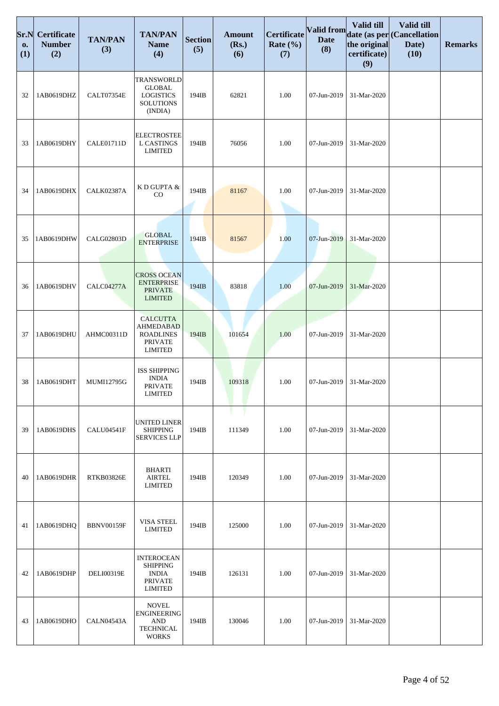| Sr.N<br>0.<br>(1) | <b>Certificate</b><br><b>Number</b><br>(2) | <b>TAN/PAN</b><br>(3) | <b>TAN/PAN</b><br><b>Name</b><br>(4)                                                        | <b>Section</b><br>(5) | <b>Amount</b><br>(Rs.)<br>(6) | Certificate<br>Rate $(\% )$<br>(7) | <b>Valid from</b><br><b>Date</b><br>(8) | <b>Valid till</b><br>the original<br>certificate)<br>(9) | Valid till<br>date (as per (Cancellation<br>Date)<br>(10) | <b>Remarks</b> |
|-------------------|--------------------------------------------|-----------------------|---------------------------------------------------------------------------------------------|-----------------------|-------------------------------|------------------------------------|-----------------------------------------|----------------------------------------------------------|-----------------------------------------------------------|----------------|
| 32                | 1AB0619DHZ                                 | CALT07354E            | <b>TRANSWORLD</b><br><b>GLOBAL</b><br><b>LOGISTICS</b><br><b>SOLUTIONS</b><br>(INDIA)       | 194IB                 | 62821                         | 1.00                               | 07-Jun-2019                             | 31-Mar-2020                                              |                                                           |                |
| 33                | 1AB0619DHY                                 | <b>CALE01711D</b>     | <b>ELECTROSTEE</b><br><b>L CASTINGS</b><br><b>LIMITED</b>                                   | 194IB                 | 76056                         | 1.00                               | 07-Jun-2019                             | 31-Mar-2020                                              |                                                           |                |
| 34                | 1AB0619DHX                                 | <b>CALK02387A</b>     | K D GUPTA &<br>$_{\rm CO}$                                                                  | 194IB                 | 81167                         | 1.00                               | 07-Jun-2019                             | 31-Mar-2020                                              |                                                           |                |
| 35                | 1AB0619DHW                                 | <b>CALG02803D</b>     | <b>GLOBAL</b><br><b>ENTERPRISE</b>                                                          | 194IB                 | 81567                         | 1.00                               | 07-Jun-2019                             | 31-Mar-2020                                              |                                                           |                |
| 36                | 1AB0619DHV                                 | CALC04277A            | <b>CROSS OCEAN</b><br><b>ENTERPRISE</b><br><b>PRIVATE</b><br><b>LIMITED</b>                 | 194IB                 | 83818                         | 1.00                               | 07-Jun-2019                             | 31-Mar-2020                                              |                                                           |                |
| 37                | 1AB0619DHU                                 | AHMC00311D            | <b>CALCUTTA</b><br><b>AHMEDABAD</b><br><b>ROADLINES</b><br><b>PRIVATE</b><br><b>LIMITED</b> | 194IB                 | 101654                        | 1.00                               | 07-Jun-2019                             | 31-Mar-2020                                              |                                                           |                |
| 38                | 1AB0619DHT                                 | MUMI12795G            | <b>ISS SHIPPING</b><br><b>INDIA</b><br><b>PRIVATE</b><br><b>LIMITED</b>                     | 194IB                 | 109318                        | 1.00                               | 07-Jun-2019                             | 31-Mar-2020                                              |                                                           |                |
| 39                | 1AB0619DHS                                 | <b>CALU04541F</b>     | UNITED LINER<br><b>SHIPPING</b><br><b>SERVICES LLP</b>                                      | 194IB                 | 111349                        | 1.00                               | 07-Jun-2019                             | 31-Mar-2020                                              |                                                           |                |
| 40                | 1AB0619DHR                                 | <b>RTKB03826E</b>     | BHARTI<br>AIRTEL<br><b>LIMITED</b>                                                          | 194IB                 | 120349                        | 1.00                               | 07-Jun-2019                             | 31-Mar-2020                                              |                                                           |                |
| 41                | 1AB0619DHQ                                 | <b>BBNV00159F</b>     | <b>VISA STEEL</b><br><b>LIMITED</b>                                                         | 194IB                 | 125000                        | 1.00                               | 07-Jun-2019                             | 31-Mar-2020                                              |                                                           |                |
| 42                | 1AB0619DHP                                 | <b>DELI00319E</b>     | <b>INTEROCEAN</b><br><b>SHIPPING</b><br><b>INDIA</b><br><b>PRIVATE</b><br><b>LIMITED</b>    | 194IB                 | 126131                        | 1.00                               | 07-Jun-2019                             | 31-Mar-2020                                              |                                                           |                |
| 43                | 1AB0619DHO                                 | CALN04543A            | <b>NOVEL</b><br><b>ENGINEERING</b><br>$\mathbf{AND}$<br><b>TECHNICAL</b><br><b>WORKS</b>    | 194IB                 | 130046                        | 1.00                               | 07-Jun-2019                             | 31-Mar-2020                                              |                                                           |                |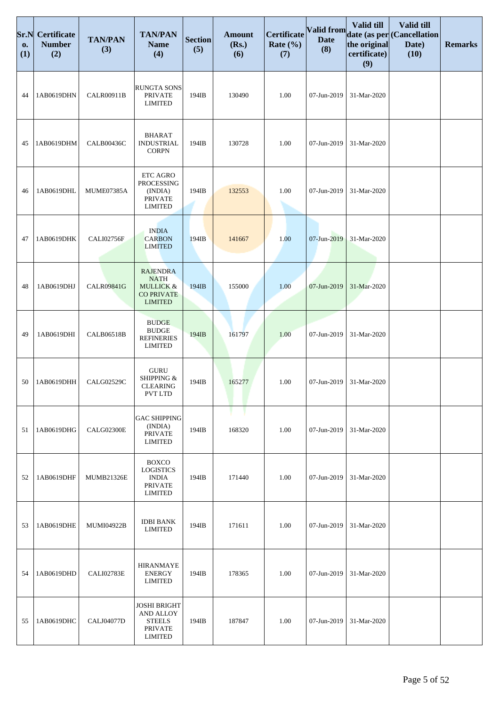| Sr.N<br>0.<br>(1) | <b>Certificate</b><br><b>Number</b><br>(2) | <b>TAN/PAN</b><br>(3) | <b>TAN/PAN</b><br><b>Name</b><br>(4)                                                          | <b>Section</b><br>(5) | <b>Amount</b><br>(Rs.)<br>(6) | Certificate<br>Rate $(\% )$<br>(7) | <b>Valid from</b><br><b>Date</b><br>(8) | Valid till<br>the original<br>certificate)<br>(9) | Valid till<br>date (as per (Cancellation<br>Date)<br>(10) | <b>Remarks</b> |
|-------------------|--------------------------------------------|-----------------------|-----------------------------------------------------------------------------------------------|-----------------------|-------------------------------|------------------------------------|-----------------------------------------|---------------------------------------------------|-----------------------------------------------------------|----------------|
| 44                | 1AB0619DHN                                 | <b>CALR00911B</b>     | <b>RUNGTA SONS</b><br><b>PRIVATE</b><br><b>LIMITED</b>                                        | 194IB                 | 130490                        | 1.00                               | 07-Jun-2019                             | 31-Mar-2020                                       |                                                           |                |
| 45                | 1AB0619DHM                                 | <b>CALB00436C</b>     | <b>BHARAT</b><br><b>INDUSTRIAL</b><br><b>CORPN</b>                                            | 194IB                 | 130728                        | 1.00                               | 07-Jun-2019                             | 31-Mar-2020                                       |                                                           |                |
| 46                | 1AB0619DHL                                 | MUME07385A            | ETC AGRO<br>PROCESSING<br>(INDIA)<br><b>PRIVATE</b><br><b>LIMITED</b>                         | 194IB                 | 132553                        | 1.00                               | 07-Jun-2019                             | 31-Mar-2020                                       |                                                           |                |
| 47                | 1AB0619DHK                                 | <b>CALI02756F</b>     | <b>INDIA</b><br><b>CARBON</b><br><b>LIMITED</b>                                               | 194IB                 | 141667                        | 1.00                               | 07-Jun-2019                             | 31-Mar-2020                                       |                                                           |                |
| 48                | 1AB0619DHJ                                 | <b>CALR09841G</b>     | <b>RAJENDRA</b><br><b>NATH</b><br><b>MULLICK &amp;</b><br><b>CO PRIVATE</b><br><b>LIMITED</b> | 194IB                 | 155000                        | 1.00                               | 07-Jun-2019                             | 31-Mar-2020                                       |                                                           |                |
| 49                | 1AB0619DHI                                 | <b>CALB06518B</b>     | <b>BUDGE</b><br><b>BUDGE</b><br><b>REFINERIES</b><br><b>LIMITED</b>                           | 194IB                 | 161797                        | 1.00                               | 07-Jun-2019                             | 31-Mar-2020                                       |                                                           |                |
| 50                | 1AB0619DHH                                 | CALG02529C            | <b>GURU</b><br>SHIPPING &<br><b>CLEARING</b><br>PVT LTD                                       | 194IB                 | 165277                        | 1.00                               | 07-Jun-2019                             | 31-Mar-2020                                       |                                                           |                |
| 51                | 1AB0619DHG                                 | CALG02300E            | <b>GAC SHIPPING</b><br>(INDIA)<br><b>PRIVATE</b><br><b>LIMITED</b>                            | 194IB                 | 168320                        | 1.00                               | 07-Jun-2019                             | 31-Mar-2020                                       |                                                           |                |
| 52                | 1AB0619DHF                                 | <b>MUMB21326E</b>     | <b>BOXCO</b><br><b>LOGISTICS</b><br><b>INDIA</b><br><b>PRIVATE</b><br><b>LIMITED</b>          | 194IB                 | 171440                        | 1.00                               | 07-Jun-2019                             | 31-Mar-2020                                       |                                                           |                |
| 53                | 1AB0619DHE                                 | <b>MUMI04922B</b>     | <b>IDBI BANK</b><br><b>LIMITED</b>                                                            | 194IB                 | 171611                        | 1.00                               | 07-Jun-2019                             | 31-Mar-2020                                       |                                                           |                |
| 54                | 1AB0619DHD                                 | CALI02783E            | <b>HIRANMAYE</b><br><b>ENERGY</b><br><b>LIMITED</b>                                           | 194IB                 | 178365                        | 1.00                               | 07-Jun-2019                             | 31-Mar-2020                                       |                                                           |                |
| 55                | 1AB0619DHC                                 | <b>CALJ04077D</b>     | <b>JOSHI BRIGHT</b><br><b>AND ALLOY</b><br><b>STEELS</b><br><b>PRIVATE</b><br><b>LIMITED</b>  | 194IB                 | 187847                        | 1.00                               | 07-Jun-2019                             | 31-Mar-2020                                       |                                                           |                |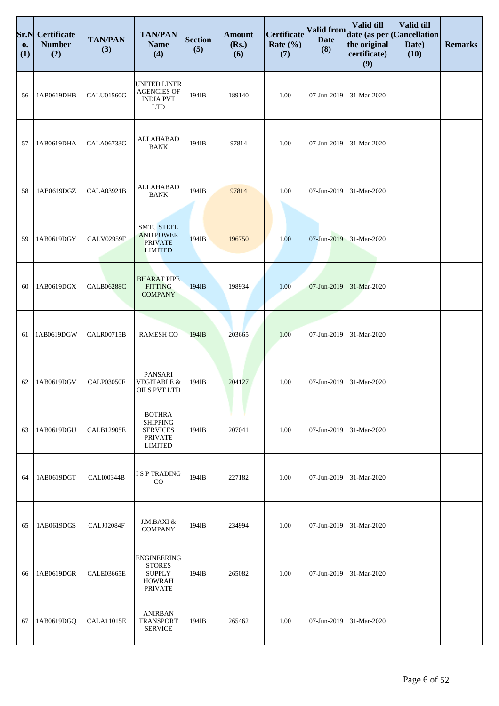| Sr.N<br>0.<br>(1) | Certificate<br><b>Number</b><br>(2) | <b>TAN/PAN</b><br>(3) | <b>TAN/PAN</b><br><b>Name</b><br>(4)                                                    | <b>Section</b><br>(5) | <b>Amount</b><br>(Rs.)<br>(6) | Certificate<br>Rate $(\% )$<br>(7) | Valid from<br><b>Date</b><br>(8) | Valid till<br>the original<br>certificate)<br>(9) | Valid till<br>date (as per (Cancellation<br>Date)<br>(10) | <b>Remarks</b> |
|-------------------|-------------------------------------|-----------------------|-----------------------------------------------------------------------------------------|-----------------------|-------------------------------|------------------------------------|----------------------------------|---------------------------------------------------|-----------------------------------------------------------|----------------|
| 56                | 1AB0619DHB                          | CALU01560G            | <b>UNITED LINER</b><br><b>AGENCIES OF</b><br><b>INDIA PVT</b><br><b>LTD</b>             | 194IB                 | 189140                        | 1.00                               | 07-Jun-2019                      | 31-Mar-2020                                       |                                                           |                |
| 57                | 1AB0619DHA                          | CALA06733G            | <b>ALLAHABAD</b><br><b>BANK</b>                                                         | 194IB                 | 97814                         | 1.00                               | 07-Jun-2019                      | 31-Mar-2020                                       |                                                           |                |
| 58                | 1AB0619DGZ                          | CALA03921B            | ALLAHABAD<br><b>BANK</b>                                                                | 194IB                 | 97814                         | 1.00                               | 07-Jun-2019                      | 31-Mar-2020                                       |                                                           |                |
| 59                | 1AB0619DGY                          | <b>CALV02959F</b>     | <b>SMTC STEEL</b><br><b>AND POWER</b><br><b>PRIVATE</b><br><b>LIMITED</b>               | 194IB                 | 196750                        | 1.00                               | 07-Jun-2019                      | 31-Mar-2020                                       |                                                           |                |
| 60                | 1AB0619DGX                          | <b>CALB06288C</b>     | <b>BHARAT PIPE</b><br><b>FITTING</b><br><b>COMPANY</b>                                  | 194IB                 | 198934                        | 1.00                               | 07-Jun-2019                      | 31-Mar-2020                                       |                                                           |                |
| 61                | 1AB0619DGW                          | <b>CALR00715B</b>     | <b>RAMESH CO</b>                                                                        | 194IB                 | 203665                        | 1.00                               | 07-Jun-2019                      | 31-Mar-2020                                       |                                                           |                |
| 62                | 1AB0619DGV                          | CALP03050F            | PANSARI<br><b>VEGITABLE &amp;</b><br>OILS PVT LTD                                       | 194IB                 | 204127                        | 1.00                               | 07-Jun-2019                      | 31-Mar-2020                                       |                                                           |                |
| 63                | 1AB0619DGU                          | <b>CALB12905E</b>     | <b>BOTHRA</b><br><b>SHIPPING</b><br><b>SERVICES</b><br><b>PRIVATE</b><br><b>LIMITED</b> | 194IB                 | 207041                        | 1.00                               | 07-Jun-2019                      | 31-Mar-2020                                       |                                                           |                |
| 64                | 1AB0619DGT                          | CALI00344B            | <b>ISP TRADING</b><br>$_{\rm CO}$                                                       | 194IB                 | 227182                        | 1.00                               | 07-Jun-2019                      | 31-Mar-2020                                       |                                                           |                |
| 65                | 1AB0619DGS                          | CALJ02084F            | J.M.BAXI &<br><b>COMPANY</b>                                                            | 194IB                 | 234994                        | 1.00                               | 07-Jun-2019                      | 31-Mar-2020                                       |                                                           |                |
| 66                | 1AB0619DGR                          | CALE03665E            | <b>ENGINEERING</b><br><b>STORES</b><br><b>SUPPLY</b><br><b>HOWRAH</b><br><b>PRIVATE</b> | 194IB                 | 265082                        | 1.00                               | 07-Jun-2019                      | 31-Mar-2020                                       |                                                           |                |
| 67                | 1AB0619DGQ                          | <b>CALA11015E</b>     | <b>ANIRBAN</b><br><b>TRANSPORT</b><br><b>SERVICE</b>                                    | 194IB                 | 265462                        | 1.00                               | 07-Jun-2019                      | 31-Mar-2020                                       |                                                           |                |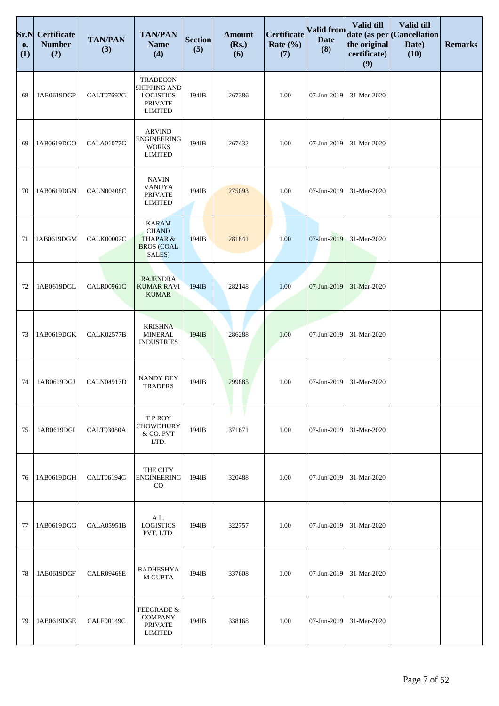| Sr.N<br>0.<br>(1) | <b>Certificate</b><br><b>Number</b><br>(2) | <b>TAN/PAN</b><br>(3) | <b>TAN/PAN</b><br><b>Name</b><br>(4)                                                    | <b>Section</b><br>(5) | <b>Amount</b><br>(Rs.)<br>(6) | Certificate<br>Rate $(\% )$<br>(7) | Valid from<br><b>Date</b><br>(8) | <b>Valid till</b><br>the original<br>certificate)<br>(9) | Valid till<br>date (as per (Cancellation<br>Date)<br>(10) | <b>Remarks</b> |
|-------------------|--------------------------------------------|-----------------------|-----------------------------------------------------------------------------------------|-----------------------|-------------------------------|------------------------------------|----------------------------------|----------------------------------------------------------|-----------------------------------------------------------|----------------|
| 68                | 1AB0619DGP                                 | CALT07692G            | <b>TRADECON</b><br>SHIPPING AND<br><b>LOGISTICS</b><br><b>PRIVATE</b><br><b>LIMITED</b> | 194IB                 | 267386                        | 1.00                               | 07-Jun-2019                      | 31-Mar-2020                                              |                                                           |                |
| 69                | 1AB0619DGO                                 | <b>CALA01077G</b>     | <b>ARVIND</b><br><b>ENGINEERING</b><br><b>WORKS</b><br><b>LIMITED</b>                   | 194IB                 | 267432                        | 1.00                               | 07-Jun-2019                      | 31-Mar-2020                                              |                                                           |                |
| 70                | 1AB0619DGN                                 | CALN00408C            | <b>NAVIN</b><br><b>VANIJYA</b><br><b>PRIVATE</b><br><b>LIMITED</b>                      | 194IB                 | 275093                        | 1.00                               | 07-Jun-2019                      | 31-Mar-2020                                              |                                                           |                |
| 71                | 1AB0619DGM                                 | <b>CALK00002C</b>     | <b>KARAM</b><br><b>CHAND</b><br><b>THAPAR &amp;</b><br><b>BROS</b> (COAL<br>SALES)      | 194IB                 | 281841                        | 1.00                               | 07-Jun-2019                      | 31-Mar-2020                                              |                                                           |                |
| 72                | 1AB0619DGL                                 | <b>CALR00961C</b>     | <b>RAJENDRA</b><br><b>KUMAR RAVI</b><br><b>KUMAR</b>                                    | 194IB                 | 282148                        | 1.00                               | 07-Jun-2019                      | 31-Mar-2020                                              |                                                           |                |
| 73                | 1AB0619DGK                                 | <b>CALK02577B</b>     | <b>KRISHNA</b><br><b>MINERAL</b><br><b>INDUSTRIES</b>                                   | 194IB                 | 286288                        | 1.00                               | 07-Jun-2019                      | 31-Mar-2020                                              |                                                           |                |
| 74                | 1AB0619DGJ                                 | <b>CALN04917D</b>     | <b>NANDY DEY</b><br><b>TRADERS</b>                                                      | 194IB                 | 299885                        | 1.00                               | 07-Jun-2019                      | 31-Mar-2020                                              |                                                           |                |
| 75                | 1AB0619DGI                                 | CALT03080A            | <b>TPROY</b><br><b>CHOWDHURY</b><br>& CO. PVT<br>LTD.                                   | 194IB                 | 371671                        | 1.00                               | 07-Jun-2019                      | 31-Mar-2020                                              |                                                           |                |
| 76                | 1AB0619DGH                                 | CALT06194G            | THE CITY<br><b>ENGINEERING</b><br>CO                                                    | 194IB                 | 320488                        | 1.00                               | 07-Jun-2019                      | 31-Mar-2020                                              |                                                           |                |
| 77                | 1AB0619DGG                                 | CALA05951B            | A.L.<br><b>LOGISTICS</b><br>PVT. LTD.                                                   | 194IB                 | 322757                        | 1.00                               | 07-Jun-2019                      | 31-Mar-2020                                              |                                                           |                |
| 78                | 1AB0619DGF                                 | <b>CALR09468E</b>     | <b>RADHESHYA</b><br><b>M GUPTA</b>                                                      | 194IB                 | 337608                        | 1.00                               | 07-Jun-2019                      | 31-Mar-2020                                              |                                                           |                |
| 79                | 1AB0619DGE                                 | CALF00149C            | <b>FEEGRADE &amp;</b><br><b>COMPANY</b><br><b>PRIVATE</b><br><b>LIMITED</b>             | 194IB                 | 338168                        | 1.00                               | 07-Jun-2019                      | 31-Mar-2020                                              |                                                           |                |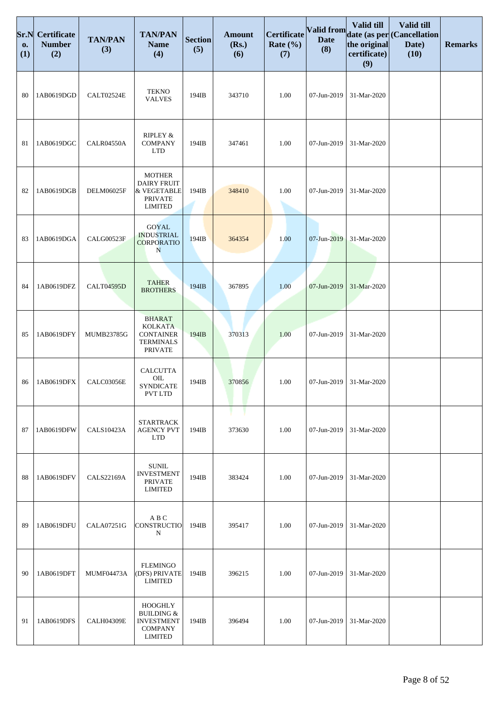| Sr.N<br>0.<br>(1) | <b>Certificate</b><br><b>Number</b><br>(2) | <b>TAN/PAN</b><br>(3) | <b>TAN/PAN</b><br><b>Name</b><br>(4)                                                             | <b>Section</b><br>(5) | <b>Amount</b><br>(Rs.)<br>(6) | Certificate<br>Rate $(\% )$<br>(7) | Valid from<br><b>Date</b><br>(8) | Valid till<br>the original<br>certificate)<br>(9) | Valid till<br>date (as per (Cancellation<br>Date)<br>(10) | <b>Remarks</b> |
|-------------------|--------------------------------------------|-----------------------|--------------------------------------------------------------------------------------------------|-----------------------|-------------------------------|------------------------------------|----------------------------------|---------------------------------------------------|-----------------------------------------------------------|----------------|
| 80                | 1AB0619DGD                                 | CALT02524E            | <b>TEKNO</b><br><b>VALVES</b>                                                                    | 194IB                 | 343710                        | 1.00                               | 07-Jun-2019                      | 31-Mar-2020                                       |                                                           |                |
| 81                | 1AB0619DGC                                 | <b>CALR04550A</b>     | RIPLEY &<br><b>COMPANY</b><br><b>LTD</b>                                                         | 194IB                 | 347461                        | 1.00                               | 07-Jun-2019                      | 31-Mar-2020                                       |                                                           |                |
| 82                | 1AB0619DGB                                 | DELM06025F            | <b>MOTHER</b><br><b>DAIRY FRUIT</b><br>& VEGETABLE<br><b>PRIVATE</b><br><b>LIMITED</b>           | 194IB                 | 348410                        | 1.00                               | 07-Jun-2019                      | 31-Mar-2020                                       |                                                           |                |
| 83                | 1AB0619DGA                                 | CALG00523F            | <b>GOYAL</b><br><b>INDUSTRIAL</b><br><b>CORPORATIO</b><br>N                                      | 194IB                 | 364354                        | 1.00                               | 07-Jun-2019                      | 31-Mar-2020                                       |                                                           |                |
| 84                | 1AB0619DFZ                                 | <b>CALT04595D</b>     | <b>TAHER</b><br><b>BROTHERS</b>                                                                  | 194IB                 | 367895                        | 1.00                               | 07-Jun-2019                      | 31-Mar-2020                                       |                                                           |                |
| 85                | 1AB0619DFY                                 | MUMB23785G            | <b>BHARAT</b><br><b>KOLKATA</b><br><b>CONTAINER</b><br><b>TERMINALS</b><br><b>PRIVATE</b>        | 194IB                 | 370313                        | 1.00                               | 07-Jun-2019                      | 31-Mar-2020                                       |                                                           |                |
| 86                | 1AB0619DFX                                 | CALC03056E            | <b>CALCUTTA</b><br>OIL<br><b>SYNDICATE</b><br>PVT LTD                                            | 194IB                 | 370856                        | 1.00                               | 07-Jun-2019                      | 31-Mar-2020                                       |                                                           |                |
| 87                | 1AB0619DFW                                 | <b>CALS10423A</b>     | <b>STARTRACK</b><br><b>AGENCY PVT</b><br><b>LTD</b>                                              | 194IB                 | 373630                        | 1.00                               | 07-Jun-2019                      | 31-Mar-2020                                       |                                                           |                |
| 88                | 1AB0619DFV                                 | <b>CALS22169A</b>     | <b>SUNIL</b><br><b>INVESTMENT</b><br><b>PRIVATE</b><br><b>LIMITED</b>                            | 194IB                 | 383424                        | 1.00                               | 07-Jun-2019                      | 31-Mar-2020                                       |                                                           |                |
| 89                | 1AB0619DFU                                 | CALA07251G            | A B C<br>CONSTRUCTIO<br>N                                                                        | 194IB                 | 395417                        | 1.00                               | 07-Jun-2019                      | 31-Mar-2020                                       |                                                           |                |
| 90                | 1AB0619DFT                                 | MUMF04473A            | <b>FLEMINGO</b><br>(DFS) PRIVATE<br><b>LIMITED</b>                                               | 194IB                 | 396215                        | 1.00                               | 07-Jun-2019                      | 31-Mar-2020                                       |                                                           |                |
| 91                | 1AB0619DFS                                 | <b>CALH04309E</b>     | <b>HOOGHLY</b><br><b>BUILDING &amp;</b><br><b>INVESTMENT</b><br><b>COMPANY</b><br><b>LIMITED</b> | 194IB                 | 396494                        | 1.00                               | 07-Jun-2019                      | 31-Mar-2020                                       |                                                           |                |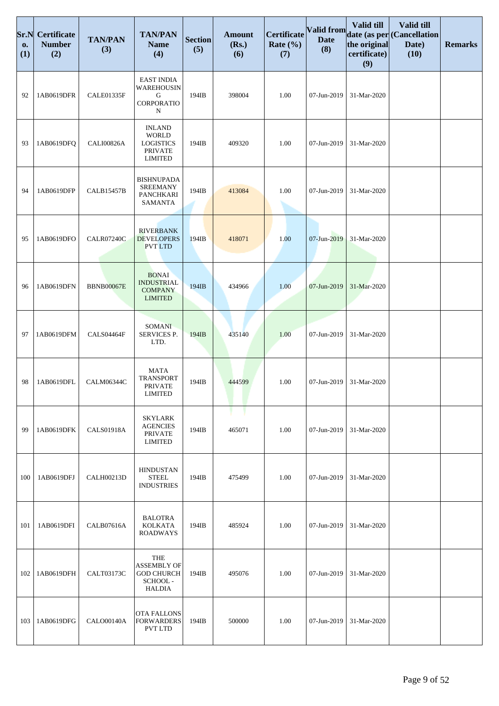| Sr.N<br>0.<br>(1) | <b>Certificate</b><br><b>Number</b><br>(2) | <b>TAN/PAN</b><br>(3) | <b>TAN/PAN</b><br><b>Name</b><br>(4)                                                  | <b>Section</b><br>(5) | <b>Amount</b><br>(Rs.)<br>(6) | Certificate<br>Rate $(\% )$<br>(7) | Valid from<br><b>Date</b><br>(8) | <b>Valid till</b><br>the original<br>certificate)<br>(9) | Valid till<br>date (as per (Cancellation<br>Date)<br>(10) | <b>Remarks</b> |
|-------------------|--------------------------------------------|-----------------------|---------------------------------------------------------------------------------------|-----------------------|-------------------------------|------------------------------------|----------------------------------|----------------------------------------------------------|-----------------------------------------------------------|----------------|
| 92                | 1AB0619DFR                                 | CALE01335F            | <b>EAST INDIA</b><br>WAREHOUSIN<br>G<br>CORPORATIO<br>N                               | 194IB                 | 398004                        | 1.00                               | 07-Jun-2019                      | 31-Mar-2020                                              |                                                           |                |
| 93                | 1AB0619DFQ                                 | CALI00826A            | <b>INLAND</b><br><b>WORLD</b><br><b>LOGISTICS</b><br><b>PRIVATE</b><br><b>LIMITED</b> | 194IB                 | 409320                        | 1.00                               | 07-Jun-2019                      | 31-Mar-2020                                              |                                                           |                |
| 94                | 1AB0619DFP                                 | <b>CALB15457B</b>     | <b>BISHNUPADA</b><br><b>SREEMANY</b><br><b>PANCHKARI</b><br>SAMANTA                   | 194IB                 | 413084                        | 1.00                               | 07-Jun-2019                      | 31-Mar-2020                                              |                                                           |                |
| 95                | 1AB0619DFO                                 | <b>CALR07240C</b>     | <b>RIVERBANK</b><br><b>DEVELOPERS</b><br><b>PVT LTD</b>                               | 194IB                 | 418071                        | 1.00                               | 07-Jun-2019                      | 31-Mar-2020                                              |                                                           |                |
| 96                | 1AB0619DFN                                 | <b>BBNB00067E</b>     | <b>BONAI</b><br><b>INDUSTRIAL</b><br><b>COMPANY</b><br><b>LIMITED</b>                 | 194IB                 | 434966                        | 1.00                               | 07-Jun-2019                      | 31-Mar-2020                                              |                                                           |                |
| 97                | 1AB0619DFM                                 | CALS04464F            | SOMANI<br>SERVICES P.<br>LTD.                                                         | 194IB                 | 435140                        | 1.00                               | 07-Jun-2019                      | 31-Mar-2020                                              |                                                           |                |
| 98                | 1AB0619DFL                                 | CALM06344C            | <b>MATA</b><br><b>TRANSPORT</b><br><b>PRIVATE</b><br><b>LIMITED</b>                   | 194IB                 | 444599                        | 1.00                               | 07-Jun-2019                      | 31-Mar-2020                                              |                                                           |                |
| 99                | 1AB0619DFK                                 | <b>CALS01918A</b>     | <b>SKYLARK</b><br><b>AGENCIES</b><br><b>PRIVATE</b><br><b>LIMITED</b>                 | 194IB                 | 465071                        | 1.00                               | 07-Jun-2019                      | 31-Mar-2020                                              |                                                           |                |
| 100               | 1AB0619DFJ                                 | <b>CALH00213D</b>     | <b>HINDUSTAN</b><br>${\tt STEEL}$<br><b>INDUSTRIES</b>                                | 194IB                 | 475499                        | 1.00                               | 07-Jun-2019                      | 31-Mar-2020                                              |                                                           |                |
| 101               | 1AB0619DFI                                 | CALB07616A            | <b>BALOTRA</b><br><b>KOLKATA</b><br>ROADWAYS                                          | 194IB                 | 485924                        | 1.00                               | 07-Jun-2019                      | 31-Mar-2020                                              |                                                           |                |
| 102               | 1AB0619DFH                                 | CALT03173C            | THE<br><b>ASSEMBLY OF</b><br><b>GOD CHURCH</b><br>SCHOOL-<br><b>HALDIA</b>            | 194IB                 | 495076                        | 1.00                               | 07-Jun-2019                      | 31-Mar-2020                                              |                                                           |                |
| 103               | 1AB0619DFG                                 | <b>CALO00140A</b>     | OTA FALLONS<br><b>FORWARDERS</b><br><b>PVT LTD</b>                                    | 194IB                 | 500000                        | 1.00                               | 07-Jun-2019                      | 31-Mar-2020                                              |                                                           |                |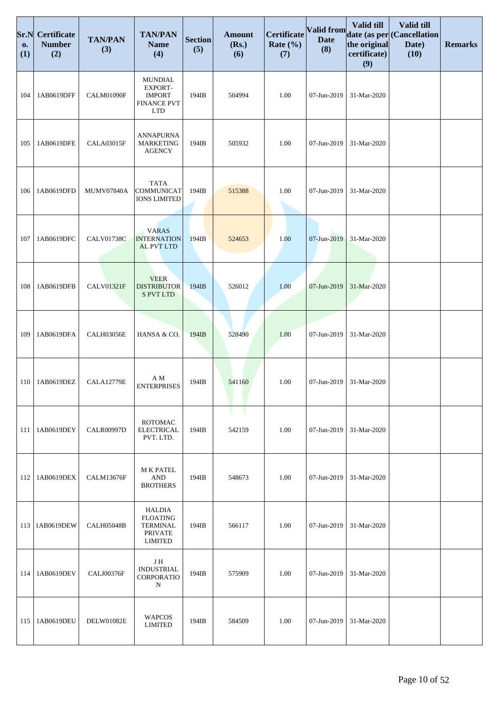| Sr.N<br>0.<br>(1) | <b>Certificate</b><br><b>Number</b><br>(2) | <b>TAN/PAN</b><br>(3) | <b>TAN/PAN</b><br><b>Name</b><br>(4)                                             | <b>Section</b><br>(5) | <b>Amount</b><br>(Rs.)<br>(6) | <b>Certificate</b><br>Rate $(\% )$<br>(7) | <b>Valid from</b><br><b>Date</b><br>(8) | Valid till<br>the original<br>certificate)<br>(9) | Valid till<br>date (as per (Cancellation<br>Date)<br>(10) | <b>Remarks</b> |
|-------------------|--------------------------------------------|-----------------------|----------------------------------------------------------------------------------|-----------------------|-------------------------------|-------------------------------------------|-----------------------------------------|---------------------------------------------------|-----------------------------------------------------------|----------------|
| 104               | 1AB0619DFF                                 | CALM01090F            | <b>MUNDIAL</b><br>EXPORT-<br><b>IMPORT</b><br><b>FINANCE PVT</b><br><b>LTD</b>   | 194IB                 | 504994                        | 1.00                                      | 07-Jun-2019                             | 31-Mar-2020                                       |                                                           |                |
| 105               | 1AB0619DFE                                 | <b>CALA03015F</b>     | <b>ANNAPURNA</b><br><b>MARKETING</b><br><b>AGENCY</b>                            | 194IB                 | 505932                        | 1.00                                      | 07-Jun-2019                             | 31-Mar-2020                                       |                                                           |                |
| 106               | 1AB0619DFD                                 | <b>MUMV07840A</b>     | <b>TATA</b><br><b>COMMUNICAT</b><br><b>IONS LIMITED</b>                          | 194IB                 | 515388                        | 1.00                                      | 07-Jun-2019                             | 31-Mar-2020                                       |                                                           |                |
| 107               | 1AB0619DFC                                 | <b>CALV01738C</b>     | <b>VARAS</b><br><b>INTERNATION</b><br><b>AL PVT LTD</b>                          | 194IB                 | 524653                        | 1.00                                      | 07-Jun-2019                             | 31-Mar-2020                                       |                                                           |                |
| 108               | 1AB0619DFB                                 | <b>CALV01321F</b>     | <b>VEER</b><br><b>DISTRIBUTOR</b><br><b>S PVT LTD</b>                            | 194IB                 | 526012                        | 1.00                                      | 07-Jun-2019                             | 31-Mar-2020                                       |                                                           |                |
| 109               | 1AB0619DFA                                 | <b>CALH03056E</b>     | HANSA & CO.                                                                      | 194IB                 | 528490                        | 1.00                                      | 07-Jun-2019                             | 31-Mar-2020                                       |                                                           |                |
| 110               | 1AB0619DEZ                                 | <b>CALA12779E</b>     | ΑM<br><b>ENTERPRISES</b>                                                         | 194IB                 | 541160                        | 1.00                                      | 07-Jun-2019                             | 31-Mar-2020                                       |                                                           |                |
| 111               | 1AB0619DEY                                 | <b>CALR00997D</b>     | <b>ROTOMAC</b><br><b>ELECTRICAL</b><br>PVT. LTD.                                 | 194IB                 | 542159                        | 1.00                                      | 07-Jun-2019                             | 31-Mar-2020                                       |                                                           |                |
| 112               | 1AB0619DEX                                 | <b>CALM13676F</b>     | <b>M K PATEL</b><br><b>AND</b><br><b>BROTHERS</b>                                | 194IB                 | 548673                        | 1.00                                      | 07-Jun-2019                             | 31-Mar-2020                                       |                                                           |                |
| 113               | 1AB0619DEW                                 | <b>CALH05048B</b>     | HALDIA<br><b>FLOATING</b><br><b>TERMINAL</b><br><b>PRIVATE</b><br><b>LIMITED</b> | 194IB                 | 566117                        | 1.00                                      | 07-Jun-2019                             | 31-Mar-2020                                       |                                                           |                |
| 114               | 1AB0619DEV                                 | CALJ00376F            | J H<br><b>INDUSTRIAL</b><br>CORPORATIO<br>N                                      | 194IB                 | 575909                        | 1.00                                      | 07-Jun-2019                             | 31-Mar-2020                                       |                                                           |                |
| 115               | 1AB0619DEU                                 | DELW01082E            | <b>WAPCOS</b><br><b>LIMITED</b>                                                  | 194IB                 | 584509                        | 1.00                                      | 07-Jun-2019                             | 31-Mar-2020                                       |                                                           |                |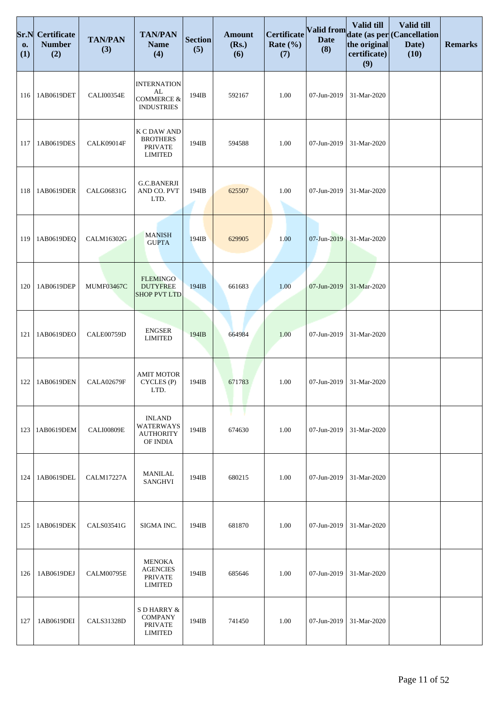| Sr.N<br>0.<br>(1) | <b>Certificate</b><br><b>Number</b><br>(2) | <b>TAN/PAN</b><br>(3) | <b>TAN/PAN</b><br><b>Name</b><br>(4)                                   | <b>Section</b><br>(5) | <b>Amount</b><br>(Rs.)<br>(6) | Certificate<br>Rate $(\% )$<br>(7) | Valid from<br><b>Date</b><br>(8) | Valid till<br>the original<br>certificate)<br>(9) | Valid till<br>date (as per (Cancellation<br>Date)<br>(10) | <b>Remarks</b> |
|-------------------|--------------------------------------------|-----------------------|------------------------------------------------------------------------|-----------------------|-------------------------------|------------------------------------|----------------------------------|---------------------------------------------------|-----------------------------------------------------------|----------------|
| 116               | 1AB0619DET                                 | CALI00354E            | <b>INTERNATION</b><br>AL<br><b>COMMERCE &amp;</b><br><b>INDUSTRIES</b> | 194IB                 | 592167                        | 1.00                               | 07-Jun-2019                      | 31-Mar-2020                                       |                                                           |                |
| 117               | 1AB0619DES                                 | CALK09014F            | K C DAW AND<br><b>BROTHERS</b><br><b>PRIVATE</b><br><b>LIMITED</b>     | 194IB                 | 594588                        | 1.00                               | 07-Jun-2019                      | 31-Mar-2020                                       |                                                           |                |
| 118               | 1AB0619DER                                 | CALG06831G            | <b>G.C.BANERJI</b><br>AND CO. PVT<br>LTD.                              | 194IB                 | 625507                        | 1.00                               | 07-Jun-2019                      | 31-Mar-2020                                       |                                                           |                |
| 119               | 1AB0619DEQ                                 | CALM16302G            | <b>MANISH</b><br><b>GUPTA</b>                                          | 194IB                 | 629905                        | 1.00                               | 07-Jun-2019                      | 31-Mar-2020                                       |                                                           |                |
| 120               | 1AB0619DEP                                 | <b>MUMF03467C</b>     | <b>FLEMINGO</b><br><b>DUTYFREE</b><br><b>SHOP PVT LTD</b>              | 194IB                 | 661683                        | 1.00                               | 07-Jun-2019                      | 31-Mar-2020                                       |                                                           |                |
| 121               | 1AB0619DEO                                 | CALE00759D            | <b>ENGSER</b><br><b>LIMITED</b>                                        | 194IB                 | 664984                        | 1.00                               | 07-Jun-2019                      | 31-Mar-2020                                       |                                                           |                |
| 122               | 1AB0619DEN                                 | <b>CALA02679F</b>     | <b>AMIT MOTOR</b><br>CYCLES (P)<br>LTD.                                | 194IB                 | 671783                        | 1.00                               | 07-Jun-2019                      | 31-Mar-2020                                       |                                                           |                |
| 123               | 1AB0619DEM                                 | <b>CALI00809E</b>     | <b>INLAND</b><br>WATERWAYS<br><b>AUTHORITY</b><br>OF INDIA             | 194IB                 | 674630                        | 1.00                               | 07-Jun-2019                      | 31-Mar-2020                                       |                                                           |                |
| 124               | 1AB0619DEL                                 | <b>CALM17227A</b>     | <b>MANILAL</b><br><b>SANGHVI</b>                                       | 194IB                 | 680215                        | 1.00                               | 07-Jun-2019                      | 31-Mar-2020                                       |                                                           |                |
| 125               | 1AB0619DEK                                 | CALS03541G            | SIGMA INC.                                                             | 194IB                 | 681870                        | 1.00                               | 07-Jun-2019                      | 31-Mar-2020                                       |                                                           |                |
| 126               | 1AB0619DEJ                                 | CALM00795E            | <b>MENOKA</b><br><b>AGENCIES</b><br><b>PRIVATE</b><br><b>LIMITED</b>   | 194IB                 | 685646                        | 1.00                               | 07-Jun-2019                      | 31-Mar-2020                                       |                                                           |                |
| 127               | 1AB0619DEI                                 | <b>CALS31328D</b>     | S D HARRY &<br><b>COMPANY</b><br><b>PRIVATE</b><br><b>LIMITED</b>      | 194IB                 | 741450                        | 1.00                               | 07-Jun-2019                      | 31-Mar-2020                                       |                                                           |                |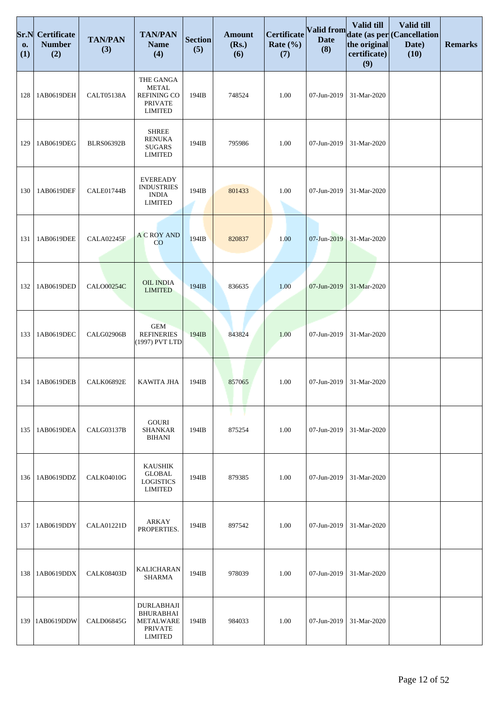| Sr.N<br>0.<br>(1) | <b>Certificate</b><br><b>Number</b><br>(2) | <b>TAN/PAN</b><br>(3) | <b>TAN/PAN</b><br><b>Name</b><br>(4)                                                   | <b>Section</b><br>(5) | <b>Amount</b><br>(Rs.)<br>(6) | Certificate<br>Rate $(\% )$<br>(7) | <b>Valid from</b><br><b>Date</b><br>(8) | Valid till<br>the original<br>certificate)<br>(9) | Valid till<br>date (as per (Cancellation<br>Date)<br>(10) | <b>Remarks</b> |
|-------------------|--------------------------------------------|-----------------------|----------------------------------------------------------------------------------------|-----------------------|-------------------------------|------------------------------------|-----------------------------------------|---------------------------------------------------|-----------------------------------------------------------|----------------|
| 128               | 1AB0619DEH                                 | <b>CALT05138A</b>     | THE GANGA<br><b>METAL</b><br><b>REFINING CO</b><br><b>PRIVATE</b><br><b>LIMITED</b>    | 194IB                 | 748524                        | 1.00                               | 07-Jun-2019                             | 31-Mar-2020                                       |                                                           |                |
| 129               | 1AB0619DEG                                 | <b>BLRS06392B</b>     | <b>SHREE</b><br><b>RENUKA</b><br><b>SUGARS</b><br><b>LIMITED</b>                       | 194IB                 | 795986                        | 1.00                               | 07-Jun-2019                             | 31-Mar-2020                                       |                                                           |                |
| 130               | 1AB0619DEF                                 | CALE01744B            | <b>EVEREADY</b><br><b>INDUSTRIES</b><br><b>INDIA</b><br><b>LIMITED</b>                 | 194IB                 | 801433                        | 1.00                               | 07-Jun-2019                             | 31-Mar-2020                                       |                                                           |                |
| 131               | 1AB0619DEE                                 | <b>CALA02245F</b>     | <b>A C ROY AND</b><br>CO                                                               | 194IB                 | 820837                        | 1.00                               | 07-Jun-2019                             | 31-Mar-2020                                       |                                                           |                |
| 132               | 1AB0619DED                                 | <b>CALO00254C</b>     | <b>OIL INDIA</b><br><b>LIMITED</b>                                                     | 194IB                 | 836635                        | 1.00                               | 07-Jun-2019                             | 31-Mar-2020                                       |                                                           |                |
| 133               | 1AB0619DEC                                 | <b>CALG02906B</b>     | <b>GEM</b><br><b>REFINERIES</b><br>(1997) PVT LTD                                      | 194IB                 | 843824                        | 1.00                               | 07-Jun-2019                             | 31-Mar-2020                                       |                                                           |                |
| 134               | 1AB0619DEB                                 | <b>CALK06892E</b>     | <b>KAWITA JHA</b>                                                                      | 194IB                 | 857065                        | 1.00                               | 07-Jun-2019                             | 31-Mar-2020                                       |                                                           |                |
| 135               | 1AB0619DEA                                 | <b>CALG03137B</b>     | <b>GOURI</b><br><b>SHANKAR</b><br><b>BIHANI</b>                                        | 194IB                 | 875254                        | 1.00                               | 07-Jun-2019                             | 31-Mar-2020                                       |                                                           |                |
| 136               | 1AB0619DDZ                                 | <b>CALK04010G</b>     | <b>KAUSHIK</b><br><b>GLOBAL</b><br><b>LOGISTICS</b><br><b>LIMITED</b>                  | 194IB                 | 879385                        | 1.00                               | 07-Jun-2019                             | 31-Mar-2020                                       |                                                           |                |
| 137               | 1AB0619DDY                                 | <b>CALA01221D</b>     | ARKAY<br>PROPERTIES.                                                                   | 194IB                 | 897542                        | 1.00                               | 07-Jun-2019                             | 31-Mar-2020                                       |                                                           |                |
| 138               | 1AB0619DDX                                 | <b>CALK08403D</b>     | <b>KALICHARAN</b><br><b>SHARMA</b>                                                     | 194IB                 | 978039                        | 1.00                               | 07-Jun-2019                             | 31-Mar-2020                                       |                                                           |                |
| 139               | 1AB0619DDW                                 | CALD06845G            | <b>DURLABHAJI</b><br><b>BHURABHAI</b><br>METALWARE<br><b>PRIVATE</b><br><b>LIMITED</b> | 194IB                 | 984033                        | 1.00                               | 07-Jun-2019                             | 31-Mar-2020                                       |                                                           |                |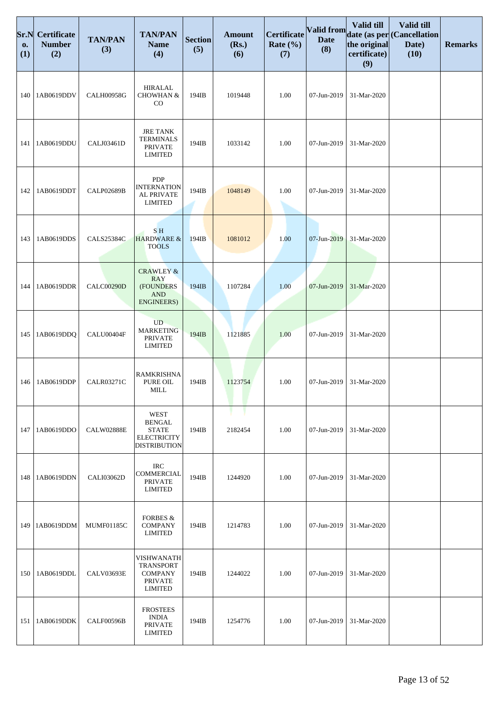| Sr.N<br>0.<br>(1) | <b>Certificate</b><br><b>Number</b><br>(2) | <b>TAN/PAN</b><br>(3) | <b>TAN/PAN</b><br><b>Name</b><br>(4)                                                      | <b>Section</b><br>(5) | <b>Amount</b><br>(Rs.)<br>(6) | Certificate<br>Rate $(\% )$<br>(7) | <b>Valid from</b><br><b>Date</b><br>(8) | <b>Valid till</b><br>the original<br>certificate)<br>(9) | Valid till<br>date (as per (Cancellation<br>Date)<br>(10) | <b>Remarks</b> |
|-------------------|--------------------------------------------|-----------------------|-------------------------------------------------------------------------------------------|-----------------------|-------------------------------|------------------------------------|-----------------------------------------|----------------------------------------------------------|-----------------------------------------------------------|----------------|
| 140               | 1AB0619DDV                                 | <b>CALH00958G</b>     | <b>HIRALAL</b><br>CHOWHAN &<br>$_{\rm CO}$                                                | 194IB                 | 1019448                       | 1.00                               | 07-Jun-2019                             | 31-Mar-2020                                              |                                                           |                |
| 141               | 1AB0619DDU                                 | CALJ03461D            | <b>JRE TANK</b><br><b>TERMINALS</b><br><b>PRIVATE</b><br><b>LIMITED</b>                   | 194IB                 | 1033142                       | 1.00                               | 07-Jun-2019                             | 31-Mar-2020                                              |                                                           |                |
| 142               | 1AB0619DDT                                 | <b>CALP02689B</b>     | <b>PDP</b><br><b>INTERNATION</b><br>AL PRIVATE<br><b>LIMITED</b>                          | 194IB                 | 1048149                       | 1.00                               | 07-Jun-2019                             | 31-Mar-2020                                              |                                                           |                |
| 143               | 1AB0619DDS                                 | <b>CALS25384C</b>     | S <sub>H</sub><br>HARDWARE &<br><b>TOOLS</b>                                              | 194IB                 | 1081012                       | 1.00                               | 07-Jun-2019                             | 31-Mar-2020                                              |                                                           |                |
| 144               | 1AB0619DDR                                 | CALC00290D            | <b>CRAWLEY &amp;</b><br><b>RAY</b><br>(FOUNDERS<br>$\mathbf{AND}$<br>ENGINEERS)           | 194IB                 | 1107284                       | 1.00                               | 07-Jun-2019                             | 31-Mar-2020                                              |                                                           |                |
| 145               | 1AB0619DDQ                                 | CALU00404F            | <b>UD</b><br><b>MARKETING</b><br><b>PRIVATE</b><br><b>LIMITED</b>                         | 194IB                 | 1121885                       | 1.00                               | 07-Jun-2019                             | 31-Mar-2020                                              |                                                           |                |
| 146               | 1AB0619DDP                                 | <b>CALR03271C</b>     | <b>RAMKRISHNA</b><br>PURE OIL<br><b>MILL</b>                                              | 194IB                 | 1123754                       | 1.00                               | 07-Jun-2019                             | 31-Mar-2020                                              |                                                           |                |
| 147               | 1AB0619DDO                                 | <b>CALW02888E</b>     | <b>WEST</b><br><b>BENGAL</b><br><b>STATE</b><br><b>ELECTRICITY</b><br><b>DISTRIBUTION</b> | 194IB                 | 2182454                       | 1.00                               | 07-Jun-2019                             | 31-Mar-2020                                              |                                                           |                |
| 148               | 1AB0619DDN                                 | <b>CALI03062D</b>     | <b>IRC</b><br><b>COMMERCIAL</b><br><b>PRIVATE</b><br><b>LIMITED</b>                       | 194IB                 | 1244920                       | 1.00                               | 07-Jun-2019                             | 31-Mar-2020                                              |                                                           |                |
| 149               | 1AB0619DDM                                 | MUMF01185C            | <b>FORBES &amp;</b><br><b>COMPANY</b><br><b>LIMITED</b>                                   | 194IB                 | 1214783                       | 1.00                               | 07-Jun-2019                             | 31-Mar-2020                                              |                                                           |                |
| 150               | 1AB0619DDL                                 | <b>CALV03693E</b>     | VISHWANATH<br><b>TRANSPORT</b><br><b>COMPANY</b><br><b>PRIVATE</b><br><b>LIMITED</b>      | 194IB                 | 1244022                       | 1.00                               | 07-Jun-2019                             | 31-Mar-2020                                              |                                                           |                |
| 151               | 1AB0619DDK                                 | <b>CALF00596B</b>     | <b>FROSTEES</b><br><b>INDIA</b><br><b>PRIVATE</b><br><b>LIMITED</b>                       | 194IB                 | 1254776                       | 1.00                               | 07-Jun-2019                             | 31-Mar-2020                                              |                                                           |                |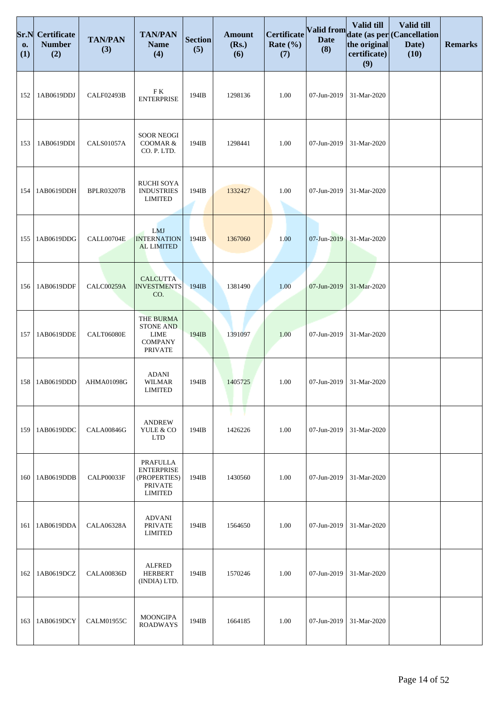| Sr.N<br>0.<br>(1) | <b>Certificate</b><br><b>Number</b><br>(2) | <b>TAN/PAN</b><br>(3) | <b>TAN/PAN</b><br><b>Name</b><br>(4)                                                    | <b>Section</b><br>(5) | <b>Amount</b><br>(Rs.)<br>(6) | <b>Certificate</b><br>Rate $(\% )$<br>(7) | <b>Valid from</b><br><b>Date</b><br>(8) | Valid till<br>the original<br>certificate)<br>(9) | Valid till<br>date (as per Cancellation<br>Date)<br>(10) | <b>Remarks</b> |
|-------------------|--------------------------------------------|-----------------------|-----------------------------------------------------------------------------------------|-----------------------|-------------------------------|-------------------------------------------|-----------------------------------------|---------------------------------------------------|----------------------------------------------------------|----------------|
| 152               | 1AB0619DDJ                                 | CALF02493B            | ${\rm F\;K}$<br><b>ENTERPRISE</b>                                                       | 194IB                 | 1298136                       | 1.00                                      | 07-Jun-2019                             | 31-Mar-2020                                       |                                                          |                |
| 153               | 1AB0619DDI                                 | <b>CALS01057A</b>     | <b>SOOR NEOGI</b><br>COOMAR &<br>CO. P. LTD.                                            | 194IB                 | 1298441                       | 1.00                                      | 07-Jun-2019                             | 31-Mar-2020                                       |                                                          |                |
| 154               | 1AB0619DDH                                 | <b>BPLR03207B</b>     | <b>RUCHI SOYA</b><br><b>INDUSTRIES</b><br><b>LIMITED</b>                                | 194IB                 | 1332427                       | 1.00                                      | 07-Jun-2019                             | 31-Mar-2020                                       |                                                          |                |
| 155               | 1AB0619DDG                                 | CALL00704E            | LMJ<br><b>INTERNATION</b><br><b>AL LIMITED</b>                                          | 194IB                 | 1367060                       | 1.00                                      | 07-Jun-2019                             | 31-Mar-2020                                       |                                                          |                |
| 156               | 1AB0619DDF                                 | <b>CALC00259A</b>     | <b>CALCUTTA</b><br><b>INVESTMENTS</b><br>CO.                                            | 194IB                 | 1381490                       | 1.00                                      | 07-Jun-2019                             | 31-Mar-2020                                       |                                                          |                |
| 157               | 1AB0619DDE                                 | <b>CALT06080E</b>     | <b>THE BURMA</b><br><b>STONE AND</b><br><b>LIME</b><br><b>COMPANY</b><br><b>PRIVATE</b> | 194IB                 | 1391097                       | 1.00                                      | 07-Jun-2019                             | 31-Mar-2020                                       |                                                          |                |
| 158               | 1AB0619DDD                                 | AHMA01098G            | <b>ADANI</b><br><b>WILMAR</b><br><b>LIMITED</b>                                         | 194IB                 | 1405725                       | 1.00                                      | 07-Jun-2019                             | 31-Mar-2020                                       |                                                          |                |
| 159               | 1AB0619DDC                                 | <b>CALA00846G</b>     | <b>ANDREW</b><br>YULE & CO<br><b>LTD</b>                                                | 194IB                 | 1426226                       | 1.00                                      | 07-Jun-2019                             | 31-Mar-2020                                       |                                                          |                |
| 160               | 1AB0619DDB                                 | CALP00033F            | PRAFULLA<br><b>ENTERPRISE</b><br>(PROPERTIES)<br><b>PRIVATE</b><br><b>LIMITED</b>       | 194IB                 | 1430560                       | 1.00                                      | 07-Jun-2019                             | 31-Mar-2020                                       |                                                          |                |
| 161               | 1AB0619DDA                                 | CALA06328A            | <b>ADVANI</b><br><b>PRIVATE</b><br><b>LIMITED</b>                                       | 194IB                 | 1564650                       | 1.00                                      | 07-Jun-2019                             | 31-Mar-2020                                       |                                                          |                |
| 162               | 1AB0619DCZ                                 | <b>CALA00836D</b>     | <b>ALFRED</b><br><b>HERBERT</b><br>(INDIA) LTD.                                         | 194IB                 | 1570246                       | 1.00                                      | 07-Jun-2019                             | 31-Mar-2020                                       |                                                          |                |
| 163               | 1AB0619DCY                                 | <b>CALM01955C</b>     | <b>MOONGIPA</b><br><b>ROADWAYS</b>                                                      | 194IB                 | 1664185                       | 1.00                                      | 07-Jun-2019                             | 31-Mar-2020                                       |                                                          |                |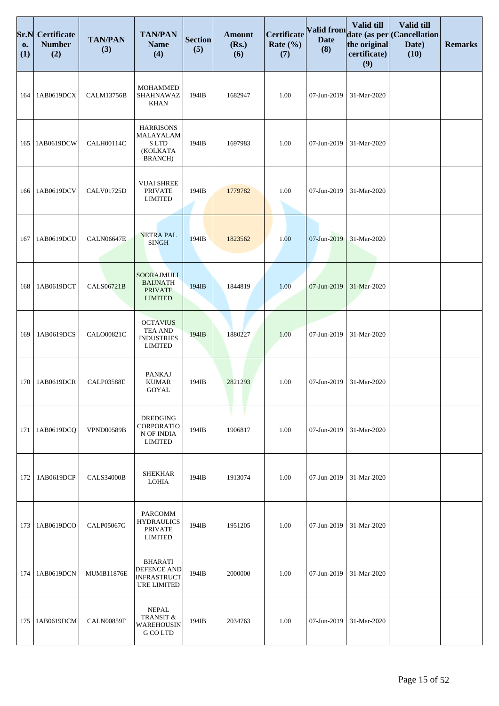| Sr.N<br>0.<br>(1) | <b>Certificate</b><br><b>Number</b><br>(2) | <b>TAN/PAN</b><br>(3) | <b>TAN/PAN</b><br><b>Name</b><br>(4)                                       | <b>Section</b><br>(5) | <b>Amount</b><br>(Rs.)<br>(6) | Certificate<br>Rate $(\% )$<br>(7) | Valid from<br><b>Date</b><br>(8) | Valid till<br>the original<br>certificate)<br>(9) | Valid till<br>date (as per (Cancellation<br>Date)<br>(10) | <b>Remarks</b> |
|-------------------|--------------------------------------------|-----------------------|----------------------------------------------------------------------------|-----------------------|-------------------------------|------------------------------------|----------------------------------|---------------------------------------------------|-----------------------------------------------------------|----------------|
| 164               | 1AB0619DCX                                 | <b>CALM13756B</b>     | <b>MOHAMMED</b><br>SHAHNAWAZ<br><b>KHAN</b>                                | 194IB                 | 1682947                       | 1.00                               | 07-Jun-2019                      | 31-Mar-2020                                       |                                                           |                |
| 165               | 1AB0619DCW                                 | CALH00114C            | <b>HARRISONS</b><br>MALAYALAM<br><b>SLTD</b><br>(KOLKATA<br><b>BRANCH)</b> | 194IB                 | 1697983                       | 1.00                               | 07-Jun-2019                      | 31-Mar-2020                                       |                                                           |                |
| 166               | 1AB0619DCV                                 | <b>CALV01725D</b>     | <b>VIJAI SHREE</b><br><b>PRIVATE</b><br><b>LIMITED</b>                     | 194IB                 | 1779782                       | 1.00                               | 07-Jun-2019                      | 31-Mar-2020                                       |                                                           |                |
| 167               | 1AB0619DCU                                 | <b>CALN06647E</b>     | <b>NETRA PAL</b><br><b>SINGH</b>                                           | 194IB                 | 1823562                       | 1.00                               | 07-Jun-2019                      | 31-Mar-2020                                       |                                                           |                |
| 168               | 1AB0619DCT                                 | <b>CALS06721B</b>     | SOORAJMULL<br><b>BAIJNATH</b><br><b>PRIVATE</b><br><b>LIMITED</b>          | 194IB                 | 1844819                       | 1.00                               | 07-Jun-2019                      | 31-Mar-2020                                       |                                                           |                |
| 169               | 1AB0619DCS                                 | <b>CALO00821C</b>     | <b>OCTAVIUS</b><br>TEA AND<br><b>INDUSTRIES</b><br><b>LIMITED</b>          | 194IB                 | 1880227                       | 1.00                               | 07-Jun-2019                      | 31-Mar-2020                                       |                                                           |                |
| 170               | 1AB0619DCR                                 | <b>CALP03588E</b>     | <b>PANKAJ</b><br><b>KUMAR</b><br>GOYAL                                     | 194IB                 | 2821293                       | 1.00                               | 07-Jun-2019                      | 31-Mar-2020                                       |                                                           |                |
| 171               | 1AB0619DCQ                                 | <b>VPND00589B</b>     | <b>DREDGING</b><br>CORPORATIO<br>N OF INDIA<br><b>LIMITED</b>              | 194IB                 | 1906817                       | 1.00                               | 07-Jun-2019                      | 31-Mar-2020                                       |                                                           |                |
| 172               | 1AB0619DCP                                 | <b>CALS34000B</b>     | <b>SHEKHAR</b><br><b>LOHIA</b>                                             | 194IB                 | 1913074                       | 1.00                               | 07-Jun-2019                      | 31-Mar-2020                                       |                                                           |                |
| 173               | 1AB0619DCO                                 | <b>CALP05067G</b>     | PARCOMM<br><b>HYDRAULICS</b><br><b>PRIVATE</b><br><b>LIMITED</b>           | 194IB                 | 1951205                       | 1.00                               | 07-Jun-2019                      | 31-Mar-2020                                       |                                                           |                |
| 174               | 1AB0619DCN                                 | <b>MUMB11876E</b>     | <b>BHARATI</b><br>DEFENCE AND<br><b>INFRASTRUCT</b><br>URE LIMITED         | 194IB                 | 2000000                       | 1.00                               | 07-Jun-2019                      | 31-Mar-2020                                       |                                                           |                |
| 175               | 1AB0619DCM                                 | <b>CALN00859F</b>     | <b>NEPAL</b><br><b>TRANSIT &amp;</b><br><b>WAREHOUSIN</b><br>G CO LTD      | 194IB                 | 2034763                       | 1.00                               | 07-Jun-2019                      | 31-Mar-2020                                       |                                                           |                |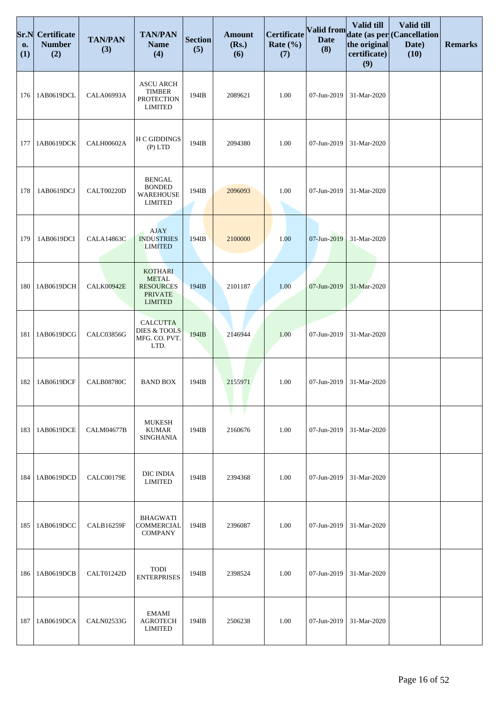| Sr.N<br>0.<br>(1) | Certificate<br><b>Number</b><br>(2) | <b>TAN/PAN</b><br>(3) | <b>TAN/PAN</b><br><b>Name</b><br>(4)                                                   | <b>Section</b><br>(5) | <b>Amount</b><br>(Rs.)<br>(6) | Certificate<br>Rate $(\% )$<br>(7) | <b>Valid from</b><br><b>Date</b><br>(8) | Valid till<br>the original<br>certificate)<br>(9) | Valid till<br>date (as per (Cancellation<br>Date)<br>(10) | <b>Remarks</b> |
|-------------------|-------------------------------------|-----------------------|----------------------------------------------------------------------------------------|-----------------------|-------------------------------|------------------------------------|-----------------------------------------|---------------------------------------------------|-----------------------------------------------------------|----------------|
| 176               | 1AB0619DCL                          | <b>CALA06993A</b>     | <b>ASCU ARCH</b><br><b>TIMBER</b><br><b>PROTECTION</b><br><b>LIMITED</b>               | 194IB                 | 2089621                       | 1.00                               | 07-Jun-2019                             | 31-Mar-2020                                       |                                                           |                |
| 177               | 1AB0619DCK                          | <b>CALH00602A</b>     | <b>H C GIDDINGS</b><br>$(P)$ LTD                                                       | 194IB                 | 2094380                       | 1.00                               | 07-Jun-2019                             | 31-Mar-2020                                       |                                                           |                |
| 178               | 1AB0619DCJ                          | <b>CALT00220D</b>     | <b>BENGAL</b><br><b>BONDED</b><br><b>WAREHOUSE</b><br><b>LIMITED</b>                   | 194IB                 | 2096093                       | 1.00                               | 07-Jun-2019                             | 31-Mar-2020                                       |                                                           |                |
| 179               | 1AB0619DCI                          | <b>CALA14863C</b>     | AJAY<br><b>INDUSTRIES</b><br><b>LIMITED</b>                                            | 194IB                 | 2100000                       | 1.00                               | 07-Jun-2019                             | 31-Mar-2020                                       |                                                           |                |
| 180               | 1AB0619DCH                          | <b>CALK00942E</b>     | <b>KOTHARI</b><br><b>METAL</b><br><b>RESOURCES</b><br><b>PRIVATE</b><br><b>LIMITED</b> | 194IB                 | 2101187                       | 1.00                               | 07-Jun-2019                             | 31-Mar-2020                                       |                                                           |                |
| 181               | 1AB0619DCG                          | CALC03856G            | <b>CALCUTTA</b><br><b>DIES &amp; TOOLS</b><br>MFG. CO. PVT.<br>LTD.                    | 194IB                 | 2146944                       | 1.00                               | 07-Jun-2019                             | 31-Mar-2020                                       |                                                           |                |
| 182               | 1AB0619DCF                          | <b>CALB08780C</b>     | <b>BAND BOX</b>                                                                        | 194IB                 | 2155971                       | 1.00                               | 07-Jun-2019                             | 31-Mar-2020                                       |                                                           |                |
| 183               | 1AB0619DCE                          | <b>CALM04677B</b>     | MUKESH<br><b>KUMAR</b><br><b>SINGHANIA</b>                                             | 194IB                 | 2160676                       | 1.00                               | 07-Jun-2019                             | 31-Mar-2020                                       |                                                           |                |
| 184               | 1AB0619DCD                          | CALC00179E            | DIC INDIA<br><b>LIMITED</b>                                                            | 194IB                 | 2394368                       | 1.00                               | 07-Jun-2019                             | 31-Mar-2020                                       |                                                           |                |
| 185               | 1AB0619DCC                          | <b>CALB16259F</b>     | <b>BHAGWATI</b><br>COMMERCIAL<br><b>COMPANY</b>                                        | 194IB                 | 2396087                       | 1.00                               | 07-Jun-2019                             | 31-Mar-2020                                       |                                                           |                |
| 186               | 1AB0619DCB                          | CALT01242D            | TODI<br><b>ENTERPRISES</b>                                                             | 194IB                 | 2398524                       | 1.00                               | 07-Jun-2019                             | 31-Mar-2020                                       |                                                           |                |
| 187               | 1AB0619DCA                          | <b>CALN02533G</b>     | EMAMI<br><b>AGROTECH</b><br><b>LIMITED</b>                                             | 194IB                 | 2506238                       | 1.00                               | 07-Jun-2019                             | 31-Mar-2020                                       |                                                           |                |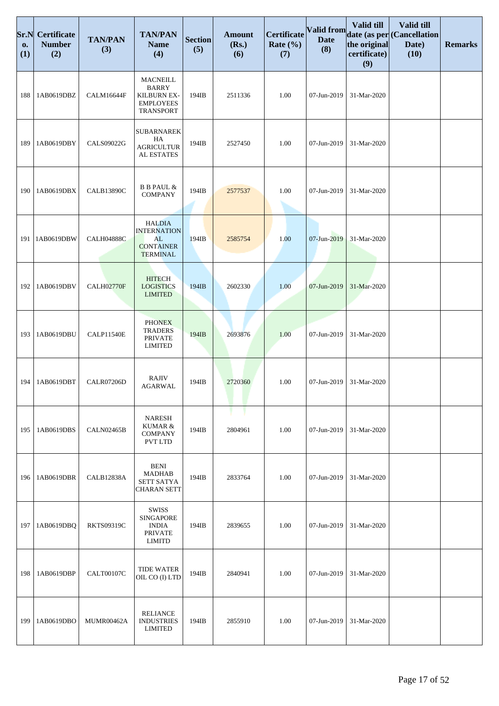| Sr.N<br>0.<br>(1) | Certificate<br><b>Number</b><br>(2) | <b>TAN/PAN</b><br>(3) | <b>TAN/PAN</b><br><b>Name</b><br>(4)                                                   | <b>Section</b><br>(5) | <b>Amount</b><br>(Rs.)<br>(6) | <b>Certificate</b><br>Rate $(\% )$<br>(7) | Valid from<br><b>Date</b><br>(8) | Valid till<br>the original<br>certificate)<br>(9) | Valid till<br>date (as per (Cancellation<br>Date)<br>(10) | <b>Remarks</b> |
|-------------------|-------------------------------------|-----------------------|----------------------------------------------------------------------------------------|-----------------------|-------------------------------|-------------------------------------------|----------------------------------|---------------------------------------------------|-----------------------------------------------------------|----------------|
| 188               | 1AB0619DBZ                          | CALM16644F            | <b>MACNEILL</b><br><b>BARRY</b><br>KILBURN EX-<br><b>EMPLOYEES</b><br><b>TRANSPORT</b> | 194IB                 | 2511336                       | 1.00                                      | 07-Jun-2019                      | 31-Mar-2020                                       |                                                           |                |
| 189               | 1AB0619DBY                          | <b>CALS09022G</b>     | <b>SUBARNAREK</b><br>HA<br><b>AGRICULTUR</b><br>AL ESTATES                             | 194IB                 | 2527450                       | 1.00                                      | 07-Jun-2019                      | 31-Mar-2020                                       |                                                           |                |
| 190               | 1AB0619DBX                          | <b>CALB13890C</b>     | <b>B B PAUL &amp;</b><br><b>COMPANY</b>                                                | 194IB                 | 2577537                       | 1.00                                      | 07-Jun-2019                      | 31-Mar-2020                                       |                                                           |                |
| 191               | 1AB0619DBW                          | <b>CALH04888C</b>     | <b>HALDIA</b><br><b>INTERNATION</b><br>AL<br><b>CONTAINER</b><br><b>TERMINAL</b>       | 194IB                 | 2585754                       | 1.00                                      | 07-Jun-2019                      | 31-Mar-2020                                       |                                                           |                |
| 192               | 1AB0619DBV                          | <b>CALH02770F</b>     | <b>HITECH</b><br><b>LOGISTICS</b><br><b>LIMITED</b>                                    | 194IB                 | 2602330                       | 1.00                                      | 07-Jun-2019                      | 31-Mar-2020                                       |                                                           |                |
| 193               | 1AB0619DBU                          | <b>CALP11540E</b>     | <b>PHONEX</b><br><b>TRADERS</b><br><b>PRIVATE</b><br><b>LIMITED</b>                    | 194IB                 | 2693876                       | 1.00                                      | 07-Jun-2019                      | 31-Mar-2020                                       |                                                           |                |
| 194               | 1AB0619DBT                          | CALR07206D            | <b>RAJIV</b><br><b>AGARWAL</b>                                                         | 194IB                 | 2720360                       | 1.00                                      | 07-Jun-2019                      | 31-Mar-2020                                       |                                                           |                |
| 195               | 1AB0619DBS                          | <b>CALN02465B</b>     | <b>NARESH</b><br>KUMAR &<br><b>COMPANY</b><br><b>PVT LTD</b>                           | 194IB                 | 2804961                       | 1.00                                      | 07-Jun-2019                      | 31-Mar-2020                                       |                                                           |                |
| 196               | 1AB0619DBR                          | <b>CALB12838A</b>     | <b>BENI</b><br>MADHAB<br><b>SETT SATYA</b><br><b>CHARAN SETT</b>                       | 194IB                 | 2833764                       | 1.00                                      | 07-Jun-2019                      | 31-Mar-2020                                       |                                                           |                |
| 197               | 1AB0619DBQ                          | <b>RKTS09319C</b>     | <b>SWISS</b><br><b>SINGAPORE</b><br><b>INDIA</b><br><b>PRIVATE</b><br>LIMITD           | 194IB                 | 2839655                       | 1.00                                      | 07-Jun-2019                      | 31-Mar-2020                                       |                                                           |                |
| 198               | 1AB0619DBP                          | <b>CALT00107C</b>     | <b>TIDE WATER</b><br>OIL CO (I) LTD                                                    | 194IB                 | 2840941                       | 1.00                                      | 07-Jun-2019                      | 31-Mar-2020                                       |                                                           |                |
| 199               | 1AB0619DBO                          | MUMR00462A            | <b>RELIANCE</b><br><b>INDUSTRIES</b><br>LIMITED                                        | 194IB                 | 2855910                       | 1.00                                      | 07-Jun-2019                      | 31-Mar-2020                                       |                                                           |                |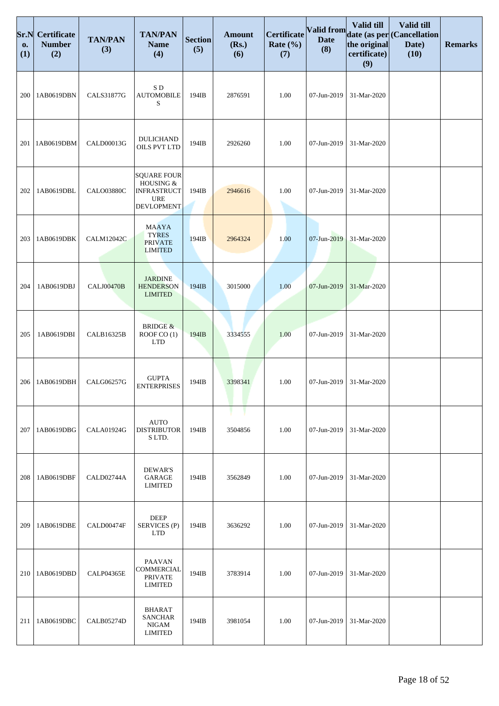| Sr.N<br>0.<br>(1) | Certificate<br><b>Number</b><br>(2) | <b>TAN/PAN</b><br>(3) | <b>TAN/PAN</b><br><b>Name</b><br>(4)                                                     | <b>Section</b><br>(5) | <b>Amount</b><br>(Rs.)<br>(6) | Certificate<br>Rate $(\% )$<br>(7) | Valid from<br><b>Date</b><br>(8) | Valid till<br>the original<br>certificate)<br>(9) | Valid till<br>date (as per (Cancellation<br>Date)<br>(10) | <b>Remarks</b> |
|-------------------|-------------------------------------|-----------------------|------------------------------------------------------------------------------------------|-----------------------|-------------------------------|------------------------------------|----------------------------------|---------------------------------------------------|-----------------------------------------------------------|----------------|
| 200               | 1AB0619DBN                          | <b>CALS31877G</b>     | SD<br><b>AUTOMOBILE</b><br>S                                                             | 194IB                 | 2876591                       | 1.00                               | 07-Jun-2019                      | 31-Mar-2020                                       |                                                           |                |
| 201               | 1AB0619DBM                          | CALD00013G            | <b>DULICHAND</b><br>OILS PVT LTD                                                         | 194IB                 | 2926260                       | 1.00                               | 07-Jun-2019                      | 31-Mar-2020                                       |                                                           |                |
| 202               | 1AB0619DBL                          | <b>CALO03880C</b>     | <b>SQUARE FOUR</b><br>HOUSING &<br><b>INFRASTRUCT</b><br><b>URE</b><br><b>DEVLOPMENT</b> | 194IB                 | 2946616                       | 1.00                               | 07-Jun-2019                      | 31-Mar-2020                                       |                                                           |                |
| 203               | 1AB0619DBK                          | <b>CALM12042C</b>     | <b>MAAYA</b><br><b>TYRES</b><br><b>PRIVATE</b><br><b>LIMITED</b>                         | 194IB                 | 2964324                       | 1.00                               | 07-Jun-2019                      | 31-Mar-2020                                       |                                                           |                |
| 204               | 1AB0619DBJ                          | <b>CALJ00470B</b>     | <b>JARDINE</b><br><b>HENDERSON</b><br><b>LIMITED</b>                                     | 194IB                 | 3015000                       | 1.00                               | 07-Jun-2019                      | 31-Mar-2020                                       |                                                           |                |
| 205               | 1AB0619DBI                          | CALB16325B            | <b>BRIDGE &amp;</b><br>ROOF CO (1)<br><b>LTD</b>                                         | 194IB                 | 3334555                       | 1.00                               | 07-Jun-2019                      | 31-Mar-2020                                       |                                                           |                |
| 206               | 1AB0619DBH                          | CALG06257G            | <b>GUPTA</b><br><b>ENTERPRISES</b>                                                       | 194IB                 | 3398341                       | 1.00                               | 07-Jun-2019                      | 31-Mar-2020                                       |                                                           |                |
| 207               | 1AB0619DBG                          | <b>CALA01924G</b>     | <b>AUTO</b><br><b>DISTRIBUTOR</b><br>SLTD.                                               | 194IB                 | 3504856                       | 1.00                               | 07-Jun-2019                      | 31-Mar-2020                                       |                                                           |                |
| 208               | 1AB0619DBF                          | CALD02744A            | DEWAR'S<br><b>GARAGE</b><br><b>LIMITED</b>                                               | 194IB                 | 3562849                       | 1.00                               | 07-Jun-2019                      | 31-Mar-2020                                       |                                                           |                |
| 209               | 1AB0619DBE                          | CALD00474F            | <b>DEEP</b><br>SERVICES (P)<br><b>LTD</b>                                                | 194IB                 | 3636292                       | 1.00                               | 07-Jun-2019                      | 31-Mar-2020                                       |                                                           |                |
| 210               | 1AB0619DBD                          | <b>CALP04365E</b>     | <b>PAAVAN</b><br>COMMERCIAL<br><b>PRIVATE</b><br>LIMITED                                 | 194IB                 | 3783914                       | 1.00                               | 07-Jun-2019                      | 31-Mar-2020                                       |                                                           |                |
| 211               | 1AB0619DBC                          | CALB05274D            | <b>BHARAT</b><br><b>SANCHAR</b><br>NIGAM<br><b>LIMITED</b>                               | 194IB                 | 3981054                       | 1.00                               | 07-Jun-2019                      | 31-Mar-2020                                       |                                                           |                |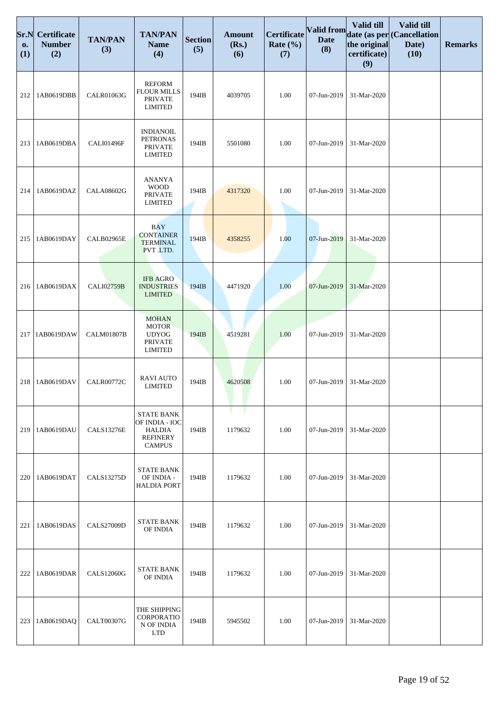| Sr.N<br>0.<br>(1) | <b>Certificate</b><br><b>Number</b><br>(2) | <b>TAN/PAN</b><br>(3) | <b>TAN/PAN</b><br><b>Name</b><br>(4)                                                     | <b>Section</b><br>(5) | <b>Amount</b><br>(Rs.)<br>(6) | <b>Certificate</b><br>Rate $(\% )$<br>(7) | Valid from<br><b>Date</b><br>(8) | Valid till<br>the original<br>certificate)<br>(9) | Valid till<br>date (as per Cancellation<br>Date)<br>(10) | <b>Remarks</b> |
|-------------------|--------------------------------------------|-----------------------|------------------------------------------------------------------------------------------|-----------------------|-------------------------------|-------------------------------------------|----------------------------------|---------------------------------------------------|----------------------------------------------------------|----------------|
| 212               | 1AB0619DBB                                 | CALR01063G            | <b>REFORM</b><br><b>FLOUR MILLS</b><br><b>PRIVATE</b><br><b>LIMITED</b>                  | 194IB                 | 4039705                       | 1.00                                      | 07-Jun-2019                      | 31-Mar-2020                                       |                                                          |                |
| 213               | 1AB0619DBA                                 | CALI01496F            | <b>INDIANOIL</b><br><b>PETRONAS</b><br><b>PRIVATE</b><br><b>LIMITED</b>                  | 194IB                 | 5501080                       | 1.00                                      | 07-Jun-2019                      | 31-Mar-2020                                       |                                                          |                |
| 214               | 1AB0619DAZ                                 | <b>CALA08602G</b>     | ANANYA<br><b>WOOD</b><br><b>PRIVATE</b><br><b>LIMITED</b>                                | 194IB                 | 4317320                       | 1.00                                      | 07-Jun-2019                      | 31-Mar-2020                                       |                                                          |                |
| 215               | 1AB0619DAY                                 | <b>CALB02965E</b>     | <b>BAY</b><br><b>CONTAINER</b><br><b>TERMINAL</b><br>PVT LTD.                            | 194IB                 | 4358255                       | 1.00                                      | 07-Jun-2019                      | 31-Mar-2020                                       |                                                          |                |
| 216               | 1AB0619DAX                                 | <b>CALI02759B</b>     | <b>IFB AGRO</b><br><b>INDUSTRIES</b><br><b>LIMITED</b>                                   | 194IB                 | 4471920                       | 1.00                                      | 07-Jun-2019                      | 31-Mar-2020                                       |                                                          |                |
| 217               | 1AB0619DAW                                 | <b>CALM01807B</b>     | <b>MOHAN</b><br><b>MOTOR</b><br><b>UDYOG</b><br><b>PRIVATE</b><br><b>LIMITED</b>         | 194IB                 | 4519281                       | 1.00                                      | 07-Jun-2019                      | 31-Mar-2020                                       |                                                          |                |
| 218               | 1AB0619DAV                                 | <b>CALR00772C</b>     | <b>RAVI AUTO</b><br><b>LIMITED</b>                                                       | 194IB                 | 4620508                       | 1.00                                      | 07-Jun-2019                      | 31-Mar-2020                                       |                                                          |                |
| 219               | 1AB0619DAU                                 | <b>CALS13276E</b>     | <b>STATE BANK</b><br>OF INDIA - IOC<br><b>HALDIA</b><br><b>REFINERY</b><br><b>CAMPUS</b> | 194IB                 | 1179632                       | 1.00                                      | 07-Jun-2019                      | 31-Mar-2020                                       |                                                          |                |
| 220               | 1AB0619DAT                                 | <b>CALS13275D</b>     | <b>STATE BANK</b><br>OF INDIA -<br><b>HALDIA PORT</b>                                    | 194IB                 | 1179632                       | 1.00                                      | 07-Jun-2019                      | 31-Mar-2020                                       |                                                          |                |
| 221               | 1AB0619DAS                                 | <b>CALS27009D</b>     | <b>STATE BANK</b><br>OF INDIA                                                            | 194IB                 | 1179632                       | 1.00                                      | 07-Jun-2019                      | 31-Mar-2020                                       |                                                          |                |
| 222               | 1AB0619DAR                                 | <b>CALS12060G</b>     | <b>STATE BANK</b><br>OF INDIA                                                            | 194IB                 | 1179632                       | 1.00                                      | 07-Jun-2019                      | 31-Mar-2020                                       |                                                          |                |
| 223               | 1AB0619DAQ                                 | <b>CALT00307G</b>     | THE SHIPPING<br>CORPORATIO<br>N OF INDIA<br><b>LTD</b>                                   | 194IB                 | 5945502                       | 1.00                                      | 07-Jun-2019                      | 31-Mar-2020                                       |                                                          |                |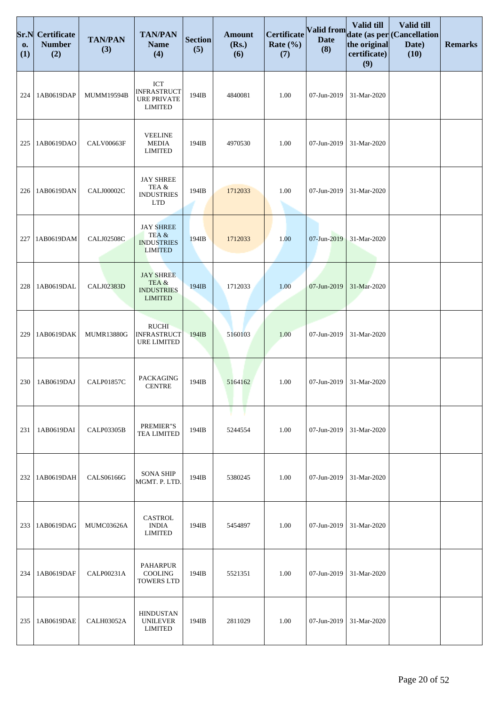| Sr.N<br>0.<br>(1) | Certificate<br><b>Number</b><br>(2) | <b>TAN/PAN</b><br>(3) | <b>TAN/PAN</b><br><b>Name</b><br>(4)                              | <b>Section</b><br>(5) | <b>Amount</b><br>(Rs.)<br>(6) | Certificate<br>Rate $(\% )$<br>(7) | <b>Valid from</b><br><b>Date</b><br>(8) | Valid till<br>the original<br>certificate)<br>(9) | Valid till<br>date (as per (Cancellation<br>Date)<br>(10) | <b>Remarks</b> |
|-------------------|-------------------------------------|-----------------------|-------------------------------------------------------------------|-----------------------|-------------------------------|------------------------------------|-----------------------------------------|---------------------------------------------------|-----------------------------------------------------------|----------------|
| 224               | 1AB0619DAP                          | MUMM19594B            | ICT<br><b>INFRASTRUCT</b><br><b>URE PRIVATE</b><br><b>LIMITED</b> | 194IB                 | 4840081                       | 1.00                               | 07-Jun-2019                             | 31-Mar-2020                                       |                                                           |                |
| 225               | 1AB0619DAO                          | <b>CALV00663F</b>     | <b>VEELINE</b><br><b>MEDIA</b><br><b>LIMITED</b>                  | 194IB                 | 4970530                       | 1.00                               | 07-Jun-2019                             | 31-Mar-2020                                       |                                                           |                |
| 226               | 1AB0619DAN                          | <b>CALJ00002C</b>     | <b>JAY SHREE</b><br>TEA &<br><b>INDUSTRIES</b><br><b>LTD</b>      | 194IB                 | 1712033                       | 1.00                               | 07-Jun-2019                             | 31-Mar-2020                                       |                                                           |                |
| 227               | 1AB0619DAM                          | <b>CALJ02508C</b>     | <b>JAY SHREE</b><br>TEA &<br><b>INDUSTRIES</b><br><b>LIMITED</b>  | 194IB                 | 1712033                       | 1.00                               | 07-Jun-2019                             | 31-Mar-2020                                       |                                                           |                |
| 228               | 1AB0619DAL                          | <b>CALJ02383D</b>     | <b>JAY SHREE</b><br>TEA&<br><b>INDUSTRIES</b><br><b>LIMITED</b>   | 194IB                 | 1712033                       | 1.00                               | 07-Jun-2019                             | 31-Mar-2020                                       |                                                           |                |
| 229               | 1AB0619DAK                          | <b>MUMR13880G</b>     | <b>RUCHI</b><br><b>INFRASTRUCT</b><br><b>URE LIMITED</b>          | 194IB                 | 5160103                       | 1.00                               | 07-Jun-2019                             | 31-Mar-2020                                       |                                                           |                |
| 230               | 1AB0619DAJ                          | CALP01857C            | PACKAGING<br><b>CENTRE</b>                                        | 194IB                 | 5164162                       | 1.00                               | 07-Jun-2019                             | 31-Mar-2020                                       |                                                           |                |
| 231               | 1AB0619DAI                          | <b>CALP03305B</b>     | PREMIER"S<br><b>TEA LIMITED</b>                                   | 194IB                 | 5244554                       | 1.00                               | 07-Jun-2019                             | 31-Mar-2020                                       |                                                           |                |
| 232               | 1AB0619DAH                          | CALS06166G            | <b>SONA SHIP</b><br>MGMT. P. LTD.                                 | 194IB                 | 5380245                       | 1.00                               | 07-Jun-2019                             | 31-Mar-2020                                       |                                                           |                |
| 233               | 1AB0619DAG                          | MUMC03626A            | CASTROL<br><b>INDIA</b><br><b>LIMITED</b>                         | 194IB                 | 5454897                       | 1.00                               | 07-Jun-2019                             | 31-Mar-2020                                       |                                                           |                |
| 234               | 1AB0619DAF                          | CALP00231A            | <b>PAHARPUR</b><br><b>COOLING</b><br><b>TOWERS LTD</b>            | 194IB                 | 5521351                       | 1.00                               | 07-Jun-2019                             | 31-Mar-2020                                       |                                                           |                |
| 235               | 1AB0619DAE                          | <b>CALH03052A</b>     | <b>HINDUSTAN</b><br><b>UNILEVER</b><br><b>LIMITED</b>             | 194IB                 | 2811029                       | 1.00                               | 07-Jun-2019                             | 31-Mar-2020                                       |                                                           |                |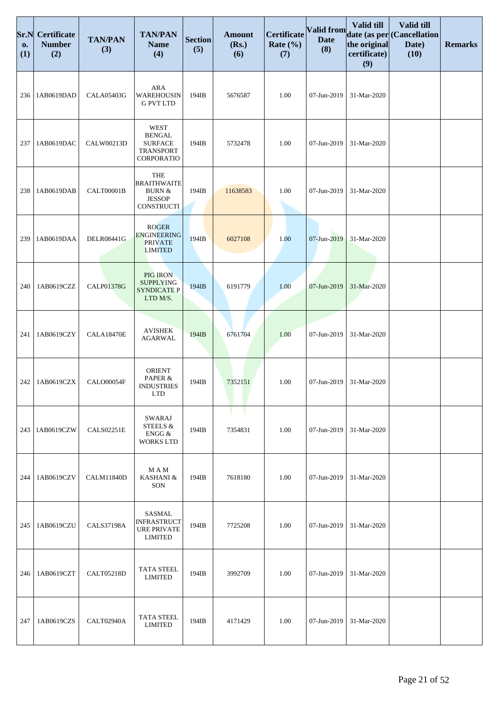| Sr.N<br>0.<br>(1) | <b>Certificate</b><br><b>Number</b><br>(2) | <b>TAN/PAN</b><br>(3) | <b>TAN/PAN</b><br><b>Name</b><br>(4)                                                 | <b>Section</b><br>(5) | <b>Amount</b><br>(Rs.)<br>(6) | Certificate<br>Rate $(\% )$<br>(7) | Valid from<br><b>Date</b><br>(8) | Valid till<br>the original<br>certificate)<br>(9) | Valid till<br>date (as per (Cancellation<br>Date)<br>(10) | <b>Remarks</b> |
|-------------------|--------------------------------------------|-----------------------|--------------------------------------------------------------------------------------|-----------------------|-------------------------------|------------------------------------|----------------------------------|---------------------------------------------------|-----------------------------------------------------------|----------------|
| 236               | 1AB0619DAD                                 | <b>CALA05403G</b>     | <b>ARA</b><br>WAREHOUSIN<br><b>G PVT LTD</b>                                         | 194IB                 | 5676587                       | 1.00                               | 07-Jun-2019                      | 31-Mar-2020                                       |                                                           |                |
| 237               | 1AB0619DAC                                 | CALW00213D            | <b>WEST</b><br><b>BENGAL</b><br><b>SURFACE</b><br><b>TRANSPORT</b><br>CORPORATIO     | 194IB                 | 5732478                       | 1.00                               | 07-Jun-2019                      | 31-Mar-2020                                       |                                                           |                |
| 238               | 1AB0619DAB                                 | CALT00001B            | <b>THE</b><br><b>BRAITHWAITE</b><br><b>BURN &amp;</b><br><b>JESSOP</b><br>CONSTRUCTI | 194IB                 | 11638583                      | 1.00                               | 07-Jun-2019                      | 31-Mar-2020                                       |                                                           |                |
| 239               | 1AB0619DAA                                 | <b>DELR08441G</b>     | <b>ROGER</b><br><b>ENGINEERING</b><br><b>PRIVATE</b><br><b>LIMITED</b>               | 194IB                 | 6027108                       | 1.00                               | 07-Jun-2019                      | 31-Mar-2020                                       |                                                           |                |
| 240               | 1AB0619CZZ                                 | <b>CALP01378G</b>     | <b>PIG IRON</b><br><b>SUPPLYING</b><br><b>SYNDICATE P</b><br>LTD M/S.                | 194IB                 | 6191779                       | 1.00                               | 07-Jun-2019                      | 31-Mar-2020                                       |                                                           |                |
| 241               | 1AB0619CZY                                 | <b>CALA18470E</b>     | <b>AVISHEK</b><br>AGARWAL                                                            | 194IB                 | 6761704                       | 1.00                               | 07-Jun-2019                      | 31-Mar-2020                                       |                                                           |                |
| 242               | 1AB0619CZX                                 | CALO00054F            | <b>ORIENT</b><br>PAPER &<br><b>INDUSTRIES</b><br>LTD                                 | 194IB                 | 7352151                       | 1.00                               | 07-Jun-2019                      | 31-Mar-2020                                       |                                                           |                |
| 243               | 1AB0619CZW                                 | <b>CALS02251E</b>     | <b>SWARAJ</b><br>STEELS &<br>ENGG &<br><b>WORKS LTD</b>                              | 194IB                 | 7354831                       | 1.00                               | 07-Jun-2019                      | 31-Mar-2020                                       |                                                           |                |
| 244               | 1AB0619CZV                                 | <b>CALM11840D</b>     | M A M<br>KASHANI &<br>SON                                                            | 194IB                 | 7618180                       | 1.00                               | 07-Jun-2019                      | 31-Mar-2020                                       |                                                           |                |
| 245               | 1AB0619CZU                                 | <b>CALS37198A</b>     | SASMAL<br><b>INFRASTRUCT</b><br><b>URE PRIVATE</b><br><b>LIMITED</b>                 | 194IB                 | 7725208                       | 1.00                               | 07-Jun-2019                      | 31-Mar-2020                                       |                                                           |                |
| 246               | 1AB0619CZT                                 | <b>CALT05218D</b>     | <b>TATA STEEL</b><br><b>LIMITED</b>                                                  | 194IB                 | 3992709                       | 1.00                               | 07-Jun-2019                      | 31-Mar-2020                                       |                                                           |                |
| 247               | 1AB0619CZS                                 | CALT02940A            | <b>TATA STEEL</b><br><b>LIMITED</b>                                                  | 194IB                 | 4171429                       | 1.00                               | 07-Jun-2019                      | 31-Mar-2020                                       |                                                           |                |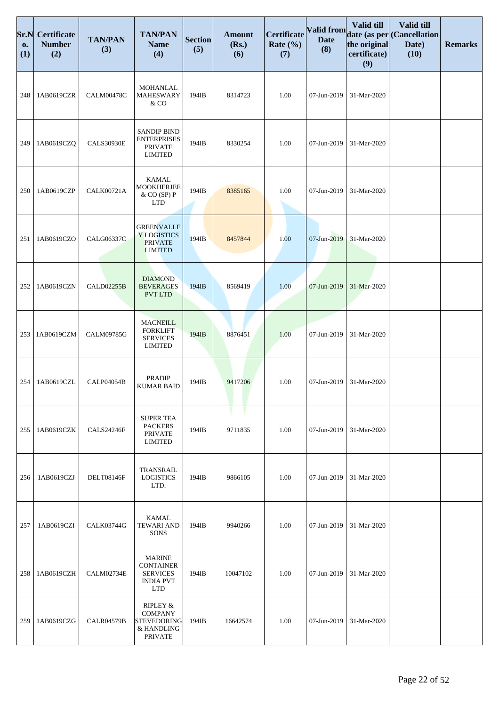| Sr.N<br>0.<br>(1) | Certificate<br><b>Number</b><br>(2) | <b>TAN/PAN</b><br>(3) | <b>TAN/PAN</b><br><b>Name</b><br>(4)                                                   | <b>Section</b><br>(5) | <b>Amount</b><br>(Rs.)<br>(6) | Certificate<br>Rate $(\% )$<br>(7) | Valid from<br><b>Date</b><br>(8) | Valid till<br>the original<br>certificate)<br>(9) | Valid till<br>date (as per (Cancellation<br>Date)<br>(10) | <b>Remarks</b> |
|-------------------|-------------------------------------|-----------------------|----------------------------------------------------------------------------------------|-----------------------|-------------------------------|------------------------------------|----------------------------------|---------------------------------------------------|-----------------------------------------------------------|----------------|
| 248               | 1AB0619CZR                          | CALM00478C            | MOHANLAL<br>MAHESWARY<br>& CO                                                          | 194IB                 | 8314723                       | 1.00                               | 07-Jun-2019                      | 31-Mar-2020                                       |                                                           |                |
| 249               | 1AB0619CZQ                          | <b>CALS30930E</b>     | <b>SANDIP BIND</b><br><b>ENTERPRISES</b><br><b>PRIVATE</b><br><b>LIMITED</b>           | 194IB                 | 8330254                       | 1.00                               | 07-Jun-2019                      | 31-Mar-2020                                       |                                                           |                |
| 250               | 1AB0619CZP                          | CALK00721A            | <b>KAMAL</b><br><b>MOOKHERJEE</b><br>& CO (SP) P<br><b>LTD</b>                         | 194IB                 | 8385165                       | 1.00                               | 07-Jun-2019                      | 31-Mar-2020                                       |                                                           |                |
| 251               | 1AB0619CZO                          | CALG06337C            | <b>GREENVALLE</b><br>Y LOGISTICS<br><b>PRIVATE</b><br><b>LIMITED</b>                   | 194IB                 | 8457844                       | 1.00                               | 07-Jun-2019                      | 31-Mar-2020                                       |                                                           |                |
| 252               | 1AB0619CZN                          | <b>CALD02255B</b>     | <b>DIAMOND</b><br><b>BEVERAGES</b><br><b>PVT LTD</b>                                   | 194IB                 | 8569419                       | 1.00                               | 07-Jun-2019                      | 31-Mar-2020                                       |                                                           |                |
| 253               | 1AB0619CZM                          | <b>CALM09785G</b>     | <b>MACNEILL</b><br><b>FORKLIFT</b><br><b>SERVICES</b><br><b>LIMITED</b>                | 194IB                 | 8876451                       | 1.00                               | 07-Jun-2019                      | 31-Mar-2020                                       |                                                           |                |
| 254               | 1AB0619CZL                          | CALP04054B            | <b>PRADIP</b><br><b>KUMAR BAID</b>                                                     | 194IB                 | 9417206                       | 1.00                               | 07-Jun-2019                      | 31-Mar-2020                                       |                                                           |                |
| 255               | 1AB0619CZK                          | <b>CALS24246F</b>     | <b>SUPER TEA</b><br><b>PACKERS</b><br><b>PRIVATE</b><br><b>LIMITED</b>                 | 194IB                 | 9711835                       | 1.00                               | 07-Jun-2019                      | 31-Mar-2020                                       |                                                           |                |
| 256               | 1AB0619CZJ                          | <b>DELT08146F</b>     | TRANSRAIL<br><b>LOGISTICS</b><br>LTD.                                                  | 194IB                 | 9866105                       | 1.00                               | 07-Jun-2019                      | 31-Mar-2020                                       |                                                           |                |
| 257               | 1AB0619CZI                          | <b>CALK03744G</b>     | KAMAL<br><b>TEWARI AND</b><br><b>SONS</b>                                              | 194IB                 | 9940266                       | 1.00                               | 07-Jun-2019                      | 31-Mar-2020                                       |                                                           |                |
| 258               | 1AB0619CZH                          | <b>CALM02734E</b>     | <b>MARINE</b><br><b>CONTAINER</b><br><b>SERVICES</b><br><b>INDIA PVT</b><br><b>LTD</b> | 194IB                 | 10047102                      | 1.00                               | 07-Jun-2019                      | 31-Mar-2020                                       |                                                           |                |
| 259               | 1AB0619CZG                          | <b>CALR04579B</b>     | RIPLEY &<br><b>COMPANY</b><br>STEVEDORING<br>& HANDLING<br><b>PRIVATE</b>              | 194IB                 | 16642574                      | 1.00                               | 07-Jun-2019                      | 31-Mar-2020                                       |                                                           |                |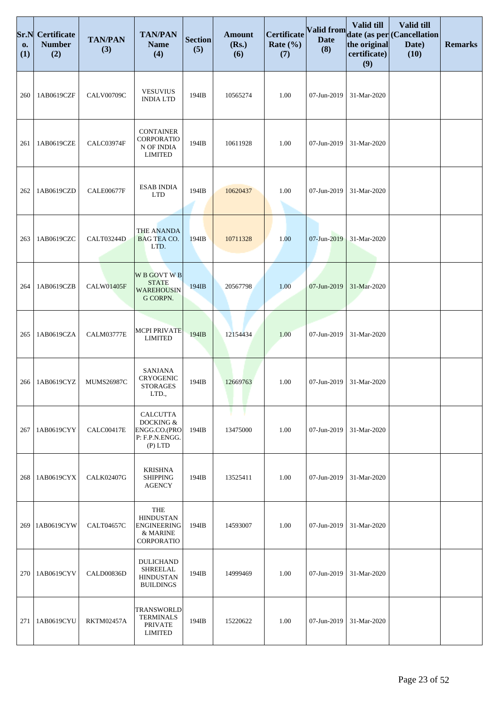| Sr.N<br>0.<br>(1) | Certificate<br><b>Number</b><br>(2) | <b>TAN/PAN</b><br>(3) | <b>TAN/PAN</b><br><b>Name</b><br>(4)                                           | <b>Section</b><br>(5) | <b>Amount</b><br>(Rs.)<br>(6) | <b>Certificate</b><br>Rate $(\% )$<br>(7) | <b>Valid from</b><br><b>Date</b><br>(8) | Valid till<br>the original<br>certificate)<br>(9) | Valid till<br>date (as per (Cancellation<br>Date)<br>(10) | <b>Remarks</b> |
|-------------------|-------------------------------------|-----------------------|--------------------------------------------------------------------------------|-----------------------|-------------------------------|-------------------------------------------|-----------------------------------------|---------------------------------------------------|-----------------------------------------------------------|----------------|
| 260               | 1AB0619CZF                          | <b>CALV00709C</b>     | <b>VESUVIUS</b><br><b>INDIA LTD</b>                                            | 194IB                 | 10565274                      | 1.00                                      | 07-Jun-2019                             | 31-Mar-2020                                       |                                                           |                |
| 261               | 1AB0619CZE                          | CALC03974F            | <b>CONTAINER</b><br>CORPORATIO<br>N OF INDIA<br><b>LIMITED</b>                 | 194IB                 | 10611928                      | 1.00                                      | 07-Jun-2019                             | 31-Mar-2020                                       |                                                           |                |
| 262               | 1AB0619CZD                          | <b>CALE00677F</b>     | <b>ESAB INDIA</b><br><b>LTD</b>                                                | 194IB                 | 10620437                      | 1.00                                      | 07-Jun-2019                             | 31-Mar-2020                                       |                                                           |                |
| 263               | 1AB0619CZC                          | <b>CALT03244D</b>     | <b>THE ANANDA</b><br><b>BAG TEA CO.</b><br>LTD.                                | 194IB                 | 10711328                      | 1.00                                      | 07-Jun-2019                             | 31-Mar-2020                                       |                                                           |                |
| 264               | 1AB0619CZB                          | <b>CALW01405F</b>     | <b>W B GOVT W B</b><br><b>STATE</b><br><b>WAREHOUSIN</b><br>G CORPN.           | 194IB                 | 20567798                      | 1.00                                      | 07-Jun-2019                             | 31-Mar-2020                                       |                                                           |                |
| 265               | 1AB0619CZA                          | <b>CALM03777E</b>     | <b>MCPI PRIVATE</b><br><b>LIMITED</b>                                          | 194IB                 | 12154434                      | 1.00                                      | 07-Jun-2019                             | 31-Mar-2020                                       |                                                           |                |
| 266               | 1AB0619CYZ                          | <b>MUMS26987C</b>     | <b>SANJANA</b><br><b>CRYOGENIC</b><br><b>STORAGES</b><br>LTD.,                 | 194IB                 | 12669763                      | 1.00                                      | 07-Jun-2019                             | 31-Mar-2020                                       |                                                           |                |
| 267               | 1AB0619CYY                          | CALC00417E            | <b>CALCUTTA</b><br>DOCKING &<br>ENGG.CO.(PRO<br>P: F.P.N.ENGG.<br>$(P)$ LTD    | 194IB                 | 13475000                      | 1.00                                      | 07-Jun-2019                             | 31-Mar-2020                                       |                                                           |                |
| 268               | 1AB0619CYX                          | <b>CALK02407G</b>     | <b>KRISHNA</b><br><b>SHIPPING</b><br><b>AGENCY</b>                             | 194IB                 | 13525411                      | 1.00                                      | 07-Jun-2019                             | 31-Mar-2020                                       |                                                           |                |
| 269               | 1AB0619CYW                          | <b>CALT04657C</b>     | <b>THE</b><br><b>HINDUSTAN</b><br><b>ENGINEERING</b><br>& MARINE<br>CORPORATIO | 194IB                 | 14593007                      | 1.00                                      | 07-Jun-2019                             | 31-Mar-2020                                       |                                                           |                |
| 270               | 1AB0619CYV                          | CALD00836D            | <b>DULICHAND</b><br><b>SHREELAL</b><br><b>HINDUSTAN</b><br><b>BUILDINGS</b>    | 194IB                 | 14999469                      | 1.00                                      | 07-Jun-2019                             | 31-Mar-2020                                       |                                                           |                |
| 271               | 1AB0619CYU                          | <b>RKTM02457A</b>     | <b>TRANSWORLD</b><br><b>TERMINALS</b><br><b>PRIVATE</b><br><b>LIMITED</b>      | 194IB                 | 15220622                      | 1.00                                      | 07-Jun-2019                             | 31-Mar-2020                                       |                                                           |                |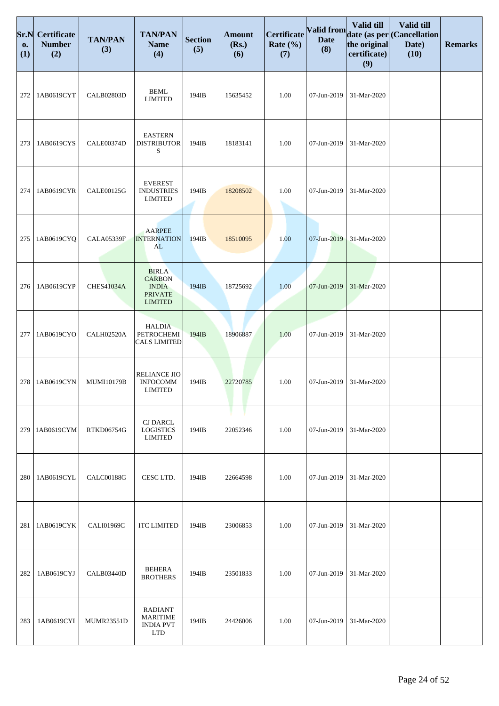| Sr.N<br>0.<br>(1) | <b>Certificate</b><br><b>Number</b><br>(2) | <b>TAN/PAN</b><br>(3) | <b>TAN/PAN</b><br><b>Name</b><br>(4)                                              | <b>Section</b><br>(5) | <b>Amount</b><br>(Rs.)<br>(6) | Certificate<br>Rate $(\% )$<br>(7) | <b>Valid from</b><br><b>Date</b><br>(8) | Valid till<br>the original<br>certificate)<br>(9) | Valid till<br>date (as per (Cancellation<br>Date)<br>(10) | <b>Remarks</b> |
|-------------------|--------------------------------------------|-----------------------|-----------------------------------------------------------------------------------|-----------------------|-------------------------------|------------------------------------|-----------------------------------------|---------------------------------------------------|-----------------------------------------------------------|----------------|
| 272               | 1AB0619CYT                                 | <b>CALB02803D</b>     | <b>BEML</b><br><b>LIMITED</b>                                                     | 194IB                 | 15635452                      | 1.00                               | 07-Jun-2019                             | 31-Mar-2020                                       |                                                           |                |
| 273               | 1AB0619CYS                                 | CALE00374D            | <b>EASTERN</b><br><b>DISTRIBUTOR</b><br>S                                         | 194IB                 | 18183141                      | 1.00                               | 07-Jun-2019                             | 31-Mar-2020                                       |                                                           |                |
| 274               | 1AB0619CYR                                 | CALE00125G            | <b>EVEREST</b><br><b>INDUSTRIES</b><br><b>LIMITED</b>                             | 194IB                 | 18208502                      | 1.00                               | 07-Jun-2019                             | 31-Mar-2020                                       |                                                           |                |
| 275               | 1AB0619CYQ                                 | <b>CALA05339F</b>     | <b>AARPEE</b><br><b>INTERNATION</b><br>AL                                         | 194IB                 | 18510095                      | 1.00                               | 07-Jun-2019                             | 31-Mar-2020                                       |                                                           |                |
| 276               | 1AB0619CYP                                 | <b>CHES41034A</b>     | <b>BIRLA</b><br><b>CARBON</b><br><b>INDIA</b><br><b>PRIVATE</b><br><b>LIMITED</b> | 194IB                 | 18725692                      | 1.00                               | 07-Jun-2019                             | 31-Mar-2020                                       |                                                           |                |
| 277               | 1AB0619CYO                                 | CALH02520A            | <b>HALDIA</b><br>PETROCHEMI<br><b>CALS LIMITED</b>                                | 194IB                 | 18906887                      | 1.00                               | 07-Jun-2019                             | 31-Mar-2020                                       |                                                           |                |
| 278               | 1AB0619CYN                                 | <b>MUMI10179B</b>     | RELIANCE JIO<br><b>INFOCOMM</b><br><b>LIMITED</b>                                 | 194IB                 | 22720785                      | 1.00                               | 07-Jun-2019                             | 31-Mar-2020                                       |                                                           |                |
| 279               | 1AB0619CYM                                 | <b>RTKD06754G</b>     | <b>CJ DARCL</b><br><b>LOGISTICS</b><br><b>LIMITED</b>                             | 194IB                 | 22052346                      | 1.00                               | 07-Jun-2019                             | 31-Mar-2020                                       |                                                           |                |
| 280               | 1AB0619CYL                                 | <b>CALC00188G</b>     | CESC LTD.                                                                         | 194IB                 | 22664598                      | 1.00                               | 07-Jun-2019                             | 31-Mar-2020                                       |                                                           |                |
| 281               | 1AB0619CYK                                 | <b>CALI01969C</b>     | <b>ITC LIMITED</b>                                                                | 194IB                 | 23006853                      | 1.00                               | 07-Jun-2019                             | 31-Mar-2020                                       |                                                           |                |
| 282               | 1AB0619CYJ                                 | CALB03440D            | <b>BEHERA</b><br><b>BROTHERS</b>                                                  | 194IB                 | 23501833                      | 1.00                               | 07-Jun-2019                             | 31-Mar-2020                                       |                                                           |                |
| 283               | 1AB0619CYI                                 | <b>MUMR23551D</b>     | <b>RADIANT</b><br><b>MARITIME</b><br><b>INDIA PVT</b><br><b>LTD</b>               | 194IB                 | 24426006                      | 1.00                               | 07-Jun-2019                             | 31-Mar-2020                                       |                                                           |                |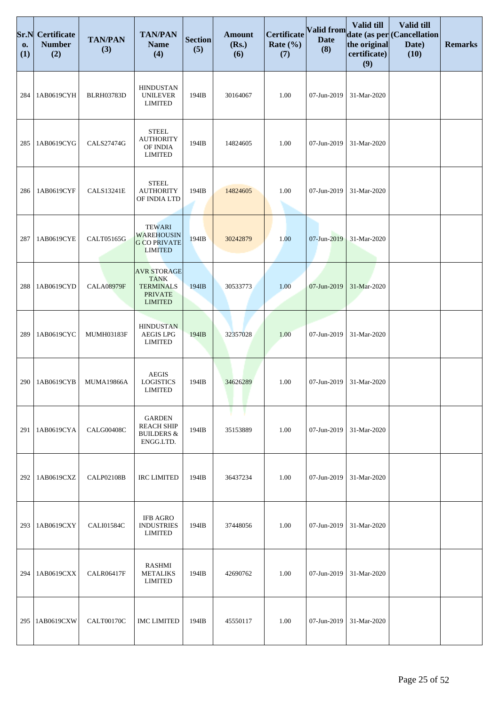| Sr.N<br>0.<br>(1) | <b>Certificate</b><br><b>Number</b><br>(2) | <b>TAN/PAN</b><br>(3) | <b>TAN/PAN</b><br><b>Name</b><br>(4)                                                      | <b>Section</b><br>(5) | <b>Amount</b><br>(Rs.)<br>(6) | Certificate<br>Rate $(\% )$<br>(7) | Valid from<br><b>Date</b><br>(8) | Valid till<br>the original<br>certificate)<br>(9) | Valid till<br>date (as per (Cancellation<br>Date)<br>(10) | <b>Remarks</b> |
|-------------------|--------------------------------------------|-----------------------|-------------------------------------------------------------------------------------------|-----------------------|-------------------------------|------------------------------------|----------------------------------|---------------------------------------------------|-----------------------------------------------------------|----------------|
| 284               | 1AB0619CYH                                 | <b>BLRH03783D</b>     | <b>HINDUSTAN</b><br><b>UNILEVER</b><br><b>LIMITED</b>                                     | 194IB                 | 30164067                      | 1.00                               | 07-Jun-2019                      | 31-Mar-2020                                       |                                                           |                |
| 285               | 1AB0619CYG                                 | CALS27474G            | <b>STEEL</b><br><b>AUTHORITY</b><br>OF INDIA<br><b>LIMITED</b>                            | 194IB                 | 14824605                      | 1.00                               | 07-Jun-2019                      | 31-Mar-2020                                       |                                                           |                |
| 286               | 1AB0619CYF                                 | <b>CALS13241E</b>     | <b>STEEL</b><br><b>AUTHORITY</b><br>OF INDIA LTD                                          | 194IB                 | 14824605                      | 1.00                               | 07-Jun-2019                      | 31-Mar-2020                                       |                                                           |                |
| 287               | 1AB0619CYE                                 | CALT05165G            | <b>TEWARI</b><br><b>WAREHOUSIN</b><br><b>G CO PRIVATE</b><br><b>LIMITED</b>               | 194IB                 | 30242879                      | 1.00                               | 07-Jun-2019                      | 31-Mar-2020                                       |                                                           |                |
| 288               | 1AB0619CYD                                 | <b>CALA08979F</b>     | <b>AVR STORAGE</b><br><b>TANK</b><br><b>TERMINALS</b><br><b>PRIVATE</b><br><b>LIMITED</b> | 194IB                 | 30533773                      | 1.00                               | 07-Jun-2019                      | 31-Mar-2020                                       |                                                           |                |
| 289               | 1AB0619CYC                                 | MUMH03183F            | <b>HINDUSTAN</b><br><b>AEGIS LPG</b><br><b>LIMITED</b>                                    | 194IB                 | 32357028                      | 1.00                               | 07-Jun-2019                      | 31-Mar-2020                                       |                                                           |                |
| 290               | 1AB0619CYB                                 | <b>MUMA19866A</b>     | <b>AEGIS</b><br><b>LOGISTICS</b><br><b>LIMITED</b>                                        | 194IB                 | 34626289                      | 1.00                               | 07-Jun-2019                      | 31-Mar-2020                                       |                                                           |                |
| 291               | 1AB0619CYA                                 | CALG00408C            | <b>GARDEN</b><br><b>REACH SHIP</b><br><b>BUILDERS &amp;</b><br>ENGG.LTD.                  | 194IB                 | 35153889                      | 1.00                               | 07-Jun-2019                      | 31-Mar-2020                                       |                                                           |                |
| 292               | 1AB0619CXZ                                 | <b>CALP02108B</b>     | <b>IRC LIMITED</b>                                                                        | 194IB                 | 36437234                      | 1.00                               | 07-Jun-2019                      | 31-Mar-2020                                       |                                                           |                |
| 293               | 1AB0619CXY                                 | CALI01584C            | <b>IFB AGRO</b><br><b>INDUSTRIES</b><br>LIMITED                                           | 194IB                 | 37448056                      | 1.00                               | 07-Jun-2019                      | 31-Mar-2020                                       |                                                           |                |
| 294               | 1AB0619CXX                                 | <b>CALR06417F</b>     | RASHMI<br><b>METALIKS</b><br>LIMITED                                                      | 194IB                 | 42690762                      | 1.00                               | 07-Jun-2019                      | 31-Mar-2020                                       |                                                           |                |
| 295               | 1AB0619CXW                                 | CALT00170C            | <b>IMC LIMITED</b>                                                                        | 194IB                 | 45550117                      | 1.00                               | 07-Jun-2019                      | 31-Mar-2020                                       |                                                           |                |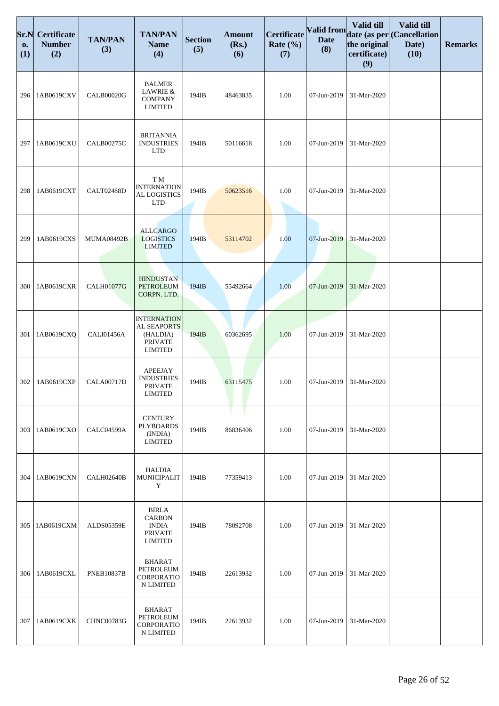| Sr.N<br>0.<br>(1) | <b>Certificate</b><br><b>Number</b><br>(2) | <b>TAN/PAN</b><br>(3) | <b>TAN/PAN</b><br><b>Name</b><br>(4)                                              | <b>Section</b><br>(5) | <b>Amount</b><br>(Rs.)<br>(6) | <b>Certificate</b><br>Rate $(\% )$<br>(7) | Valid from<br><b>Date</b><br>(8) | Valid till<br>the original<br>certificate)<br>(9) | Valid till<br>date (as per Cancellation<br>Date)<br>(10) | <b>Remarks</b> |
|-------------------|--------------------------------------------|-----------------------|-----------------------------------------------------------------------------------|-----------------------|-------------------------------|-------------------------------------------|----------------------------------|---------------------------------------------------|----------------------------------------------------------|----------------|
| 296               | 1AB0619CXV                                 | <b>CALB00020G</b>     | <b>BALMER</b><br>LAWRIE &<br><b>COMPANY</b><br><b>LIMITED</b>                     | 194IB                 | 48463835                      | 1.00                                      | 07-Jun-2019                      | 31-Mar-2020                                       |                                                          |                |
| 297               | 1AB0619CXU                                 | <b>CALB00275C</b>     | <b>BRITANNIA</b><br><b>INDUSTRIES</b><br><b>LTD</b>                               | 194IB                 | 50116618                      | 1.00                                      | 07-Jun-2019                      | 31-Mar-2020                                       |                                                          |                |
| 298               | 1AB0619CXT                                 | <b>CALT02488D</b>     | T M<br><b>INTERNATION</b><br>AL LOGISTICS<br><b>LTD</b>                           | 194IB                 | 50623516                      | 1.00                                      | 07-Jun-2019                      | 31-Mar-2020                                       |                                                          |                |
| 299               | 1AB0619CXS                                 | <b>MUMA08492B</b>     | <b>ALLCARGO</b><br><b>LOGISTICS</b><br><b>LIMITED</b>                             | 194IB                 | 53114702                      | 1.00                                      | 07-Jun-2019                      | 31-Mar-2020                                       |                                                          |                |
| 300               | 1AB0619CXR                                 | <b>CALH01077G</b>     | <b>HINDUSTAN</b><br><b>PETROLEUM</b><br>CORPN. LTD.                               | 194IB                 | 55492664                      | 1.00                                      | 07-Jun-2019                      | 31-Mar-2020                                       |                                                          |                |
| 301               | 1AB0619CXQ                                 | CALI01456A            | <b>INTERNATION</b><br>AL SEAPORTS<br>(HALDIA)<br><b>PRIVATE</b><br><b>LIMITED</b> | 194IB                 | 60362695                      | 1.00                                      | 07-Jun-2019                      | 31-Mar-2020                                       |                                                          |                |
| 302               | 1AB0619CXP                                 | <b>CALA00717D</b>     | <b>APEEJAY</b><br><b>INDUSTRIES</b><br><b>PRIVATE</b><br><b>LIMITED</b>           | 194IB                 | 63115475                      | 1.00                                      | 07-Jun-2019                      | 31-Mar-2020                                       |                                                          |                |
| 303               | 1AB0619CXO                                 | CALC04599A            | <b>CENTURY</b><br><b>PLYBOARDS</b><br>(INDIA)<br><b>LIMITED</b>                   | 194IB                 | 86836406                      | 1.00                                      | 07-Jun-2019                      | 31-Mar-2020                                       |                                                          |                |
| 304               | 1AB0619CXN                                 | CALH02640B            | <b>HALDIA</b><br>MUNICIPALIT<br>Y                                                 | 194IB                 | 77359413                      | 1.00                                      | 07-Jun-2019                      | 31-Mar-2020                                       |                                                          |                |
| 305               | 1AB0619CXM                                 | <b>ALDS05359E</b>     | <b>BIRLA</b><br><b>CARBON</b><br><b>INDIA</b><br><b>PRIVATE</b><br><b>LIMITED</b> | 194IB                 | 78092708                      | 1.00                                      | 07-Jun-2019                      | 31-Mar-2020                                       |                                                          |                |
| 306               | 1AB0619CXL                                 | <b>PNEB10837B</b>     | <b>BHARAT</b><br>PETROLEUM<br>CORPORATIO<br>N LIMITED                             | 194IB                 | 22613932                      | 1.00                                      | 07-Jun-2019                      | 31-Mar-2020                                       |                                                          |                |
| 307               | 1AB0619CXK                                 | <b>CHNC00783G</b>     | <b>BHARAT</b><br>PETROLEUM<br>CORPORATIO<br>N LIMITED                             | 194IB                 | 22613932                      | 1.00                                      | 07-Jun-2019                      | 31-Mar-2020                                       |                                                          |                |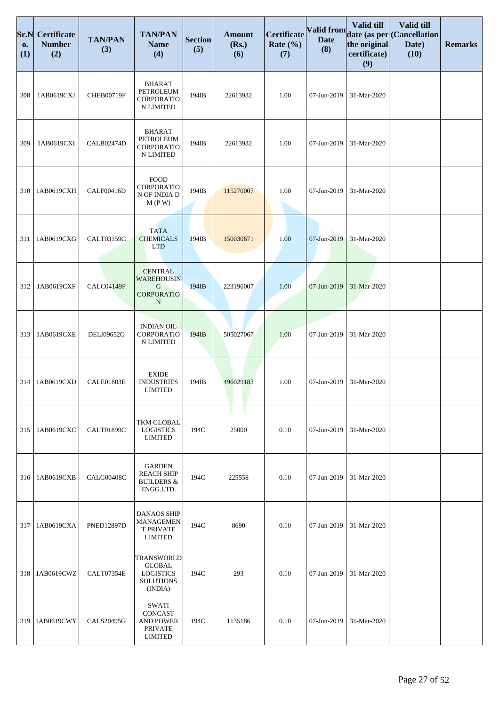| Sr.N<br>0.<br>(1) | Certificate<br><b>Number</b><br>(2) | <b>TAN/PAN</b><br>(3) | <b>TAN/PAN</b><br><b>Name</b><br>(4)                                                  | <b>Section</b><br>(5) | <b>Amount</b><br>(Rs.)<br>(6) | Certificate<br>Rate $(\% )$<br>(7) | <b>Valid from</b><br><b>Date</b><br>(8) | Valid till<br>the original<br>certificate)<br>(9) | Valid till<br>date (as per (Cancellation<br>Date)<br>(10) | <b>Remarks</b> |
|-------------------|-------------------------------------|-----------------------|---------------------------------------------------------------------------------------|-----------------------|-------------------------------|------------------------------------|-----------------------------------------|---------------------------------------------------|-----------------------------------------------------------|----------------|
| 308               | 1AB0619CXJ                          | <b>CHEB00719F</b>     | <b>BHARAT</b><br>PETROLEUM<br>CORPORATIO<br>N LIMITED                                 | 194IB                 | 22613932                      | 1.00                               | 07-Jun-2019                             | 31-Mar-2020                                       |                                                           |                |
| 309               | 1AB0619CXI                          | <b>CALB02474D</b>     | <b>BHARAT</b><br>PETROLEUM<br>CORPORATIO<br>N LIMITED                                 | 194IB                 | 22613932                      | 1.00                               | 07-Jun-2019                             | 31-Mar-2020                                       |                                                           |                |
| 310               | 1AB0619CXH                          | CALF00416D            | <b>FOOD</b><br>CORPORATIO<br>N OF INDIA D<br>M(P W)                                   | 194IB                 | 115270007                     | 1.00                               | 07-Jun-2019                             | 31-Mar-2020                                       |                                                           |                |
| 311               | 1AB0619CXG                          | CALT03159C            | <b>TATA</b><br><b>CHEMICALS</b><br><b>LTD</b>                                         | 194IB                 | 150030671                     | 1.00                               | 07-Jun-2019                             | 31-Mar-2020                                       |                                                           |                |
| 312               | 1AB0619CXF                          | CALC04149F            | <b>CENTRAL</b><br><b>WAREHOUSIN</b><br>G<br><b>CORPORATIO</b><br>$\mathbf N$          | 194IB                 | 223196007                     | 1.00                               | 07-Jun-2019                             | 31-Mar-2020                                       |                                                           |                |
| 313               | 1AB0619CXE                          | DELI09652G            | <b>INDIAN OIL</b><br>CORPORATIO<br>N LIMITED                                          | 194IB                 | 505027067                     | 1.00                               | 07-Jun-2019                             | 31-Mar-2020                                       |                                                           |                |
| 314               | 1AB0619CXD                          | CALE01803E            | <b>EXIDE</b><br><b>INDUSTRIES</b><br><b>LIMITED</b>                                   | 194IB                 | 496029183                     | 1.00                               | 07-Jun-2019                             | 31-Mar-2020                                       |                                                           |                |
| 315               | 1AB0619CXC                          | <b>CALT01899C</b>     | TKM GLOBAL<br><b>LOGISTICS</b><br><b>LIMITED</b>                                      | 194C                  | 25000                         | 0.10                               | 07-Jun-2019                             | 31-Mar-2020                                       |                                                           |                |
| 316               | 1AB0619CXB                          | <b>CALG00408C</b>     | <b>GARDEN</b><br><b>REACH SHIP</b><br><b>BUILDERS &amp;</b><br>ENGG.LTD.              | 194C                  | 225558                        | 0.10                               | 07-Jun-2019                             | 31-Mar-2020                                       |                                                           |                |
| 317               | 1AB0619CXA                          | <b>PNED12897D</b>     | <b>DANAOS SHIP</b><br><b>MANAGEMEN</b><br><b>T PRIVATE</b><br>LIMITED                 | 194C                  | 8690                          | 0.10                               | 07-Jun-2019                             | 31-Mar-2020                                       |                                                           |                |
| 318               | 1AB0619CWZ                          | CALT07354E            | <b>TRANSWORLD</b><br><b>GLOBAL</b><br><b>LOGISTICS</b><br><b>SOLUTIONS</b><br>(INDIA) | 194C                  | 293                           | 0.10                               | 07-Jun-2019                             | 31-Mar-2020                                       |                                                           |                |
| 319               | 1AB0619CWY                          | <b>CALS20495G</b>     | SWATI<br><b>CONCAST</b><br><b>AND POWER</b><br><b>PRIVATE</b><br><b>LIMITED</b>       | 194C                  | 1135186                       | 0.10                               | 07-Jun-2019                             | 31-Mar-2020                                       |                                                           |                |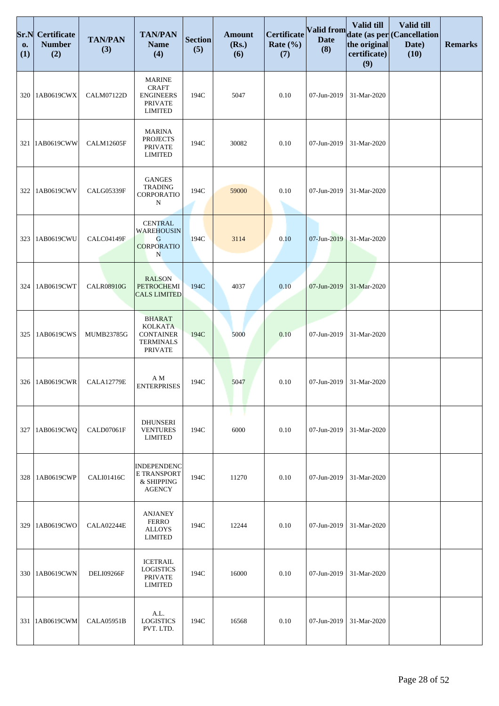| Sr.N<br>0.<br>(1) | <b>Certificate</b><br><b>Number</b><br>(2) | <b>TAN/PAN</b><br>(3) | <b>TAN/PAN</b><br><b>Name</b><br>(4)                                                      | <b>Section</b><br>(5) | <b>Amount</b><br>(Rs.)<br>(6) | Certificate<br>Rate $(\% )$<br>(7) | Valid from<br><b>Date</b><br>(8) | <b>Valid till</b><br>the original<br>certificate)<br>(9) | Valid till<br>date (as per (Cancellation<br>Date)<br>(10) | <b>Remarks</b> |
|-------------------|--------------------------------------------|-----------------------|-------------------------------------------------------------------------------------------|-----------------------|-------------------------------|------------------------------------|----------------------------------|----------------------------------------------------------|-----------------------------------------------------------|----------------|
| 320               | 1AB0619CWX                                 | CALM07122D            | <b>MARINE</b><br><b>CRAFT</b><br><b>ENGINEERS</b><br><b>PRIVATE</b><br><b>LIMITED</b>     | 194C                  | 5047                          | 0.10                               | 07-Jun-2019                      | 31-Mar-2020                                              |                                                           |                |
| 321               | 1AB0619CWW                                 | <b>CALM12605F</b>     | <b>MARINA</b><br><b>PROJECTS</b><br><b>PRIVATE</b><br><b>LIMITED</b>                      | 194C                  | 30082                         | 0.10                               | 07-Jun-2019                      | 31-Mar-2020                                              |                                                           |                |
| 322               | 1AB0619CWV                                 | <b>CALG05339F</b>     | <b>GANGES</b><br><b>TRADING</b><br>CORPORATIO<br>N                                        | 194C                  | 59000                         | 0.10                               | 07-Jun-2019                      | 31-Mar-2020                                              |                                                           |                |
| 323               | 1AB0619CWU                                 | CALC04149F            | <b>CENTRAL</b><br><b>WAREHOUSIN</b><br>G<br><b>CORPORATIO</b><br>N                        | 194C                  | 3114                          | 0.10                               | 07-Jun-2019                      | 31-Mar-2020                                              |                                                           |                |
| 324               | 1AB0619CWT                                 | <b>CALR08910G</b>     | <b>RALSON</b><br><b>PETROCHEMI</b><br><b>CALS LIMITED</b>                                 | 194C                  | 4037                          | 0.10                               | 07-Jun-2019                      | 31-Mar-2020                                              |                                                           |                |
| 325               | 1AB0619CWS                                 | MUMB23785G            | <b>BHARAT</b><br><b>KOLKATA</b><br><b>CONTAINER</b><br><b>TERMINALS</b><br><b>PRIVATE</b> | 194C                  | 5000                          | 0.10                               | 07-Jun-2019                      | 31-Mar-2020                                              |                                                           |                |
| 326               | 1AB0619CWR                                 | <b>CALA12779E</b>     | ΑM<br><b>ENTERPRISES</b>                                                                  | 194C                  | 5047                          | 0.10                               | 07-Jun-2019                      | 31-Mar-2020                                              |                                                           |                |
| 327               | 1AB0619CWQ                                 | CALD07061F            | <b>DHUNSERI</b><br><b>VENTURES</b><br><b>LIMITED</b>                                      | 194C                  | 6000                          | 0.10                               | 07-Jun-2019                      | 31-Mar-2020                                              |                                                           |                |
| 328               | 1AB0619CWP                                 | <b>CALI01416C</b>     | <b>INDEPENDENC</b><br>E TRANSPORT<br>& SHIPPING<br><b>AGENCY</b>                          | 194C                  | 11270                         | 0.10                               | 07-Jun-2019                      | 31-Mar-2020                                              |                                                           |                |
| 329               | 1AB0619CWO                                 | CALA02244E            | <b>ANJANEY</b><br><b>FERRO</b><br><b>ALLOYS</b><br><b>LIMITED</b>                         | 194C                  | 12244                         | 0.10                               | 07-Jun-2019                      | 31-Mar-2020                                              |                                                           |                |
| 330               | 1AB0619CWN                                 | <b>DELI09266F</b>     | <b>ICETRAIL</b><br><b>LOGISTICS</b><br><b>PRIVATE</b><br><b>LIMITED</b>                   | 194C                  | 16000                         | 0.10                               | 07-Jun-2019                      | 31-Mar-2020                                              |                                                           |                |
| 331               | 1AB0619CWM                                 | CALA05951B            | A.L.<br><b>LOGISTICS</b><br>PVT. LTD.                                                     | 194C                  | 16568                         | 0.10                               | 07-Jun-2019                      | 31-Mar-2020                                              |                                                           |                |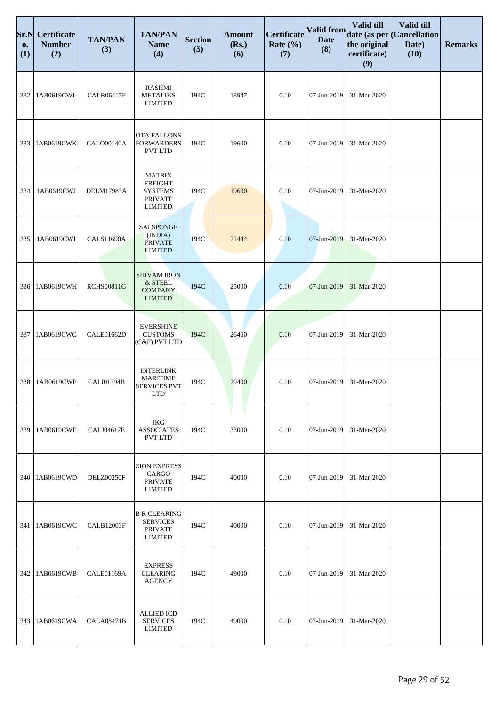| Sr.N<br>0.<br>(1) | Certificate<br><b>Number</b><br>(2) | <b>TAN/PAN</b><br>(3) | <b>TAN/PAN</b><br><b>Name</b><br>(4)                                                  | <b>Section</b><br>(5) | <b>Amount</b><br>(Rs.)<br>(6) | Certificate<br>Rate $(\% )$<br>(7) | Valid from<br><b>Date</b><br>(8) | Valid till<br>the original<br>certificate)<br>(9) | Valid till<br>date (as per (Cancellation<br>Date)<br>(10) | <b>Remarks</b> |
|-------------------|-------------------------------------|-----------------------|---------------------------------------------------------------------------------------|-----------------------|-------------------------------|------------------------------------|----------------------------------|---------------------------------------------------|-----------------------------------------------------------|----------------|
| 332               | 1AB0619CWL                          | <b>CALR06417F</b>     | <b>RASHMI</b><br><b>METALIKS</b><br><b>LIMITED</b>                                    | 194C                  | 18947                         | 0.10                               | 07-Jun-2019                      | 31-Mar-2020                                       |                                                           |                |
| 333               | 1AB0619CWK                          | <b>CALO00140A</b>     | <b>OTA FALLONS</b><br><b>FORWARDERS</b><br>PVT LTD                                    | 194C                  | 19600                         | 0.10                               | 07-Jun-2019                      | 31-Mar-2020                                       |                                                           |                |
| 334               | 1AB0619CWJ                          | <b>DELM17983A</b>     | <b>MATRIX</b><br><b>FREIGHT</b><br><b>SYSTEMS</b><br><b>PRIVATE</b><br><b>LIMITED</b> | 194C                  | 19600                         | 0.10                               | 07-Jun-2019                      | 31-Mar-2020                                       |                                                           |                |
| 335               | 1AB0619CWI                          | <b>CALS11690A</b>     | <b>SAI SPONGE</b><br>(INDIA)<br><b>PRIVATE</b><br><b>LIMITED</b>                      | 194C                  | 22444                         | 0.10                               | 07-Jun-2019                      | 31-Mar-2020                                       |                                                           |                |
| 336               | 1AB0619CWH                          | <b>RCHS00811G</b>     | <b>SHIVAM IRON</b><br>& STEEL<br><b>COMPANY</b><br><b>LIMITED</b>                     | 194C                  | 25000                         | 0.10                               | 07-Jun-2019                      | 31-Mar-2020                                       |                                                           |                |
| 337               | 1AB0619CWG                          | CALE01662D            | <b>EVERSHINE</b><br><b>CUSTOMS</b><br>(C&F) PVT LTD                                   | 194C                  | 26460                         | 0.10                               | 07-Jun-2019                      | 31-Mar-2020                                       |                                                           |                |
| 338               | 1AB0619CWF                          | CALI01394B            | <b>INTERLINK</b><br><b>MARITIME</b><br><b>SERVICES PVT</b><br><b>LTD</b>              | 194C                  | 29400                         | 0.10                               | 07-Jun-2019                      | 31-Mar-2020                                       |                                                           |                |
| 339               | 1AB0619CWE                          | <b>CALJ04617E</b>     | JKG<br><b>ASSOCIATES</b><br><b>PVT LTD</b>                                            | 194C                  | 33000                         | 0.10                               | 07-Jun-2019                      | 31-Mar-2020                                       |                                                           |                |
| 340               | 1AB0619CWD                          | <b>DELZ00250F</b>     | <b>ZION EXPRESS</b><br>CARGO<br><b>PRIVATE</b><br><b>LIMITED</b>                      | 194C                  | 40000                         | 0.10                               | 07-Jun-2019                      | 31-Mar-2020                                       |                                                           |                |
| 341               | 1AB0619CWC                          | <b>CALB12003F</b>     | <b>B R CLEARING</b><br><b>SERVICES</b><br><b>PRIVATE</b><br><b>LIMITED</b>            | 194C                  | 40000                         | 0.10                               | 07-Jun-2019                      | 31-Mar-2020                                       |                                                           |                |
| 342               | 1AB0619CWB                          | CALE01169A            | <b>EXPRESS</b><br><b>CLEARING</b><br><b>AGENCY</b>                                    | 194C                  | 49000                         | 0.10                               | 07-Jun-2019                      | 31-Mar-2020                                       |                                                           |                |
| 343               | 1AB0619CWA                          | CALA08471B            | <b>ALLIED ICD</b><br><b>SERVICES</b><br><b>LIMITED</b>                                | 194C                  | 49000                         | 0.10                               | 07-Jun-2019                      | 31-Mar-2020                                       |                                                           |                |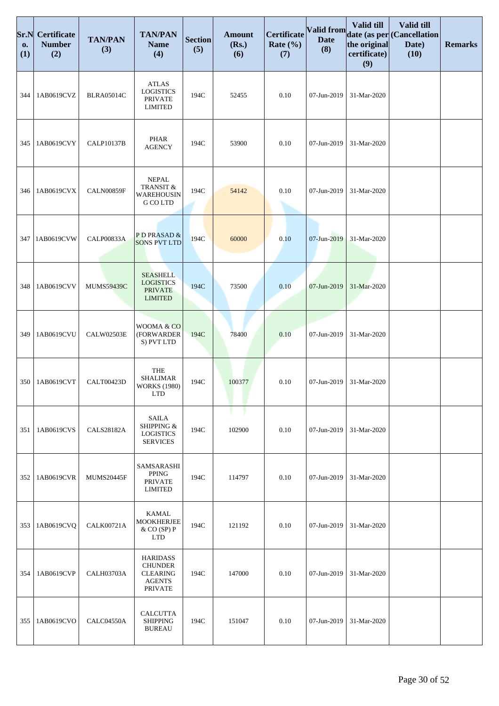| Sr.N<br>0.<br>(1) | Certificate<br><b>Number</b><br>(2) | <b>TAN/PAN</b><br>(3) | <b>TAN/PAN</b><br><b>Name</b><br>(4)                                                    | <b>Section</b><br>(5) | <b>Amount</b><br>(Rs.)<br>(6) | Certificate<br>Rate $(\% )$<br>(7) | Valid from<br><b>Date</b><br>(8) | Valid till<br>the original<br>certificate)<br>(9) | Valid till<br>date (as per (Cancellation<br>Date)<br>(10) | <b>Remarks</b> |
|-------------------|-------------------------------------|-----------------------|-----------------------------------------------------------------------------------------|-----------------------|-------------------------------|------------------------------------|----------------------------------|---------------------------------------------------|-----------------------------------------------------------|----------------|
| 344               | 1AB0619CVZ                          | <b>BLRA05014C</b>     | <b>ATLAS</b><br><b>LOGISTICS</b><br><b>PRIVATE</b><br><b>LIMITED</b>                    | 194C                  | 52455                         | 0.10                               | 07-Jun-2019                      | 31-Mar-2020                                       |                                                           |                |
| 345               | 1AB0619CVY                          | <b>CALP10137B</b>     | <b>PHAR</b><br><b>AGENCY</b>                                                            | 194C                  | 53900                         | 0.10                               | 07-Jun-2019                      | 31-Mar-2020                                       |                                                           |                |
| 346               | 1AB0619CVX                          | CALN00859F            | <b>NEPAL</b><br>TRANSIT &<br>WAREHOUSIN<br>G CO LTD                                     | 194C                  | 54142                         | 0.10                               | 07-Jun-2019                      | 31-Mar-2020                                       |                                                           |                |
| 347               | 1AB0619CVW                          | <b>CALP00833A</b>     | PD PRASAD &<br><b>SONS PVT LTD</b>                                                      | 194C                  | 60000                         | 0.10                               | 07-Jun-2019                      | 31-Mar-2020                                       |                                                           |                |
| 348               | 1AB0619CVV                          | <b>MUMS59439C</b>     | <b>SEASHELL</b><br><b>LOGISTICS</b><br><b>PRIVATE</b><br><b>LIMITED</b>                 | 194C                  | 73500                         | 0.10                               | 07-Jun-2019                      | 31-Mar-2020                                       |                                                           |                |
| 349               | 1AB0619CVU                          | CALW02503E            | WOOMA & CO<br>(FORWARDER<br>S) PVT LTD                                                  | 194C                  | 78400                         | 0.10                               | 07-Jun-2019                      | 31-Mar-2020                                       |                                                           |                |
| 350               | 1AB0619CVT                          | CALT00423D            | <b>THE</b><br><b>SHALIMAR</b><br><b>WORKS (1980)</b><br><b>LTD</b>                      | 194C                  | 100377                        | 0.10                               | 07-Jun-2019                      | 31-Mar-2020                                       |                                                           |                |
| 351               | 1AB0619CVS                          | <b>CALS28182A</b>     | <b>SAILA</b><br>SHIPPING &<br><b>LOGISTICS</b><br><b>SERVICES</b>                       | 194C                  | 102900                        | 0.10                               | 07-Jun-2019                      | 31-Mar-2020                                       |                                                           |                |
| 352               | 1AB0619CVR                          | <b>MUMS20445F</b>     | SAMSARASHI<br>PPING<br><b>PRIVATE</b><br><b>LIMITED</b>                                 | 194C                  | 114797                        | 0.10                               | 07-Jun-2019                      | 31-Mar-2020                                       |                                                           |                |
| 353               | 1AB0619CVQ                          | <b>CALK00721A</b>     | <b>KAMAL</b><br><b>MOOKHERJEE</b><br>$&$ CO (SP) P<br><b>LTD</b>                        | 194C                  | 121192                        | 0.10                               | 07-Jun-2019                      | 31-Mar-2020                                       |                                                           |                |
| 354               | 1AB0619CVP                          | <b>CALH03703A</b>     | <b>HARIDASS</b><br><b>CHUNDER</b><br><b>CLEARING</b><br><b>AGENTS</b><br><b>PRIVATE</b> | 194C                  | 147000                        | 0.10                               | 07-Jun-2019                      | 31-Mar-2020                                       |                                                           |                |
| 355               | 1AB0619CVO                          | CALC04550A            | CALCUTTA<br><b>SHIPPING</b><br><b>BUREAU</b>                                            | 194C                  | 151047                        | 0.10                               | 07-Jun-2019                      | 31-Mar-2020                                       |                                                           |                |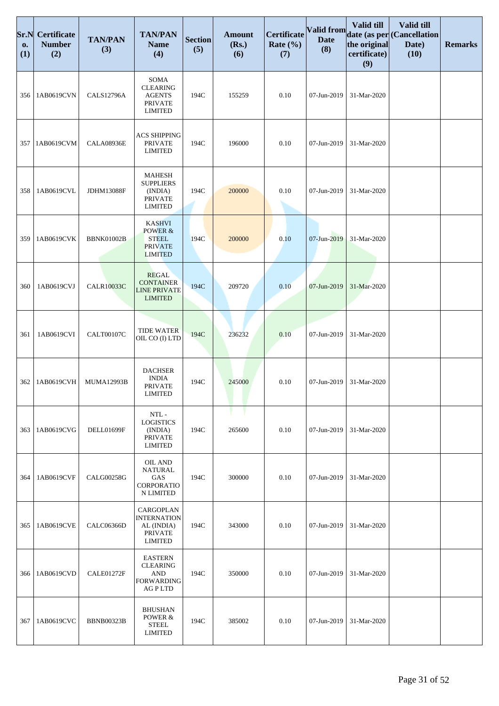| Sr.N<br>0.<br>(1) | <b>Certificate</b><br><b>Number</b><br>(2) | <b>TAN/PAN</b><br>(3) | <b>TAN/PAN</b><br><b>Name</b><br>(4)                                                  | <b>Section</b><br>(5) | <b>Amount</b><br>(Rs.)<br>(6) | <b>Certificate</b><br>Rate $(\% )$<br>(7) | Valid from<br><b>Date</b><br>(8) | Valid till<br>the original<br>certificate)<br>(9) | Valid till<br>date (as per Cancellation<br>Date)<br>(10) | <b>Remarks</b> |
|-------------------|--------------------------------------------|-----------------------|---------------------------------------------------------------------------------------|-----------------------|-------------------------------|-------------------------------------------|----------------------------------|---------------------------------------------------|----------------------------------------------------------|----------------|
| 356               | 1AB0619CVN                                 | <b>CALS12796A</b>     | SOMA<br><b>CLEARING</b><br><b>AGENTS</b><br><b>PRIVATE</b><br><b>LIMITED</b>          | 194C                  | 155259                        | 0.10                                      | 07-Jun-2019                      | 31-Mar-2020                                       |                                                          |                |
| 357               | 1AB0619CVM                                 | <b>CALA08936E</b>     | <b>ACS SHIPPING</b><br><b>PRIVATE</b><br><b>LIMITED</b>                               | 194C                  | 196000                        | 0.10                                      | 07-Jun-2019                      | 31-Mar-2020                                       |                                                          |                |
| 358               | 1AB0619CVL                                 | <b>JDHM13088F</b>     | <b>MAHESH</b><br><b>SUPPLIERS</b><br>(INDIA)<br><b>PRIVATE</b><br><b>LIMITED</b>      | 194C                  | 200000                        | 0.10                                      | 07-Jun-2019                      | 31-Mar-2020                                       |                                                          |                |
| 359               | 1AB0619CVK                                 | <b>BBNK01002B</b>     | <b>KASHVI</b><br>POWER &<br><b>STEEL</b><br><b>PRIVATE</b><br><b>LIMITED</b>          | 194C                  | 200000                        | 0.10                                      | 07-Jun-2019                      | 31-Mar-2020                                       |                                                          |                |
| 360               | 1AB0619CVJ                                 | <b>CALR10033C</b>     | <b>REGAL</b><br><b>CONTAINER</b><br><b>LINE PRIVATE</b><br><b>LIMITED</b>             | 194C                  | 209720                        | 0.10                                      | 07-Jun-2019                      | 31-Mar-2020                                       |                                                          |                |
| 361               | 1AB0619CVI                                 | <b>CALT00107C</b>     | <b>TIDE WATER</b><br>OIL CO (I) LTD                                                   | 194C                  | 236232                        | 0.10                                      | 07-Jun-2019                      | 31-Mar-2020                                       |                                                          |                |
| 362               | 1AB0619CVH                                 | <b>MUMA12993B</b>     | <b>DACHSER</b><br><b>INDIA</b><br><b>PRIVATE</b><br><b>LIMITED</b>                    | 194C                  | 245000                        | 0.10                                      | 07-Jun-2019                      | 31-Mar-2020                                       |                                                          |                |
| 363               | 1AB0619CVG                                 | DELL01699F            | NTL-<br><b>LOGISTICS</b><br>(INDIA)<br><b>PRIVATE</b><br><b>LIMITED</b>               | 194C                  | 265600                        | 0.10                                      | 07-Jun-2019                      | 31-Mar-2020                                       |                                                          |                |
| 364               | 1AB0619CVF                                 | <b>CALG00258G</b>     | <b>OIL AND</b><br>NATURAL<br>GAS<br><b>CORPORATIO</b><br>N LIMITED                    | 194C                  | 300000                        | 0.10                                      | 07-Jun-2019                      | 31-Mar-2020                                       |                                                          |                |
| 365               | 1AB0619CVE                                 | CALC06366D            | CARGOPLAN<br><b>INTERNATION</b><br>AL (INDIA)<br><b>PRIVATE</b><br><b>LIMITED</b>     | 194C                  | 343000                        | 0.10                                      | 07-Jun-2019                      | 31-Mar-2020                                       |                                                          |                |
| 366               | 1AB0619CVD                                 | CALE01272F            | <b>EASTERN</b><br><b>CLEARING</b><br><b>AND</b><br><b>FORWARDING</b><br><b>AGPLTD</b> | 194C                  | 350000                        | 0.10                                      | 07-Jun-2019                      | 31-Mar-2020                                       |                                                          |                |
| 367               | 1AB0619CVC                                 | <b>BBNB00323B</b>     | <b>BHUSHAN</b><br>POWER &<br><b>STEEL</b><br><b>LIMITED</b>                           | 194C                  | 385002                        | 0.10                                      | 07-Jun-2019                      | 31-Mar-2020                                       |                                                          |                |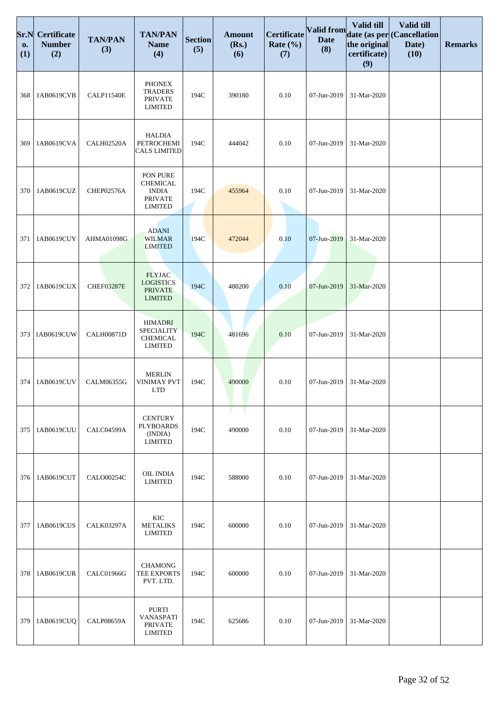| Sr.N<br>0.<br>(1) | <b>Certificate</b><br><b>Number</b><br>(2) | <b>TAN/PAN</b><br>(3) | <b>TAN/PAN</b><br><b>Name</b><br>(4)                                            | <b>Section</b><br>(5) | <b>Amount</b><br>(Rs.)<br>(6) | Certificate<br>Rate $(\% )$<br>(7) | Valid from<br><b>Date</b><br>(8) | Valid till<br>the original<br>certificate)<br>(9) | Valid till<br>date (as per (Cancellation<br>Date)<br>(10) | <b>Remarks</b> |
|-------------------|--------------------------------------------|-----------------------|---------------------------------------------------------------------------------|-----------------------|-------------------------------|------------------------------------|----------------------------------|---------------------------------------------------|-----------------------------------------------------------|----------------|
| 368               | 1AB0619CVB                                 | <b>CALP11540E</b>     | <b>PHONEX</b><br><b>TRADERS</b><br><b>PRIVATE</b><br><b>LIMITED</b>             | 194C                  | 390180                        | 0.10                               | 07-Jun-2019                      | 31-Mar-2020                                       |                                                           |                |
| 369               | 1AB0619CVA                                 | CALH02520A            | <b>HALDIA</b><br>PETROCHEMI<br><b>CALS LIMITED</b>                              | 194C                  | 444042                        | 0.10                               | 07-Jun-2019                      | 31-Mar-2020                                       |                                                           |                |
| 370               | 1AB0619CUZ                                 | CHEP02576A            | PON PURE<br><b>CHEMICAL</b><br><b>INDIA</b><br><b>PRIVATE</b><br><b>LIMITED</b> | 194C                  | 455964                        | 0.10                               | 07-Jun-2019                      | 31-Mar-2020                                       |                                                           |                |
| 371               | 1AB0619CUY                                 | AHMA01098G            | <b>ADANI</b><br><b>WILMAR</b><br><b>LIMITED</b>                                 | 194C                  | 472044                        | 0.10                               | 07-Jun-2019                      | 31-Mar-2020                                       |                                                           |                |
| 372               | 1AB0619CUX                                 | <b>CHEF03287E</b>     | <b>FLYJAC</b><br><b>LOGISTICS</b><br><b>PRIVATE</b><br><b>LIMITED</b>           | 194C                  | 480200                        | 0.10                               | 07-Jun-2019                      | 31-Mar-2020                                       |                                                           |                |
| 373               | 1AB0619CUW                                 | <b>CALH00871D</b>     | <b>HIMADRI</b><br><b>SPECIALITY</b><br><b>CHEMICAL</b><br><b>LIMITED</b>        | 194C                  | 481696                        | 0.10                               | 07-Jun-2019                      | 31-Mar-2020                                       |                                                           |                |
| 374               | 1AB0619CUV                                 | CALM06355G            | <b>MERLIN</b><br><b>VINIMAY PVT</b><br><b>LTD</b>                               | 194C                  | 490000                        | 0.10                               | 07-Jun-2019                      | 31-Mar-2020                                       |                                                           |                |
| 375               | 1AB0619CUU                                 | CALC04599A            | <b>CENTURY</b><br><b>PLYBOARDS</b><br>(INDIA)<br><b>LIMITED</b>                 | 194C                  | 490000                        | 0.10                               | 07-Jun-2019                      | 31-Mar-2020                                       |                                                           |                |
| 376               | 1AB0619CUT                                 | <b>CALO00254C</b>     | <b>OIL INDIA</b><br><b>LIMITED</b>                                              | 194C                  | 588000                        | 0.10                               | 07-Jun-2019                      | 31-Mar-2020                                       |                                                           |                |
| 377               | 1AB0619CUS                                 | <b>CALK03297A</b>     | <b>KIC</b><br><b>METALIKS</b><br><b>LIMITED</b>                                 | 194C                  | 600000                        | 0.10                               | 07-Jun-2019                      | 31-Mar-2020                                       |                                                           |                |
| 378               | 1AB0619CUR                                 | <b>CALC01966G</b>     | <b>CHAMONG</b><br>TEE EXPORTS<br>PVT. LTD.                                      | 194C                  | 600000                        | 0.10                               | 07-Jun-2019                      | 31-Mar-2020                                       |                                                           |                |
| 379               | 1AB0619CUQ                                 | <b>CALP08659A</b>     | PURTI<br>VANASPATI<br><b>PRIVATE</b><br><b>LIMITED</b>                          | 194C                  | 625686                        | 0.10                               | 07-Jun-2019                      | 31-Mar-2020                                       |                                                           |                |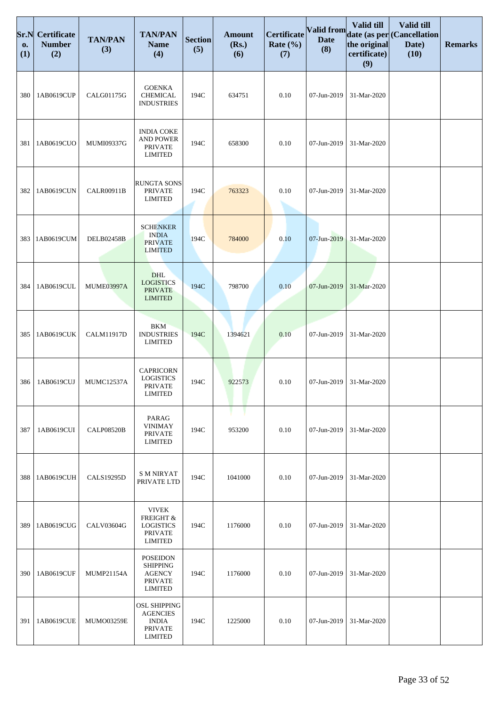| Sr.N<br>0.<br>(1) | <b>Certificate</b><br><b>Number</b><br>(2) | <b>TAN/PAN</b><br>(3) | <b>TAN/PAN</b><br><b>Name</b><br>(4)                                                       | <b>Section</b><br>(5) | <b>Amount</b><br>(Rs.)<br>(6) | <b>Certificate</b><br>Rate $(\% )$<br>(7) | Valid from<br><b>Date</b><br>(8) | Valid till<br>the original<br>certificate)<br>(9) | Valid till<br>date (as per Cancellation<br>Date)<br>(10) | <b>Remarks</b> |
|-------------------|--------------------------------------------|-----------------------|--------------------------------------------------------------------------------------------|-----------------------|-------------------------------|-------------------------------------------|----------------------------------|---------------------------------------------------|----------------------------------------------------------|----------------|
| 380               | 1AB0619CUP                                 | CALG01175G            | <b>GOENKA</b><br>CHEMICAL<br><b>INDUSTRIES</b>                                             | 194C                  | 634751                        | 0.10                                      | 07-Jun-2019                      | 31-Mar-2020                                       |                                                          |                |
| 381               | 1AB0619CUO                                 | MUMI09337G            | <b>INDIA COKE</b><br><b>AND POWER</b><br><b>PRIVATE</b><br><b>LIMITED</b>                  | 194C                  | 658300                        | 0.10                                      | 07-Jun-2019                      | 31-Mar-2020                                       |                                                          |                |
| 382               | 1AB0619CUN                                 | <b>CALR00911B</b>     | <b>RUNGTA SONS</b><br><b>PRIVATE</b><br><b>LIMITED</b>                                     | 194C                  | 763323                        | 0.10                                      | 07-Jun-2019                      | 31-Mar-2020                                       |                                                          |                |
| 383               | 1AB0619CUM                                 | <b>DELB02458B</b>     | <b>SCHENKER</b><br><b>INDIA</b><br><b>PRIVATE</b><br><b>LIMITED</b>                        | 194C                  | 784000                        | 0.10                                      | 07-Jun-2019                      | 31-Mar-2020                                       |                                                          |                |
| 384               | 1AB0619CUL                                 | <b>MUME03997A</b>     | <b>DHL</b><br><b>LOGISTICS</b><br><b>PRIVATE</b><br><b>LIMITED</b>                         | 194C                  | 798700                        | 0.10                                      | 07-Jun-2019                      | 31-Mar-2020                                       |                                                          |                |
| 385               | 1AB0619CUK                                 | <b>CALM11917D</b>     | <b>BKM</b><br><b>INDUSTRIES</b><br><b>LIMITED</b>                                          | 194C                  | 1394621                       | 0.10                                      | 07-Jun-2019                      | 31-Mar-2020                                       |                                                          |                |
| 386               | 1AB0619CUJ                                 | <b>MUMC12537A</b>     | <b>CAPRICORN</b><br><b>LOGISTICS</b><br><b>PRIVATE</b><br>LIMITED                          | 194C                  | 922573                        | 0.10                                      | 07-Jun-2019                      | 31-Mar-2020                                       |                                                          |                |
| 387               | 1AB0619CUI                                 | <b>CALP08520B</b>     | PARAG<br><b>VINIMAY</b><br><b>PRIVATE</b><br><b>LIMITED</b>                                | 194C                  | 953200                        | 0.10                                      | 07-Jun-2019                      | 31-Mar-2020                                       |                                                          |                |
| 388               | 1AB0619CUH                                 | <b>CALS19295D</b>     | S M NIRYAT<br>PRIVATE LTD                                                                  | 194C                  | 1041000                       | 0.10                                      | 07-Jun-2019                      | 31-Mar-2020                                       |                                                          |                |
| 389               | 1AB0619CUG                                 | <b>CALV03604G</b>     | <b>VIVEK</b><br>FREIGHT &<br><b>LOGISTICS</b><br><b>PRIVATE</b><br><b>LIMITED</b>          | 194C                  | 1176000                       | 0.10                                      | 07-Jun-2019                      | 31-Mar-2020                                       |                                                          |                |
| 390               | 1AB0619CUF                                 | <b>MUMP21154A</b>     | <b>POSEIDON</b><br><b>SHIPPING</b><br><b>AGENCY</b><br><b>PRIVATE</b><br><b>LIMITED</b>    | 194C                  | 1176000                       | 0.10                                      | 07-Jun-2019                      | 31-Mar-2020                                       |                                                          |                |
| 391               | 1AB0619CUE                                 | MUMO03259E            | <b>OSL SHIPPING</b><br><b>AGENCIES</b><br><b>INDIA</b><br><b>PRIVATE</b><br><b>LIMITED</b> | 194C                  | 1225000                       | 0.10                                      | 07-Jun-2019                      | 31-Mar-2020                                       |                                                          |                |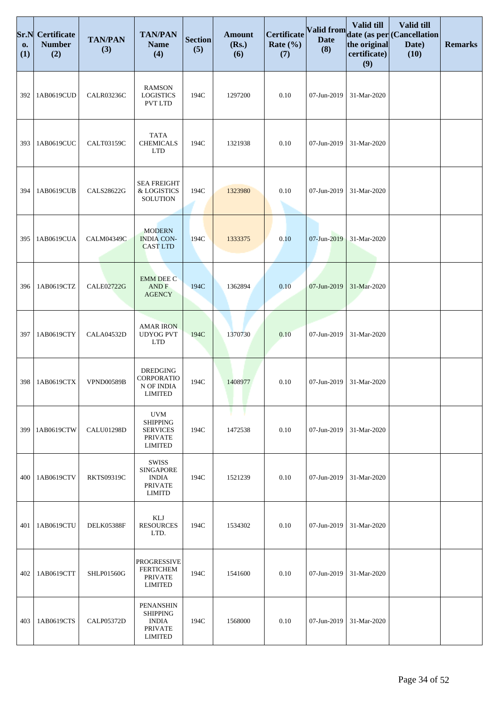| Sr.N<br>0.<br>(1) | <b>Certificate</b><br><b>Number</b><br>(2) | <b>TAN/PAN</b><br>(3) | <b>TAN/PAN</b><br><b>Name</b><br>(4)                                                 | <b>Section</b><br>(5) | <b>Amount</b><br>(Rs.)<br>(6) | Certificate<br>Rate $(\% )$<br>(7) | Valid from<br><b>Date</b><br>(8) | Valid till<br>the original<br>certificate)<br>(9) | Valid till<br>date (as per (Cancellation<br>Date)<br>(10) | <b>Remarks</b> |
|-------------------|--------------------------------------------|-----------------------|--------------------------------------------------------------------------------------|-----------------------|-------------------------------|------------------------------------|----------------------------------|---------------------------------------------------|-----------------------------------------------------------|----------------|
| 392               | 1AB0619CUD                                 | <b>CALR03236C</b>     | <b>RAMSON</b><br><b>LOGISTICS</b><br><b>PVT LTD</b>                                  | 194C                  | 1297200                       | 0.10                               | 07-Jun-2019                      | 31-Mar-2020                                       |                                                           |                |
| 393               | 1AB0619CUC                                 | CALT03159C            | <b>TATA</b><br><b>CHEMICALS</b><br><b>LTD</b>                                        | 194C                  | 1321938                       | 0.10                               | 07-Jun-2019                      | 31-Mar-2020                                       |                                                           |                |
| 394               | 1AB0619CUB                                 | <b>CALS28622G</b>     | <b>SEA FREIGHT</b><br>& LOGISTICS<br><b>SOLUTION</b>                                 | 194C                  | 1323980                       | 0.10                               | 07-Jun-2019                      | 31-Mar-2020                                       |                                                           |                |
| 395               | 1AB0619CUA                                 | CALM04349C            | <b>MODERN</b><br><b>INDIA CON-</b><br><b>CAST LTD</b>                                | 194C                  | 1333375                       | 0.10                               | 07-Jun-2019                      | 31-Mar-2020                                       |                                                           |                |
| 396               | 1AB0619CTZ                                 | <b>CALE02722G</b>     | <b>EMM DEE C</b><br>AND F<br><b>AGENCY</b>                                           | 194C                  | 1362894                       | 0.10                               | 07-Jun-2019                      | 31-Mar-2020                                       |                                                           |                |
| 397               | 1AB0619CTY                                 | <b>CALA04532D</b>     | <b>AMAR IRON</b><br><b>UDYOG PVT</b><br><b>LTD</b>                                   | 194C                  | 1370730                       | 0.10                               | 07-Jun-2019                      | 31-Mar-2020                                       |                                                           |                |
| 398               | 1AB0619CTX                                 | <b>VPND00589B</b>     | <b>DREDGING</b><br>CORPORATIO<br>N OF INDIA<br><b>LIMITED</b>                        | 194C                  | 1408977                       | 0.10                               | 07-Jun-2019                      | 31-Mar-2020                                       |                                                           |                |
| 399               | 1AB0619CTW                                 | <b>CALU01298D</b>     | <b>UVM</b><br><b>SHIPPING</b><br><b>SERVICES</b><br><b>PRIVATE</b><br><b>LIMITED</b> | 194C                  | 1472538                       | 0.10                               | 07-Jun-2019                      | 31-Mar-2020                                       |                                                           |                |
| 400               | 1AB0619CTV                                 | <b>RKTS09319C</b>     | <b>SWISS</b><br><b>SINGAPORE</b><br><b>INDIA</b><br><b>PRIVATE</b><br><b>LIMITD</b>  | 194C                  | 1521239                       | 0.10                               | 07-Jun-2019                      | 31-Mar-2020                                       |                                                           |                |
| 401               | 1AB0619CTU                                 | DELK05388F            | KLJ<br><b>RESOURCES</b><br>LTD.                                                      | 194C                  | 1534302                       | 0.10                               | 07-Jun-2019                      | 31-Mar-2020                                       |                                                           |                |
| 402               | 1AB0619CTT                                 | SHLP01560G            | <b>PROGRESSIVE</b><br><b>FERTICHEM</b><br><b>PRIVATE</b><br><b>LIMITED</b>           | 194C                  | 1541600                       | 0.10                               | 07-Jun-2019                      | 31-Mar-2020                                       |                                                           |                |
| 403               | 1AB0619CTS                                 | CALP05372D            | PENANSHIN<br><b>SHIPPING</b><br><b>INDIA</b><br><b>PRIVATE</b><br><b>LIMITED</b>     | 194C                  | 1568000                       | 0.10                               | 07-Jun-2019                      | 31-Mar-2020                                       |                                                           |                |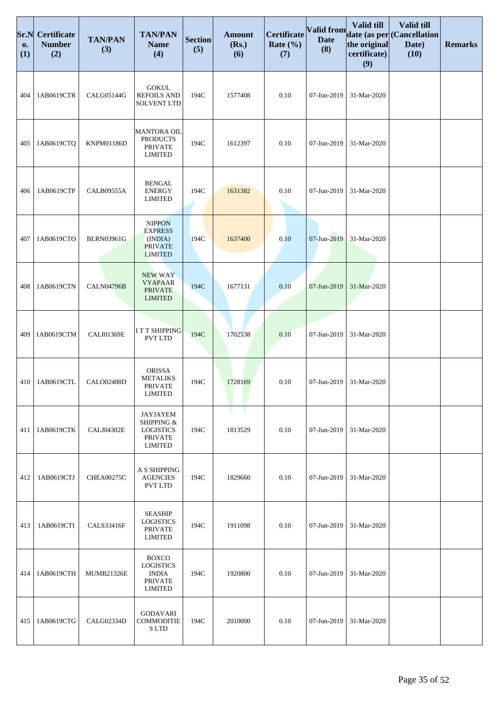| Sr.N<br>0.<br>(1) | <b>Certificate</b><br><b>Number</b><br>(2) | <b>TAN/PAN</b><br>(3) | <b>TAN/PAN</b><br><b>Name</b><br>(4)                                                 | <b>Section</b><br>(5) | <b>Amount</b><br>(Rs.)<br>(6) | <b>Certificate</b><br>Rate $(\% )$<br>(7) | Valid from<br><b>Date</b><br>(8) | Valid till<br>the original<br>certificate)<br>(9) | Valid till<br>date (as per Cancellation<br>Date)<br>(10) | <b>Remarks</b> |
|-------------------|--------------------------------------------|-----------------------|--------------------------------------------------------------------------------------|-----------------------|-------------------------------|-------------------------------------------|----------------------------------|---------------------------------------------------|----------------------------------------------------------|----------------|
| 404               | 1AB0619CTR                                 | CALG05144G            | <b>GOKUL</b><br><b>REFOILS AND</b><br><b>SOLVENT LTD</b>                             | 194C                  | 1577408                       | 0.10                                      | 07-Jun-2019                      | 31-Mar-2020                                       |                                                          |                |
| 405               | 1AB0619CTQ                                 | <b>KNPM01186D</b>     | <b>MANTORA OIL</b><br><b>PRODUCTS</b><br><b>PRIVATE</b><br><b>LIMITED</b>            | 194C                  | 1612397                       | 0.10                                      | 07-Jun-2019                      | 31-Mar-2020                                       |                                                          |                |
| 406               | 1AB0619CTP                                 | CALB09555A            | <b>BENGAL</b><br><b>ENERGY</b><br><b>LIMITED</b>                                     | 194C                  | 1631382                       | 0.10                                      | 07-Jun-2019                      | 31-Mar-2020                                       |                                                          |                |
| 407               | 1AB0619CTO                                 | <b>BLRN03961G</b>     | <b>NIPPON</b><br><b>EXPRESS</b><br>(INDIA)<br><b>PRIVATE</b><br><b>LIMITED</b>       | 194C                  | 1637400                       | 0.10                                      | 07-Jun-2019                      | 31-Mar-2020                                       |                                                          |                |
| 408               | 1AB0619CTN                                 | <b>CALN04796B</b>     | <b>NEW WAY</b><br><b>VYAPAAR</b><br><b>PRIVATE</b><br><b>LIMITED</b>                 | 194C                  | 1677131                       | 0.10                                      | 07-Jun-2019                      | 31-Mar-2020                                       |                                                          |                |
| 409               | 1AB0619CTM                                 | <b>CALI01369E</b>     | I T T SHIPPING<br><b>PVT LTD</b>                                                     | 194C                  | 1702538                       | 0.10                                      | 07-Jun-2019                      | 31-Mar-2020                                       |                                                          |                |
| 410               | 1AB0619CTL                                 | <b>CALO02488D</b>     | <b>ORISSA</b><br><b>METALIKS</b><br><b>PRIVATE</b><br><b>LIMITED</b>                 | 194C                  | 1728169                       | 0.10                                      | 07-Jun-2019                      | 31-Mar-2020                                       |                                                          |                |
| 411               | 1AB0619CTK                                 | <b>CALJ04302E</b>     | JAYJAYEM<br>SHIPPING &<br><b>LOGISTICS</b><br><b>PRIVATE</b><br><b>LIMITED</b>       | 194C                  | 1813529                       | 0.10                                      | 07-Jun-2019                      | 31-Mar-2020                                       |                                                          |                |
| 412               | 1AB0619CTJ                                 | <b>CHEA00275C</b>     | A S SHIPPING<br><b>AGENCIES</b><br><b>PVT LTD</b>                                    | 194C                  | 1829660                       | 0.10                                      | 07-Jun-2019                      | 31-Mar-2020                                       |                                                          |                |
| 413               | 1AB0619CTI                                 | <b>CALS33416F</b>     | <b>SEASHIP</b><br><b>LOGISTICS</b><br><b>PRIVATE</b><br><b>LIMITED</b>               | 194C                  | 1911098                       | 0.10                                      | 07-Jun-2019                      | 31-Mar-2020                                       |                                                          |                |
| 414               | 1AB0619CTH                                 | <b>MUMB21326E</b>     | <b>BOXCO</b><br><b>LOGISTICS</b><br><b>INDIA</b><br><b>PRIVATE</b><br><b>LIMITED</b> | 194C                  | 1920800                       | 0.10                                      | 07-Jun-2019                      | 31-Mar-2020                                       |                                                          |                |
| 415               | 1AB0619CTG                                 | CALG02334D            | GODAVARI<br><b>COMMODITIE</b><br><b>SLTD</b>                                         | 194C                  | 2010000                       | 0.10                                      | 07-Jun-2019                      | 31-Mar-2020                                       |                                                          |                |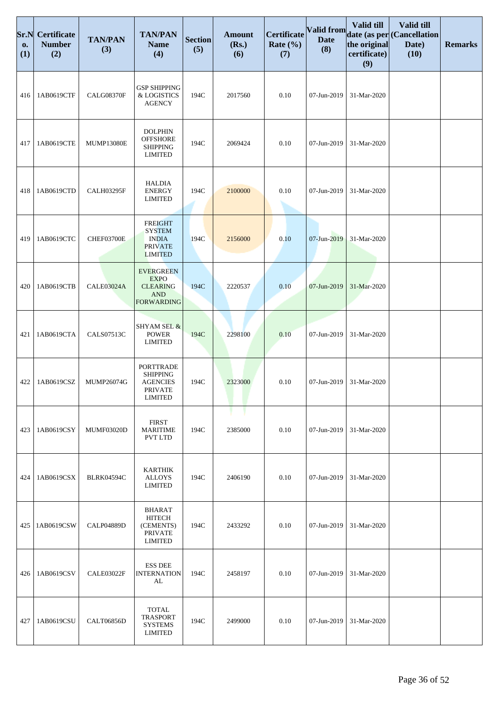| Sr.N<br>0.<br>(1) | <b>Certificate</b><br><b>Number</b><br>(2) | <b>TAN/PAN</b><br>(3) | <b>TAN/PAN</b><br><b>Name</b><br>(4)                                                       | <b>Section</b><br>(5) | <b>Amount</b><br>(Rs.)<br>(6) | <b>Certificate</b><br>Rate $(\% )$<br>(7) | Valid from<br><b>Date</b><br>(8) | Valid till<br>the original<br>certificate)<br>(9) | Valid till<br>date (as per Cancellation<br>Date)<br>(10) | <b>Remarks</b> |
|-------------------|--------------------------------------------|-----------------------|--------------------------------------------------------------------------------------------|-----------------------|-------------------------------|-------------------------------------------|----------------------------------|---------------------------------------------------|----------------------------------------------------------|----------------|
| 416               | 1AB0619CTF                                 | <b>CALG08370F</b>     | <b>GSP SHIPPING</b><br>& LOGISTICS<br><b>AGENCY</b>                                        | 194C                  | 2017560                       | 0.10                                      | 07-Jun-2019                      | 31-Mar-2020                                       |                                                          |                |
| 417               | 1AB0619CTE                                 | <b>MUMP13080E</b>     | <b>DOLPHIN</b><br><b>OFFSHORE</b><br><b>SHIPPING</b><br><b>LIMITED</b>                     | 194C                  | 2069424                       | 0.10                                      | 07-Jun-2019                      | 31-Mar-2020                                       |                                                          |                |
| 418               | 1AB0619CTD                                 | <b>CALH03295F</b>     | <b>HALDIA</b><br><b>ENERGY</b><br><b>LIMITED</b>                                           | 194C                  | 2100000                       | 0.10                                      | 07-Jun-2019                      | 31-Mar-2020                                       |                                                          |                |
| 419               | 1AB0619CTC                                 | CHEF03700E            | <b>FREIGHT</b><br><b>SYSTEM</b><br><b>INDIA</b><br><b>PRIVATE</b><br><b>LIMITED</b>        | 194C                  | 2156000                       | 0.10                                      | 07-Jun-2019                      | 31-Mar-2020                                       |                                                          |                |
| 420               | 1AB0619CTB                                 | <b>CALE03024A</b>     | <b>EVERGREEN</b><br><b>EXPO</b><br><b>CLEARING</b><br><b>AND</b><br><b>FORWARDING</b>      | 194C                  | 2220537                       | 0.10                                      | 07-Jun-2019                      | 31-Mar-2020                                       |                                                          |                |
| 421               | 1AB0619CTA                                 | CALS07513C            | <b>SHYAM SEL &amp;</b><br><b>POWER</b><br><b>LIMITED</b>                                   | 194C                  | 2298100                       | 0.10                                      | 07-Jun-2019                      | 31-Mar-2020                                       |                                                          |                |
| 422               | 1AB0619CSZ                                 | MUMP26074G            | <b>PORTTRADE</b><br><b>SHIPPING</b><br><b>AGENCIES</b><br><b>PRIVATE</b><br><b>LIMITED</b> | 194C                  | 2323000                       | 0.10                                      | 07-Jun-2019                      | 31-Mar-2020                                       |                                                          |                |
| 423               | 1AB0619CSY                                 | <b>MUMF03020D</b>     | <b>FIRST</b><br><b>MARITIME</b><br><b>PVT LTD</b>                                          | 194C                  | 2385000                       | 0.10                                      | 07-Jun-2019                      | 31-Mar-2020                                       |                                                          |                |
| 424               | 1AB0619CSX                                 | <b>BLRK04594C</b>     | <b>KARTHIK</b><br><b>ALLOYS</b><br><b>LIMITED</b>                                          | 194C                  | 2406190                       | 0.10                                      | 07-Jun-2019                      | 31-Mar-2020                                       |                                                          |                |
| 425               | 1AB0619CSW                                 | <b>CALP04889D</b>     | <b>BHARAT</b><br><b>HITECH</b><br>(CEMENTS)<br><b>PRIVATE</b><br><b>LIMITED</b>            | 194C                  | 2433292                       | 0.10                                      | 07-Jun-2019                      | 31-Mar-2020                                       |                                                          |                |
| 426               | 1AB0619CSV                                 | CALE03022F            | <b>ESS DEE</b><br><b>INTERNATION</b><br>AL                                                 | 194C                  | 2458197                       | 0.10                                      | 07-Jun-2019                      | 31-Mar-2020                                       |                                                          |                |
| 427               | 1AB0619CSU                                 | <b>CALT06856D</b>     | <b>TOTAL</b><br><b>TRASPORT</b><br><b>SYSTEMS</b><br><b>LIMITED</b>                        | 194C                  | 2499000                       | 0.10                                      | 07-Jun-2019                      | 31-Mar-2020                                       |                                                          |                |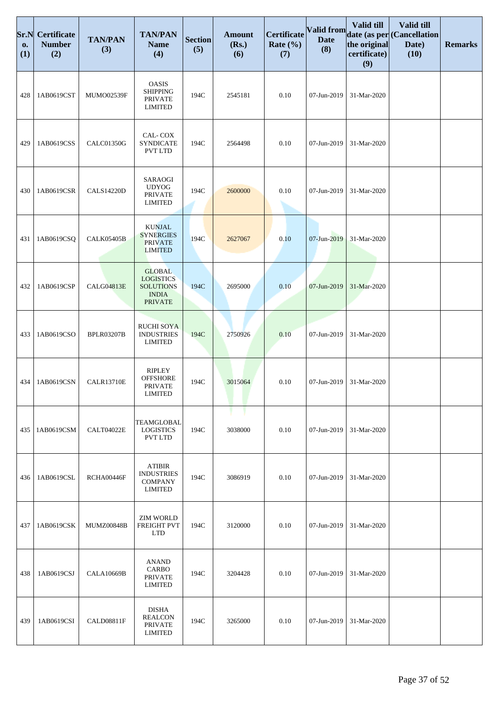| Sr.N<br>0.<br>(1) | <b>Certificate</b><br><b>Number</b><br>(2) | <b>TAN/PAN</b><br>(3) | <b>TAN/PAN</b><br><b>Name</b><br>(4)                                                    | <b>Section</b><br>(5) | <b>Amount</b><br>(Rs.)<br>(6) | Certificate<br>Rate $(\% )$<br>(7) | Valid from<br><b>Date</b><br>(8) | Valid till<br>the original<br>certificate)<br>(9) | Valid till<br>date (as per Cancellation<br>Date)<br>(10) | <b>Remarks</b> |
|-------------------|--------------------------------------------|-----------------------|-----------------------------------------------------------------------------------------|-----------------------|-------------------------------|------------------------------------|----------------------------------|---------------------------------------------------|----------------------------------------------------------|----------------|
| 428               | 1AB0619CST                                 | MUMO02539F            | <b>OASIS</b><br><b>SHIPPING</b><br><b>PRIVATE</b><br><b>LIMITED</b>                     | 194C                  | 2545181                       | 0.10                               | 07-Jun-2019                      | 31-Mar-2020                                       |                                                          |                |
| 429               | 1AB0619CSS                                 | CALC01350G            | CAL-COX<br><b>SYNDICATE</b><br>PVT LTD                                                  | 194C                  | 2564498                       | 0.10                               | 07-Jun-2019                      | 31-Mar-2020                                       |                                                          |                |
| 430               | 1AB0619CSR                                 | <b>CALS14220D</b>     | <b>SARAOGI</b><br><b>UDYOG</b><br><b>PRIVATE</b><br><b>LIMITED</b>                      | 194C                  | 2600000                       | 0.10                               | 07-Jun-2019                      | 31-Mar-2020                                       |                                                          |                |
| 431               | 1AB0619CSO                                 | <b>CALK05405B</b>     | <b>KUNJAL</b><br><b>SYNERGIES</b><br><b>PRIVATE</b><br><b>LIMITED</b>                   | 194C                  | 2627067                       | 0.10                               | 07-Jun-2019                      | 31-Mar-2020                                       |                                                          |                |
| 432               | 1AB0619CSP                                 | CALG04813E            | <b>GLOBAL</b><br><b>LOGISTICS</b><br><b>SOLUTIONS</b><br><b>INDIA</b><br><b>PRIVATE</b> | 194C                  | 2695000                       | 0.10                               | 07-Jun-2019                      | 31-Mar-2020                                       |                                                          |                |
| 433               | 1AB0619CSO                                 | <b>BPLR03207B</b>     | <b>RUCHI SOYA</b><br><b>INDUSTRIES</b><br><b>LIMITED</b>                                | 194C                  | 2750926                       | 0.10                               | 07-Jun-2019                      | 31-Mar-2020                                       |                                                          |                |
| 434               | 1AB0619CSN                                 | <b>CALR13710E</b>     | <b>RIPLEY</b><br><b>OFFSHORE</b><br><b>PRIVATE</b><br><b>LIMITED</b>                    | 194C                  | 3015064                       | 0.10                               | 07-Jun-2019                      | 31-Mar-2020                                       |                                                          |                |
| 435               | 1AB0619CSM                                 | CALT04022E            | TEAMGLOBAL<br><b>LOGISTICS</b><br>PVT LTD                                               | 194C                  | 3038000                       | 0.10                               | 07-Jun-2019                      | 31-Mar-2020                                       |                                                          |                |
| 436               | 1AB0619CSL                                 | RCHA00446F            | <b>ATIBIR</b><br><b>INDUSTRIES</b><br><b>COMPANY</b><br><b>LIMITED</b>                  | 194C                  | 3086919                       | 0.10                               | 07-Jun-2019                      | 31-Mar-2020                                       |                                                          |                |
| 437               | 1AB0619CSK                                 | <b>MUMZ00848B</b>     | <b>ZIM WORLD</b><br>FREIGHT PVT<br><b>LTD</b>                                           | 194C                  | 3120000                       | 0.10                               | 07-Jun-2019                      | 31-Mar-2020                                       |                                                          |                |
| 438               | 1AB0619CSJ                                 | <b>CALA10669B</b>     | <b>ANAND</b><br><b>CARBO</b><br><b>PRIVATE</b><br><b>LIMITED</b>                        | 194C                  | 3204428                       | 0.10                               | 07-Jun-2019                      | 31-Mar-2020                                       |                                                          |                |
| 439               | 1AB0619CSI                                 | <b>CALD08811F</b>     | <b>DISHA</b><br><b>REALCON</b><br><b>PRIVATE</b><br><b>LIMITED</b>                      | 194C                  | 3265000                       | 0.10                               | 07-Jun-2019                      | 31-Mar-2020                                       |                                                          |                |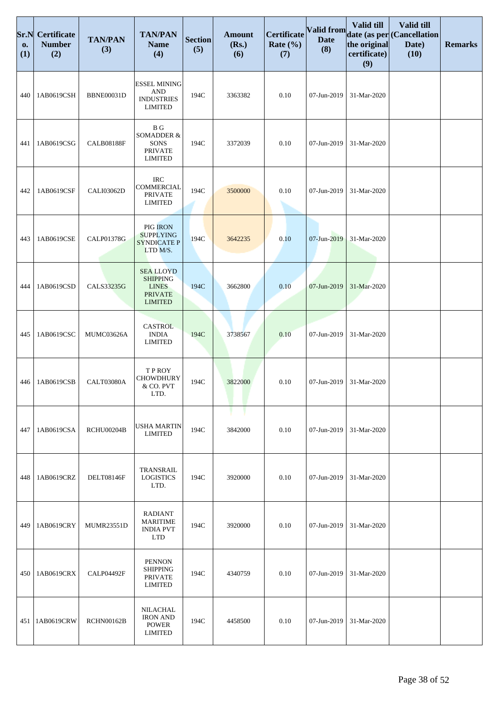| Sr.N<br>0.<br>(1) | <b>Certificate</b><br><b>Number</b><br>(2) | <b>TAN/PAN</b><br>(3) | <b>TAN/PAN</b><br><b>Name</b><br>(4)                                                    | <b>Section</b><br>(5) | <b>Amount</b><br>(Rs.)<br>(6) | Certificate<br>Rate $(\% )$<br>(7) | <b>Valid from</b><br><b>Date</b><br>(8) | Valid till<br>the original<br>certificate)<br>(9) | Valid till<br>date (as per (Cancellation<br>Date)<br>(10) | <b>Remarks</b> |
|-------------------|--------------------------------------------|-----------------------|-----------------------------------------------------------------------------------------|-----------------------|-------------------------------|------------------------------------|-----------------------------------------|---------------------------------------------------|-----------------------------------------------------------|----------------|
| 440               | 1AB0619CSH                                 | <b>BBNE00031D</b>     | <b>ESSEL MINING</b><br><b>AND</b><br><b>INDUSTRIES</b><br><b>LIMITED</b>                | 194C                  | 3363382                       | 0.10                               | 07-Jun-2019                             | 31-Mar-2020                                       |                                                           |                |
| 441               | 1AB0619CSG                                 | <b>CALB08188F</b>     | $\, {\bf B} \,$ G<br>SOMADDER &<br>SONS<br><b>PRIVATE</b><br><b>LIMITED</b>             | 194C                  | 3372039                       | 0.10                               | 07-Jun-2019                             | 31-Mar-2020                                       |                                                           |                |
| 442               | 1AB0619CSF                                 | CALI03062D            | <b>IRC</b><br>COMMERCIAL<br><b>PRIVATE</b><br><b>LIMITED</b>                            | 194C                  | 3500000                       | 0.10                               | 07-Jun-2019                             | 31-Mar-2020                                       |                                                           |                |
| 443               | 1AB0619CSE                                 | <b>CALP01378G</b>     | PIG IRON<br><b>SUPPLYING</b><br><b>SYNDICATE P</b><br>LTD M/S.                          | 194C                  | 3642235                       | 0.10                               | 07-Jun-2019                             | 31-Mar-2020                                       |                                                           |                |
| 444               | 1AB0619CSD                                 | <b>CALS33235G</b>     | <b>SEA LLOYD</b><br><b>SHIPPING</b><br><b>LINES</b><br><b>PRIVATE</b><br><b>LIMITED</b> | 194C                  | 3662800                       | 0.10                               | 07-Jun-2019                             | 31-Mar-2020                                       |                                                           |                |
| 445               | 1AB0619CSC                                 | MUMC03626A            | <b>CASTROL</b><br><b>INDIA</b><br><b>LIMITED</b>                                        | 194C                  | 3738567                       | 0.10                               | 07-Jun-2019                             | 31-Mar-2020                                       |                                                           |                |
| 446               | 1AB0619CSB                                 | CALT03080A            | T P ROY<br><b>CHOWDHURY</b><br>& CO. PVT<br>LTD.                                        | 194C                  | 3822000                       | 0.10                               | 07-Jun-2019                             | 31-Mar-2020                                       |                                                           |                |
| 447               | 1AB0619CSA                                 | <b>RCHU00204B</b>     | <b>USHA MARTIN</b><br><b>LIMITED</b>                                                    | 194C                  | 3842000                       | 0.10                               | 07-Jun-2019                             | 31-Mar-2020                                       |                                                           |                |
| 448               | 1AB0619CRZ                                 | <b>DELT08146F</b>     | TRANSRAIL<br><b>LOGISTICS</b><br>LTD.                                                   | 194C                  | 3920000                       | 0.10                               | 07-Jun-2019                             | 31-Mar-2020                                       |                                                           |                |
| 449               | 1AB0619CRY                                 | <b>MUMR23551D</b>     | <b>RADIANT</b><br><b>MARITIME</b><br><b>INDIA PVT</b><br><b>LTD</b>                     | 194C                  | 3920000                       | 0.10                               | 07-Jun-2019                             | 31-Mar-2020                                       |                                                           |                |
| 450               | 1AB0619CRX                                 | CALP04492F            | <b>PENNON</b><br><b>SHIPPING</b><br><b>PRIVATE</b><br><b>LIMITED</b>                    | 194C                  | 4340759                       | 0.10                               | 07-Jun-2019                             | 31-Mar-2020                                       |                                                           |                |
| 451               | 1AB0619CRW                                 | <b>RCHN00162B</b>     | <b>NILACHAL</b><br><b>IRON AND</b><br><b>POWER</b><br><b>LIMITED</b>                    | 194C                  | 4458500                       | 0.10                               | 07-Jun-2019                             | 31-Mar-2020                                       |                                                           |                |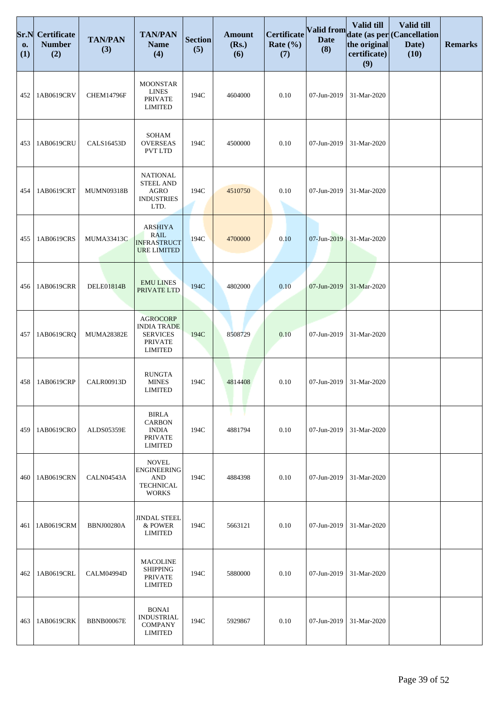| Sr.N<br>0.<br>(1) | Certificate<br><b>Number</b><br>(2) | <b>TAN/PAN</b><br>(3) | <b>TAN/PAN</b><br><b>Name</b><br>(4)                                                         | <b>Section</b><br>(5) | <b>Amount</b><br>(Rs.)<br>(6) | Certificate<br>Rate $(\% )$<br>(7) | Valid from<br><b>Date</b><br>(8) | Valid till<br>the original<br>certificate)<br>(9) | Valid till<br>date (as per (Cancellation<br>Date)<br>(10) | <b>Remarks</b> |
|-------------------|-------------------------------------|-----------------------|----------------------------------------------------------------------------------------------|-----------------------|-------------------------------|------------------------------------|----------------------------------|---------------------------------------------------|-----------------------------------------------------------|----------------|
| 452               | 1AB0619CRV                          | <b>CHEM14796F</b>     | <b>MOONSTAR</b><br><b>LINES</b><br><b>PRIVATE</b><br><b>LIMITED</b>                          | 194C                  | 4604000                       | 0.10                               | 07-Jun-2019                      | 31-Mar-2020                                       |                                                           |                |
| 453               | 1AB0619CRU                          | <b>CALS16453D</b>     | <b>SOHAM</b><br><b>OVERSEAS</b><br>PVT LTD                                                   | 194C                  | 4500000                       | 0.10                               | 07-Jun-2019                      | 31-Mar-2020                                       |                                                           |                |
| 454               | 1AB0619CRT                          | MUMN09318B            | <b>NATIONAL</b><br><b>STEEL AND</b><br><b>AGRO</b><br><b>INDUSTRIES</b><br>LTD.              | 194C                  | 4510750                       | 0.10                               | 07-Jun-2019                      | 31-Mar-2020                                       |                                                           |                |
| 455               | 1AB0619CRS                          | MUMA33413C            | <b>ARSHIYA</b><br><b>RAIL</b><br><b>INFRASTRUCT</b><br><b>URE LIMITED</b>                    | 194C                  | 4700000                       | 0.10                               | 07-Jun-2019                      | 31-Mar-2020                                       |                                                           |                |
| 456               | 1AB0619CRR                          | <b>DELE01814B</b>     | <b>EMU LINES</b><br>PRIVATE LTD                                                              | 194C                  | 4802000                       | 0.10                               | 07-Jun-2019                      | 31-Mar-2020                                       |                                                           |                |
| 457               | 1AB0619CRQ                          | <b>MUMA28382E</b>     | <b>AGROCORP</b><br><b>INDIA TRADE</b><br><b>SERVICES</b><br><b>PRIVATE</b><br><b>LIMITED</b> | 194C                  | 8508729                       | 0.10                               | 07-Jun-2019                      | 31-Mar-2020                                       |                                                           |                |
| 458               | 1AB0619CRP                          | <b>CALR00913D</b>     | <b>RUNGTA</b><br><b>MINES</b><br><b>LIMITED</b>                                              | 194C                  | 4814408                       | 0.10                               | 07-Jun-2019                      | 31-Mar-2020                                       |                                                           |                |
| 459               | 1AB0619CRO                          | ALDS05359E            | <b>BIRLA</b><br><b>CARBON</b><br><b>INDIA</b><br><b>PRIVATE</b><br><b>LIMITED</b>            | 194C                  | 4881794                       | 0.10                               | 07-Jun-2019                      | 31-Mar-2020                                       |                                                           |                |
| 460               | 1AB0619CRN                          | CALN04543A            | <b>NOVEL</b><br><b>ENGINEERING</b><br><b>AND</b><br><b>TECHNICAL</b><br><b>WORKS</b>         | 194C                  | 4884398                       | 0.10                               | 07-Jun-2019                      | 31-Mar-2020                                       |                                                           |                |
| 461               | 1AB0619CRM                          | <b>BBNJ00280A</b>     | <b>JINDAL STEEL</b><br>& POWER<br>LIMITED                                                    | 194C                  | 5663121                       | 0.10                               | 07-Jun-2019                      | 31-Mar-2020                                       |                                                           |                |
| 462               | 1AB0619CRL                          | <b>CALM04994D</b>     | <b>MACOLINE</b><br><b>SHIPPING</b><br><b>PRIVATE</b><br><b>LIMITED</b>                       | 194C                  | 5880000                       | 0.10                               | 07-Jun-2019                      | 31-Mar-2020                                       |                                                           |                |
| 463               | 1AB0619CRK                          | <b>BBNB00067E</b>     | <b>BONAI</b><br><b>INDUSTRIAL</b><br><b>COMPANY</b><br><b>LIMITED</b>                        | 194C                  | 5929867                       | 0.10                               | 07-Jun-2019                      | 31-Mar-2020                                       |                                                           |                |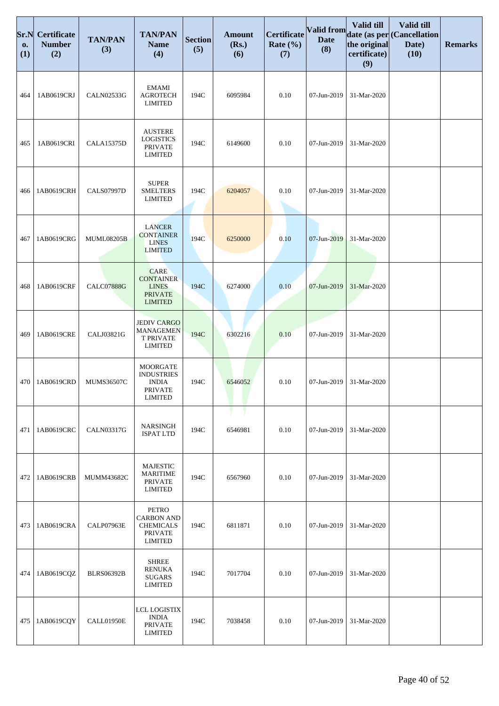| Sr.N<br>0.<br>(1) | <b>Certificate</b><br><b>Number</b><br>(2) | <b>TAN/PAN</b><br>(3) | <b>TAN/PAN</b><br><b>Name</b><br>(4)                                                      | <b>Section</b><br>(5) | <b>Amount</b><br>(Rs.)<br>(6) | Certificate<br>Rate $(\% )$<br>(7) | Valid from<br><b>Date</b><br>(8) | Valid till<br>the original<br>certificate)<br>(9) | Valid till<br>date (as per Cancellation<br>Date)<br>(10) | <b>Remarks</b> |
|-------------------|--------------------------------------------|-----------------------|-------------------------------------------------------------------------------------------|-----------------------|-------------------------------|------------------------------------|----------------------------------|---------------------------------------------------|----------------------------------------------------------|----------------|
| 464               | 1AB0619CRJ                                 | <b>CALN02533G</b>     | <b>EMAMI</b><br><b>AGROTECH</b><br><b>LIMITED</b>                                         | 194C                  | 6095984                       | 0.10                               | 07-Jun-2019                      | 31-Mar-2020                                       |                                                          |                |
| 465               | 1AB0619CRI                                 | <b>CALA15375D</b>     | <b>AUSTERE</b><br><b>LOGISTICS</b><br><b>PRIVATE</b><br><b>LIMITED</b>                    | 194C                  | 6149600                       | 0.10                               | 07-Jun-2019                      | 31-Mar-2020                                       |                                                          |                |
| 466               | 1AB0619CRH                                 | <b>CALS07997D</b>     | <b>SUPER</b><br><b>SMELTERS</b><br><b>LIMITED</b>                                         | 194C                  | 6204057                       | 0.10                               | 07-Jun-2019                      | 31-Mar-2020                                       |                                                          |                |
| 467               | 1AB0619CRG                                 | <b>MUML08205B</b>     | <b>LANCER</b><br><b>CONTAINER</b><br><b>LINES</b><br><b>LIMITED</b>                       | 194C                  | 6250000                       | 0.10                               | 07-Jun-2019                      | 31-Mar-2020                                       |                                                          |                |
| 468               | 1AB0619CRF                                 | <b>CALC07888G</b>     | <b>CARE</b><br><b>CONTAINER</b><br><b>LINES</b><br><b>PRIVATE</b><br><b>LIMITED</b>       | 194C                  | 6274000                       | 0.10                               | 07-Jun-2019                      | 31-Mar-2020                                       |                                                          |                |
| 469               | 1AB0619CRE                                 | CALJ03821G            | <b>JEDIV CARGO</b><br><b>MANAGEMEN</b><br><b>T PRIVATE</b><br><b>LIMITED</b>              | 194C                  | 6302216                       | 0.10                               | 07-Jun-2019                      | 31-Mar-2020                                       |                                                          |                |
| 470               | 1AB0619CRD                                 | <b>MUMS36507C</b>     | <b>MOORGATE</b><br><b>INDUSTRIES</b><br><b>INDIA</b><br><b>PRIVATE</b><br><b>LIMITED</b>  | 194C                  | 6546052                       | 0.10                               | 07-Jun-2019                      | 31-Mar-2020                                       |                                                          |                |
| 471               | 1AB0619CRC                                 | <b>CALN03317G</b>     | <b>NARSINGH</b><br><b>ISPAT LTD</b>                                                       | 194C                  | 6546981                       | 0.10                               | 07-Jun-2019                      | 31-Mar-2020                                       |                                                          |                |
| 472               | 1AB0619CRB                                 | <b>MUMM43682C</b>     | <b>MAJESTIC</b><br><b>MARITIME</b><br><b>PRIVATE</b><br><b>LIMITED</b>                    | 194C                  | 6567960                       | 0.10                               | 07-Jun-2019                      | 31-Mar-2020                                       |                                                          |                |
| 473               | 1AB0619CRA                                 | CALP07963E            | <b>PETRO</b><br><b>CARBON AND</b><br><b>CHEMICALS</b><br><b>PRIVATE</b><br><b>LIMITED</b> | 194C                  | 6811871                       | 0.10                               | 07-Jun-2019                      | 31-Mar-2020                                       |                                                          |                |
| 474               | 1AB0619CQZ                                 | <b>BLRS06392B</b>     | <b>SHREE</b><br><b>RENUKA</b><br><b>SUGARS</b><br><b>LIMITED</b>                          | 194C                  | 7017704                       | 0.10                               | 07-Jun-2019                      | 31-Mar-2020                                       |                                                          |                |
| 475               | 1AB0619CQY                                 | CALL01950E            | LCL LOGISTIX<br><b>INDIA</b><br><b>PRIVATE</b><br><b>LIMITED</b>                          | 194C                  | 7038458                       | 0.10                               | 07-Jun-2019                      | 31-Mar-2020                                       |                                                          |                |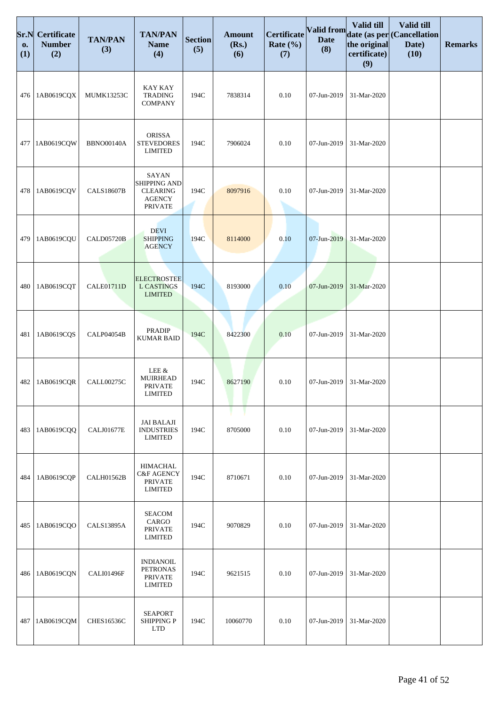| Sr.N<br>0.<br>(1) | Certificate<br><b>Number</b><br>(2) | <b>TAN/PAN</b><br>(3) | <b>TAN/PAN</b><br><b>Name</b><br>(4)                                         | <b>Section</b><br>(5) | <b>Amount</b><br>(Rs.)<br>(6) | Certificate<br>Rate $(\% )$<br>(7) | Valid from<br><b>Date</b><br>(8) | Valid till<br>the original<br>certificate)<br>(9) | Valid till<br>date (as per (Cancellation<br>Date)<br>(10) | <b>Remarks</b> |
|-------------------|-------------------------------------|-----------------------|------------------------------------------------------------------------------|-----------------------|-------------------------------|------------------------------------|----------------------------------|---------------------------------------------------|-----------------------------------------------------------|----------------|
| 476               | 1AB0619CQX                          | <b>MUMK13253C</b>     | KAY KAY<br><b>TRADING</b><br><b>COMPANY</b>                                  | 194C                  | 7838314                       | 0.10                               | 07-Jun-2019                      | 31-Mar-2020                                       |                                                           |                |
| 477               | 1AB0619CQW                          | <b>BBNO00140A</b>     | <b>ORISSA</b><br><b>STEVEDORES</b><br><b>LIMITED</b>                         | 194C                  | 7906024                       | 0.10                               | 07-Jun-2019                      | 31-Mar-2020                                       |                                                           |                |
| 478               | 1AB0619CQV                          | <b>CALS18607B</b>     | SAYAN<br>SHIPPING AND<br><b>CLEARING</b><br><b>AGENCY</b><br><b>PRIVATE</b>  | 194C                  | 8097916                       | 0.10                               | 07-Jun-2019                      | 31-Mar-2020                                       |                                                           |                |
| 479               | 1AB0619CQU                          | <b>CALD05720B</b>     | <b>DEVI</b><br><b>SHIPPING</b><br><b>AGENCY</b>                              | 194C                  | 8114000                       | 0.10                               | 07-Jun-2019                      | 31-Mar-2020                                       |                                                           |                |
| 480               | 1AB0619CQT                          | <b>CALE01711D</b>     | <b>ELECTROSTEE</b><br><b>L CASTINGS</b><br><b>LIMITED</b>                    | 194C                  | 8193000                       | 0.10                               | 07-Jun-2019                      | 31-Mar-2020                                       |                                                           |                |
| 481               | 1AB0619CQS                          | CALP04054B            | <b>PRADIP</b><br><b>KUMAR BAID</b>                                           | 194C                  | 8422300                       | 0.10                               | 07-Jun-2019                      | 31-Mar-2020                                       |                                                           |                |
| 482               | 1AB0619CQR                          | CALL00275C            | LEE $\&$<br><b>MUIRHEAD</b><br>PRIVATE<br><b>LIMITED</b>                     | 194C                  | 8627190                       | 0.10                               | 07-Jun-2019                      | 31-Mar-2020                                       |                                                           |                |
| 483               | 1AB0619CQQ                          | <b>CALJ01677E</b>     | JAI BALAJI<br><b>INDUSTRIES</b><br><b>LIMITED</b>                            | 194C                  | 8705000                       | 0.10                               | 07-Jun-2019                      | 31-Mar-2020                                       |                                                           |                |
| 484               | 1AB0619CQP                          | CALH01562B            | <b>HIMACHAL</b><br><b>C&amp;F AGENCY</b><br><b>PRIVATE</b><br><b>LIMITED</b> | 194C                  | 8710671                       | 0.10                               | 07-Jun-2019                      | 31-Mar-2020                                       |                                                           |                |
| 485               | 1AB0619CQO                          | CALS13895A            | <b>SEACOM</b><br>CARGO<br><b>PRIVATE</b><br><b>LIMITED</b>                   | 194C                  | 9070829                       | 0.10                               | 07-Jun-2019                      | 31-Mar-2020                                       |                                                           |                |
| 486               | 1AB0619CQN                          | CALI01496F            | <b>INDIANOIL</b><br><b>PETRONAS</b><br><b>PRIVATE</b><br><b>LIMITED</b>      | 194C                  | 9621515                       | 0.10                               | 07-Jun-2019                      | 31-Mar-2020                                       |                                                           |                |
| 487               | 1AB0619CQM                          | <b>CHES16536C</b>     | <b>SEAPORT</b><br>SHIPPING P<br><b>LTD</b>                                   | 194C                  | 10060770                      | 0.10                               | 07-Jun-2019                      | 31-Mar-2020                                       |                                                           |                |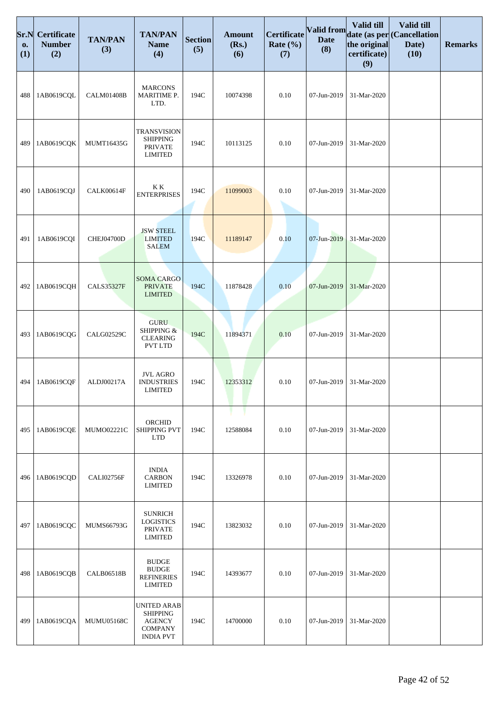| Sr.N<br>0.<br>(1) | <b>Certificate</b><br><b>Number</b><br>(2) | <b>TAN/PAN</b><br>(3) | <b>TAN/PAN</b><br><b>Name</b><br>(4)                                                         | <b>Section</b><br>(5) | <b>Amount</b><br>(Rs.)<br>(6) | Certificate<br>Rate $(\% )$<br>(7) | <b>Valid from</b><br><b>Date</b><br>(8) | Valid till<br>the original<br>certificate)<br>(9) | Valid till<br>date (as per (Cancellation<br>Date)<br>(10) | <b>Remarks</b> |
|-------------------|--------------------------------------------|-----------------------|----------------------------------------------------------------------------------------------|-----------------------|-------------------------------|------------------------------------|-----------------------------------------|---------------------------------------------------|-----------------------------------------------------------|----------------|
| 488               | 1AB0619CQL                                 | CALM01408B            | <b>MARCONS</b><br>MARITIME P.<br>LTD.                                                        | 194C                  | 10074398                      | 0.10                               | 07-Jun-2019                             | 31-Mar-2020                                       |                                                           |                |
| 489               | 1AB0619CQK                                 | MUMT16435G            | <b>TRANSVISION</b><br><b>SHIPPING</b><br><b>PRIVATE</b><br><b>LIMITED</b>                    | 194C                  | 10113125                      | 0.10                               | 07-Jun-2019                             | 31-Mar-2020                                       |                                                           |                |
| 490               | 1AB0619CQJ                                 | CALK00614F            | K K<br><b>ENTERPRISES</b>                                                                    | 194C                  | 11099003                      | 0.10                               | 07-Jun-2019                             | 31-Mar-2020                                       |                                                           |                |
| 491               | 1AB0619CQI                                 | <b>CHEJ04700D</b>     | <b>JSW STEEL</b><br><b>LIMITED</b><br><b>SALEM</b>                                           | 194C                  | 11189147                      | 0.10                               | 07-Jun-2019                             | 31-Mar-2020                                       |                                                           |                |
| 492               | 1AB0619CQH                                 | <b>CALS35327F</b>     | <b>SOMA CARGO</b><br><b>PRIVATE</b><br><b>LIMITED</b>                                        | 194C                  | 11878428                      | 0.10                               | 07-Jun-2019                             | 31-Mar-2020                                       |                                                           |                |
| 493               | 1AB0619CQG                                 | CALG02529C            | <b>GURU</b><br>SHIPPING &<br><b>CLEARING</b><br><b>PVT LTD</b>                               | 194C                  | 11894371                      | 0.10                               | 07-Jun-2019                             | 31-Mar-2020                                       |                                                           |                |
| 494               | 1AB0619CQF                                 | ALDJ00217A            | <b>JVL AGRO</b><br><b>INDUSTRIES</b><br><b>LIMITED</b>                                       | 194C                  | 12353312                      | 0.10                               | 07-Jun-2019                             | 31-Mar-2020                                       |                                                           |                |
| 495               | 1AB0619CQE                                 | MUM002221C            | ORCHID<br>SHIPPING PVT<br><b>LTD</b>                                                         | 194C                  | 12588084                      | 0.10                               | 07-Jun-2019                             | 31-Mar-2020                                       |                                                           |                |
| 496               | 1AB0619CQD                                 | CALI02756F            | <b>INDIA</b><br><b>CARBON</b><br><b>LIMITED</b>                                              | 194C                  | 13326978                      | 0.10                               | 07-Jun-2019                             | 31-Mar-2020                                       |                                                           |                |
| 497               | 1AB0619CQC                                 | MUMS66793G            | <b>SUNRICH</b><br><b>LOGISTICS</b><br><b>PRIVATE</b><br><b>LIMITED</b>                       | 194C                  | 13823032                      | 0.10                               | 07-Jun-2019                             | 31-Mar-2020                                       |                                                           |                |
| 498               | 1AB0619CQB                                 | <b>CALB06518B</b>     | <b>BUDGE</b><br>$\operatorname{BUDGE}$<br><b>REFINERIES</b><br><b>LIMITED</b>                | 194C                  | 14393677                      | 0.10                               | 07-Jun-2019                             | 31-Mar-2020                                       |                                                           |                |
| 499               | 1AB0619CQA                                 | <b>MUMU05168C</b>     | <b>UNITED ARAB</b><br><b>SHIPPING</b><br><b>AGENCY</b><br><b>COMPANY</b><br><b>INDIA PVT</b> | 194C                  | 14700000                      | 0.10                               | 07-Jun-2019                             | 31-Mar-2020                                       |                                                           |                |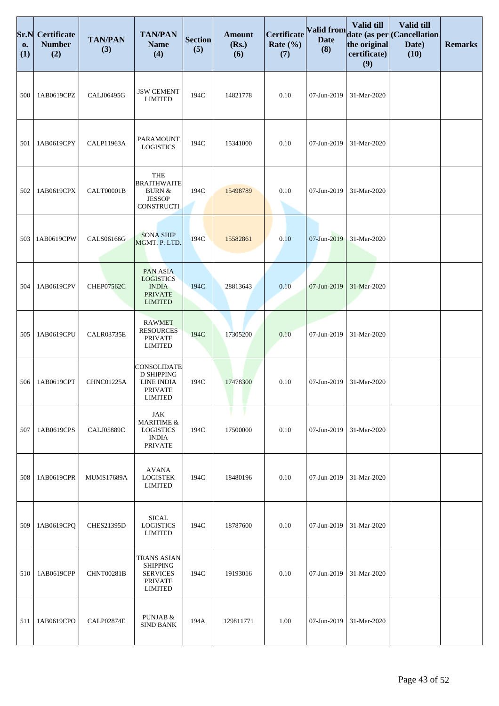| Sr.N<br>0.<br>(1) | Certificate<br><b>Number</b><br>(2) | <b>TAN/PAN</b><br>(3) | <b>TAN/PAN</b><br><b>Name</b><br>(4)                                                         | <b>Section</b><br>(5) | <b>Amount</b><br>(Rs.)<br>(6) | Certificate<br>Rate $(\% )$<br>(7) | Valid from<br><b>Date</b><br>(8) | <b>Valid till</b><br>the original<br>certificate)<br>(9) | Valid till<br>date (as per Cancellation<br>Date)<br>(10) | <b>Remarks</b> |
|-------------------|-------------------------------------|-----------------------|----------------------------------------------------------------------------------------------|-----------------------|-------------------------------|------------------------------------|----------------------------------|----------------------------------------------------------|----------------------------------------------------------|----------------|
| 500               | 1AB0619CPZ                          | CALJ06495G            | <b>JSW CEMENT</b><br><b>LIMITED</b>                                                          | 194C                  | 14821778                      | 0.10                               | 07-Jun-2019                      | 31-Mar-2020                                              |                                                          |                |
| 501               | 1AB0619CPY                          | <b>CALP11963A</b>     | PARAMOUNT<br><b>LOGISTICS</b>                                                                | 194C                  | 15341000                      | 0.10                               | 07-Jun-2019                      | 31-Mar-2020                                              |                                                          |                |
| 502               | 1AB0619CPX                          | CALT00001B            | <b>THE</b><br><b>BRAITHWAITE</b><br>BURN $\&$<br><b>JESSOP</b><br><b>CONSTRUCTI</b>          | 194C                  | 15498789                      | 0.10                               | 07-Jun-2019                      | 31-Mar-2020                                              |                                                          |                |
| 503               | 1AB0619CPW                          | CALS06166G            | <b>SONA SHIP</b><br>MGMT. P. LTD.                                                            | 194C                  | 15582861                      | 0.10                               | 07-Jun-2019                      | 31-Mar-2020                                              |                                                          |                |
| 504               | 1AB0619CPV                          | <b>CHEP07562C</b>     | <b>PAN ASIA</b><br><b>LOGISTICS</b><br><b>INDIA</b><br><b>PRIVATE</b><br><b>LIMITED</b>      | 194C                  | 28813643                      | 0.10                               | 07-Jun-2019                      | 31-Mar-2020                                              |                                                          |                |
| 505               | 1AB0619CPU                          | CALR03735E            | <b>RAWMET</b><br><b>RESOURCES</b><br><b>PRIVATE</b><br><b>LIMITED</b>                        | 194C                  | 17305200                      | 0.10                               | 07-Jun-2019                      | 31-Mar-2020                                              |                                                          |                |
| 506               | 1AB0619CPT                          | CHNC01225A            | CONSOLIDATE<br><b>D SHIPPING</b><br>LINE INDIA<br><b>PRIVATE</b><br><b>LIMITED</b>           | 194C                  | 17478300                      | 0.10                               | 07-Jun-2019                      | 31-Mar-2020                                              |                                                          |                |
| 507               | 1AB0619CPS                          | <b>CALJ05889C</b>     | JAK<br><b>MARITIME &amp;</b><br><b>LOGISTICS</b><br><b>INDIA</b><br><b>PRIVATE</b>           | 194C                  | 17500000                      | 0.10                               | 07-Jun-2019                      | 31-Mar-2020                                              |                                                          |                |
| 508               | 1AB0619CPR                          | <b>MUMS17689A</b>     | <b>AVANA</b><br><b>LOGISTEK</b><br><b>LIMITED</b>                                            | 194C                  | 18480196                      | 0.10                               | 07-Jun-2019                      | 31-Mar-2020                                              |                                                          |                |
| 509               | 1AB0619CPQ                          | <b>CHES21395D</b>     | <b>SICAL</b><br><b>LOGISTICS</b><br>LIMITED                                                  | 194C                  | 18787600                      | 0.10                               | 07-Jun-2019                      | 31-Mar-2020                                              |                                                          |                |
| 510               | 1AB0619CPP                          | CHNT00281B            | <b>TRANS ASIAN</b><br><b>SHIPPING</b><br><b>SERVICES</b><br><b>PRIVATE</b><br><b>LIMITED</b> | 194C                  | 19193016                      | 0.10                               | 07-Jun-2019                      | 31-Mar-2020                                              |                                                          |                |
| 511               | 1AB0619CPO                          | CALP02874E            | PUNJAB &<br><b>SIND BANK</b>                                                                 | 194A                  | 129811771                     | 1.00                               | 07-Jun-2019                      | 31-Mar-2020                                              |                                                          |                |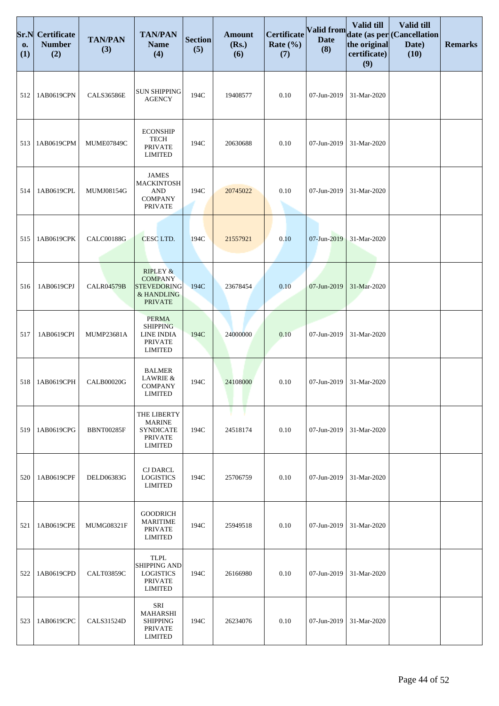| Sr.N<br>0.<br>(1) | <b>Certificate</b><br><b>Number</b><br>(2) | <b>TAN/PAN</b><br>(3) | <b>TAN/PAN</b><br><b>Name</b><br>(4)                                                        | <b>Section</b><br>(5) | <b>Amount</b><br>(Rs.)<br>(6) | <b>Certificate</b><br>Rate $(\% )$<br>(7) | <b>Valid from</b><br><b>Date</b><br>(8) | Valid till<br>the original<br>certificate)<br>(9) | Valid till<br>date (as per (Cancellation<br>Date)<br>(10) | <b>Remarks</b> |
|-------------------|--------------------------------------------|-----------------------|---------------------------------------------------------------------------------------------|-----------------------|-------------------------------|-------------------------------------------|-----------------------------------------|---------------------------------------------------|-----------------------------------------------------------|----------------|
| 512               | 1AB0619CPN                                 | <b>CALS36586E</b>     | <b>SUN SHIPPING</b><br><b>AGENCY</b>                                                        | 194C                  | 19408577                      | 0.10                                      | 07-Jun-2019                             | 31-Mar-2020                                       |                                                           |                |
| 513               | 1AB0619CPM                                 | MUME07849C            | <b>ECONSHIP</b><br><b>TECH</b><br><b>PRIVATE</b><br><b>LIMITED</b>                          | 194C                  | 20630688                      | 0.10                                      | 07-Jun-2019                             | 31-Mar-2020                                       |                                                           |                |
| 514               | 1AB0619CPL                                 | MUMJ08154G            | <b>JAMES</b><br><b>MACKINTOSH</b><br><b>AND</b><br><b>COMPANY</b><br><b>PRIVATE</b>         | 194C                  | 20745022                      | 0.10                                      | 07-Jun-2019                             | 31-Mar-2020                                       |                                                           |                |
| 515               | 1AB0619CPK                                 | <b>CALC00188G</b>     | CESC LTD.                                                                                   | 194C                  | 21557921                      | 0.10                                      | 07-Jun-2019                             | 31-Mar-2020                                       |                                                           |                |
| 516               | 1AB0619CPJ                                 | <b>CALR04579B</b>     | <b>RIPLEY &amp;</b><br><b>COMPANY</b><br><b>STEVEDORING</b><br>& HANDLING<br><b>PRIVATE</b> | 194C                  | 23678454                      | 0.10                                      | 07-Jun-2019                             | 31-Mar-2020                                       |                                                           |                |
| 517               | 1AB0619CPI                                 | MUMP23681A            | <b>PERMA</b><br><b>SHIPPING</b><br>LINE INDIA<br><b>PRIVATE</b><br><b>LIMITED</b>           | 194C                  | 24000000                      | 0.10                                      | 07-Jun-2019                             | 31-Mar-2020                                       |                                                           |                |
| 518               | 1AB0619CPH                                 | <b>CALB00020G</b>     | <b>BALMER</b><br>LAWRIE &<br><b>COMPANY</b><br>LIMITED                                      | 194C                  | 24108000                      | 0.10                                      | 07-Jun-2019                             | 31-Mar-2020                                       |                                                           |                |
| 519               | 1AB0619CPG                                 | <b>BBNT00285F</b>     | THE LIBERTY<br><b>MARINE</b><br><b>SYNDICATE</b><br><b>PRIVATE</b><br><b>LIMITED</b>        | 194C                  | 24518174                      | 0.10                                      | 07-Jun-2019                             | 31-Mar-2020                                       |                                                           |                |
| 520               | 1AB0619CPF                                 | DELD06383G            | <b>CJ DARCL</b><br><b>LOGISTICS</b><br><b>LIMITED</b>                                       | 194C                  | 25706759                      | 0.10                                      | 07-Jun-2019                             | 31-Mar-2020                                       |                                                           |                |
| 521               | 1AB0619CPE                                 | MUMG08321F            | <b>GOODRICH</b><br><b>MARITIME</b><br><b>PRIVATE</b><br><b>LIMITED</b>                      | 194C                  | 25949518                      | 0.10                                      | 07-Jun-2019                             | 31-Mar-2020                                       |                                                           |                |
| 522               | 1AB0619CPD                                 | <b>CALT03859C</b>     | <b>TLPL</b><br>SHIPPING AND<br><b>LOGISTICS</b><br><b>PRIVATE</b><br><b>LIMITED</b>         | 194C                  | 26166980                      | 0.10                                      | 07-Jun-2019                             | 31-Mar-2020                                       |                                                           |                |
| 523               | 1AB0619CPC                                 | CALS31524D            | SRI<br><b>MAHARSHI</b><br><b>SHIPPING</b><br><b>PRIVATE</b><br><b>LIMITED</b>               | 194C                  | 26234076                      | 0.10                                      | 07-Jun-2019                             | 31-Mar-2020                                       |                                                           |                |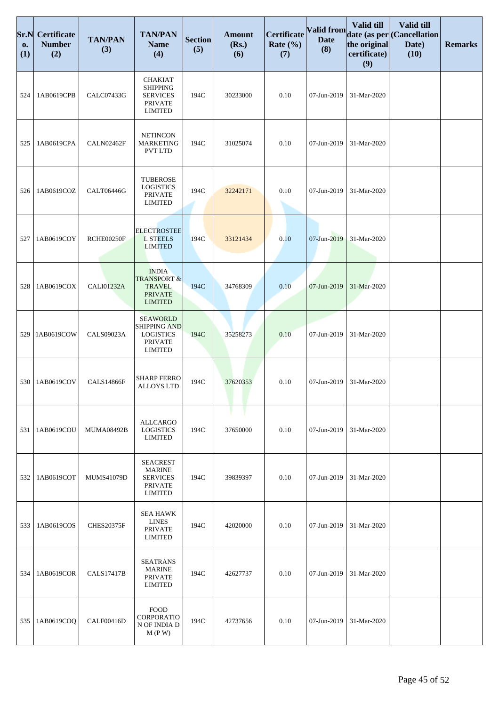| Sr.N<br>0.<br>(1) | <b>Certificate</b><br><b>Number</b><br>(2) | <b>TAN/PAN</b><br>(3) | <b>TAN/PAN</b><br><b>Name</b><br>(4)                                                           | <b>Section</b><br>(5) | <b>Amount</b><br>(Rs.)<br>(6) | <b>Certificate</b><br>Rate $(\% )$<br>(7) | Valid from<br><b>Date</b><br>(8) | Valid till<br>the original<br>certificate)<br>(9) | Valid till<br>date (as per (Cancellation<br>Date)<br>(10) | <b>Remarks</b> |
|-------------------|--------------------------------------------|-----------------------|------------------------------------------------------------------------------------------------|-----------------------|-------------------------------|-------------------------------------------|----------------------------------|---------------------------------------------------|-----------------------------------------------------------|----------------|
| 524               | 1AB0619CPB                                 | CALC07433G            | <b>CHAKIAT</b><br><b>SHIPPING</b><br><b>SERVICES</b><br><b>PRIVATE</b><br><b>LIMITED</b>       | 194C                  | 30233000                      | 0.10                                      | 07-Jun-2019                      | 31-Mar-2020                                       |                                                           |                |
| 525               | 1AB0619CPA                                 | CALN02462F            | <b>NETINCON</b><br><b>MARKETING</b><br><b>PVT LTD</b>                                          | 194C                  | 31025074                      | 0.10                                      | 07-Jun-2019                      | 31-Mar-2020                                       |                                                           |                |
| 526               | 1AB0619COZ                                 | <b>CALT06446G</b>     | <b>TUBEROSE</b><br><b>LOGISTICS</b><br><b>PRIVATE</b><br><b>LIMITED</b>                        | 194C                  | 32242171                      | 0.10                                      | 07-Jun-2019                      | 31-Mar-2020                                       |                                                           |                |
| 527               | 1AB0619COY                                 | RCHE00250F            | <b>ELECTROSTEE</b><br><b>L STEELS</b><br><b>LIMITED</b>                                        | 194C                  | 33121434                      | 0.10                                      | 07-Jun-2019                      | 31-Mar-2020                                       |                                                           |                |
| 528               | 1AB0619COX                                 | <b>CALI01232A</b>     | <b>INDIA</b><br><b>TRANSPORT &amp;</b><br><b>TRAVEL</b><br><b>PRIVATE</b><br><b>LIMITED</b>    | 194C                  | 34768309                      | 0.10                                      | 07-Jun-2019                      | 31-Mar-2020                                       |                                                           |                |
| 529               | 1AB0619COW                                 | <b>CALS09023A</b>     | <b>SEAWORLD</b><br><b>SHIPPING AND</b><br><b>LOGISTICS</b><br><b>PRIVATE</b><br><b>LIMITED</b> | 194C                  | 35258273                      | 0.10                                      | 07-Jun-2019                      | 31-Mar-2020                                       |                                                           |                |
| 530               | 1AB0619COV                                 | <b>CALS14866F</b>     | <b>SHARP FERRO</b><br><b>ALLOYS LTD</b>                                                        | 194C                  | 37620353                      | 0.10                                      | 07-Jun-2019                      | 31-Mar-2020                                       |                                                           |                |
| 531               | 1AB0619COU                                 | <b>MUMA08492B</b>     | <b>ALLCARGO</b><br><b>LOGISTICS</b><br><b>LIMITED</b>                                          | 194C                  | 37650000                      | 0.10                                      | 07-Jun-2019                      | 31-Mar-2020                                       |                                                           |                |
| 532               | 1AB0619COT                                 | <b>MUMS41079D</b>     | <b>SEACREST</b><br><b>MARINE</b><br><b>SERVICES</b><br><b>PRIVATE</b><br><b>LIMITED</b>        | 194C                  | 39839397                      | 0.10                                      | 07-Jun-2019                      | 31-Mar-2020                                       |                                                           |                |
| 533               | 1AB0619COS                                 | <b>CHES20375F</b>     | <b>SEA HAWK</b><br><b>LINES</b><br><b>PRIVATE</b><br><b>LIMITED</b>                            | 194C                  | 42020000                      | 0.10                                      | 07-Jun-2019                      | 31-Mar-2020                                       |                                                           |                |
| 534               | 1AB0619COR                                 | <b>CALS17417B</b>     | <b>SEATRANS</b><br><b>MARINE</b><br><b>PRIVATE</b><br><b>LIMITED</b>                           | 194C                  | 42627737                      | 0.10                                      | 07-Jun-2019                      | 31-Mar-2020                                       |                                                           |                |
| 535               | 1AB0619COQ                                 | CALF00416D            | <b>FOOD</b><br>CORPORATIO<br>N OF INDIA D<br>M(P W)                                            | 194C                  | 42737656                      | 0.10                                      | 07-Jun-2019                      | 31-Mar-2020                                       |                                                           |                |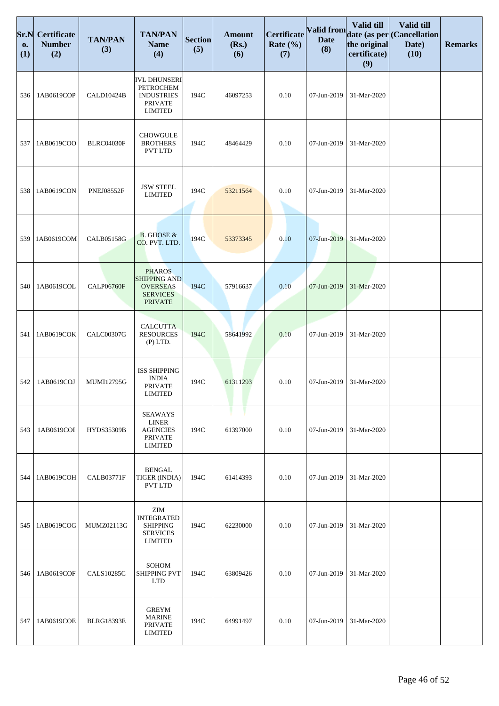| Sr.N<br>0.<br>(1) | <b>Certificate</b><br><b>Number</b><br>(2) | <b>TAN/PAN</b><br>(3) | <b>TAN/PAN</b><br><b>Name</b><br>(4)                                                         | <b>Section</b><br>(5) | <b>Amount</b><br>(Rs.)<br>(6) | <b>Certificate</b><br>Rate $(\% )$<br>(7) | Valid from<br><b>Date</b><br>(8) | Valid till<br>the original<br>certificate)<br>(9) | Valid till<br>date (as per (Cancellation<br>Date)<br>(10) | <b>Remarks</b> |
|-------------------|--------------------------------------------|-----------------------|----------------------------------------------------------------------------------------------|-----------------------|-------------------------------|-------------------------------------------|----------------------------------|---------------------------------------------------|-----------------------------------------------------------|----------------|
| 536               | 1AB0619COP                                 | CALD10424B            | <b>IVL DHUNSERI</b><br>PETROCHEM<br><b>INDUSTRIES</b><br><b>PRIVATE</b><br><b>LIMITED</b>    | 194C                  | 46097253                      | 0.10                                      | 07-Jun-2019                      | 31-Mar-2020                                       |                                                           |                |
| 537               | 1AB0619COO                                 | BLRC04030F            | <b>CHOWGULE</b><br><b>BROTHERS</b><br><b>PVT LTD</b>                                         | 194C                  | 48464429                      | 0.10                                      | 07-Jun-2019                      | 31-Mar-2020                                       |                                                           |                |
| 538               | 1AB0619CON                                 | <b>PNEJ08552F</b>     | <b>JSW STEEL</b><br><b>LIMITED</b>                                                           | 194C                  | 53211564                      | 0.10                                      | 07-Jun-2019                      | 31-Mar-2020                                       |                                                           |                |
| 539               | 1AB0619COM                                 | <b>CALB05158G</b>     | <b>B.</b> GHOSE &<br>CO. PVT. LTD.                                                           | 194C                  | 53373345                      | 0.10                                      | 07-Jun-2019                      | 31-Mar-2020                                       |                                                           |                |
| 540               | 1AB0619COL                                 | <b>CALP06760F</b>     | <b>PHAROS</b><br><b>SHIPPING AND</b><br><b>OVERSEAS</b><br><b>SERVICES</b><br><b>PRIVATE</b> | 194C                  | 57916637                      | 0.10                                      | 07-Jun-2019                      | 31-Mar-2020                                       |                                                           |                |
| 541               | 1AB0619COK                                 | <b>CALC00307G</b>     | <b>CALCUTTA</b><br><b>RESOURCES</b><br>$(P)$ LTD.                                            | 194C                  | 58641992                      | 0.10                                      | 07-Jun-2019                      | 31-Mar-2020                                       |                                                           |                |
| 542               | 1AB0619COJ                                 | MUMI12795G            | <b>ISS SHIPPING</b><br><b>INDIA</b><br><b>PRIVATE</b><br>LIMITED                             | 194C                  | 61311293                      | 0.10                                      | 07-Jun-2019                      | 31-Mar-2020                                       |                                                           |                |
| 543               | 1AB0619COI                                 | HYDS35309B            | <b>SEAWAYS</b><br><b>LINER</b><br><b>AGENCIES</b><br><b>PRIVATE</b><br><b>LIMITED</b>        | 194C                  | 61397000                      | 0.10                                      | 07-Jun-2019                      | 31-Mar-2020                                       |                                                           |                |
| 544               | 1AB0619COH                                 | <b>CALB03771F</b>     | <b>BENGAL</b><br>TIGER (INDIA)<br><b>PVT LTD</b>                                             | 194C                  | 61414393                      | 0.10                                      | 07-Jun-2019                      | 31-Mar-2020                                       |                                                           |                |
| 545               | 1AB0619COG                                 | MUMZ02113G            | ZIM<br><b>INTEGRATED</b><br><b>SHIPPING</b><br><b>SERVICES</b><br><b>LIMITED</b>             | 194C                  | 62230000                      | 0.10                                      | 07-Jun-2019                      | 31-Mar-2020                                       |                                                           |                |
| 546               | 1AB0619COF                                 | <b>CALS10285C</b>     | <b>SOHOM</b><br><b>SHIPPING PVT</b><br><b>LTD</b>                                            | 194C                  | 63809426                      | 0.10                                      | 07-Jun-2019                      | 31-Mar-2020                                       |                                                           |                |
| 547               | 1AB0619COE                                 | <b>BLRG18393E</b>     | <b>GREYM</b><br><b>MARINE</b><br><b>PRIVATE</b><br><b>LIMITED</b>                            | 194C                  | 64991497                      | 0.10                                      | 07-Jun-2019                      | 31-Mar-2020                                       |                                                           |                |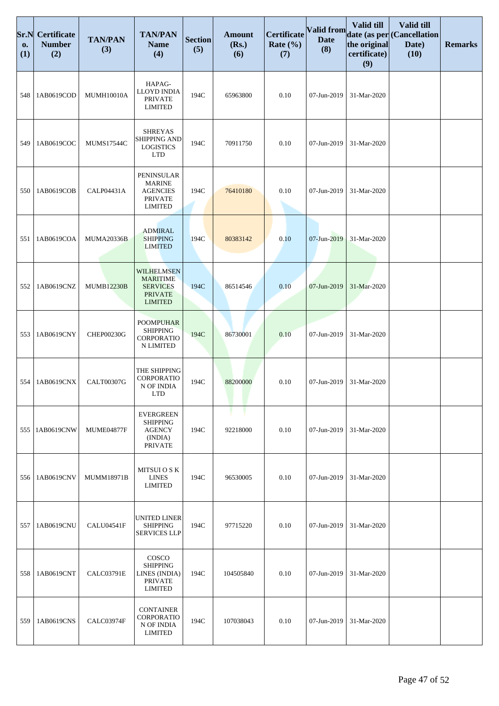| Sr.N<br>0.<br>(1) | <b>Certificate</b><br><b>Number</b><br>(2) | <b>TAN/PAN</b><br>(3) | <b>TAN/PAN</b><br><b>Name</b><br>(4)                                                        | <b>Section</b><br>(5) | <b>Amount</b><br>(Rs.)<br>(6) | Certificate<br>Rate $(\% )$<br>(7) | Valid from<br><b>Date</b><br>(8) | Valid till<br>the original<br>certificate)<br>(9) | Valid till<br>date (as per (Cancellation<br>Date)<br>(10) | <b>Remarks</b> |
|-------------------|--------------------------------------------|-----------------------|---------------------------------------------------------------------------------------------|-----------------------|-------------------------------|------------------------------------|----------------------------------|---------------------------------------------------|-----------------------------------------------------------|----------------|
| 548               | 1AB0619COD                                 | <b>MUMH10010A</b>     | HAPAG-<br>LLOYD INDIA<br><b>PRIVATE</b><br><b>LIMITED</b>                                   | 194C                  | 65963800                      | 0.10                               | 07-Jun-2019                      | 31-Mar-2020                                       |                                                           |                |
| 549               | 1AB0619COC                                 | <b>MUMS17544C</b>     | <b>SHREYAS</b><br><b>SHIPPING AND</b><br><b>LOGISTICS</b><br><b>LTD</b>                     | 194C                  | 70911750                      | 0.10                               | 07-Jun-2019                      | 31-Mar-2020                                       |                                                           |                |
| 550               | 1AB0619COB                                 | CALP04431A            | PENINSULAR<br><b>MARINE</b><br><b>AGENCIES</b><br><b>PRIVATE</b><br><b>LIMITED</b>          | 194C                  | 76410180                      | 0.10                               | 07-Jun-2019                      | 31-Mar-2020                                       |                                                           |                |
| 551               | 1AB0619COA                                 | <b>MUMA20336B</b>     | <b>ADMIRAL</b><br><b>SHIPPING</b><br><b>LIMITED</b>                                         | 194C                  | 80383142                      | 0.10                               | 07-Jun-2019                      | 31-Mar-2020                                       |                                                           |                |
| 552               | 1AB0619CNZ                                 | <b>MUMB12230B</b>     | <b>WILHELMSEN</b><br><b>MARITIME</b><br><b>SERVICES</b><br><b>PRIVATE</b><br><b>LIMITED</b> | 194C                  | 86514546                      | 0.10                               | 07-Jun-2019                      | 31-Mar-2020                                       |                                                           |                |
| 553               | 1AB0619CNY                                 | CHEP00230G            | <b>POOMPUHAR</b><br><b>SHIPPING</b><br>CORPORATIO<br>N LIMITED                              | 194C                  | 86730001                      | 0.10                               | 07-Jun-2019                      | 31-Mar-2020                                       |                                                           |                |
| 554               | 1AB0619CNX                                 | <b>CALT00307G</b>     | THE SHIPPING<br>CORPORATIO<br>N OF INDIA<br><b>LTD</b>                                      | 194C                  | 88200000                      | 0.10                               | 07-Jun-2019                      | 31-Mar-2020                                       |                                                           |                |
| 555               | 1AB0619CNW                                 | MUME04877F            | <b>EVERGREEN</b><br><b>SHIPPING</b><br><b>AGENCY</b><br>(INDIA)<br><b>PRIVATE</b>           | 194C                  | 92218000                      | 0.10                               | 07-Jun-2019                      | 31-Mar-2020                                       |                                                           |                |
| 556               | 1AB0619CNV                                 | <b>MUMM18971B</b>     | MITSUI O S K<br><b>LINES</b><br><b>LIMITED</b>                                              | 194C                  | 96530005                      | 0.10                               | 07-Jun-2019                      | 31-Mar-2020                                       |                                                           |                |
| 557               | 1AB0619CNU                                 | CALU04541F            | <b>UNITED LINER</b><br><b>SHIPPING</b><br><b>SERVICES LLP</b>                               | 194C                  | 97715220                      | 0.10                               | 07-Jun-2019                      | 31-Mar-2020                                       |                                                           |                |
| 558               | 1AB0619CNT                                 | <b>CALC03791E</b>     | COSCO<br><b>SHIPPING</b><br>LINES (INDIA)<br><b>PRIVATE</b><br><b>LIMITED</b>               | 194C                  | 104505840                     | 0.10                               | 07-Jun-2019                      | 31-Mar-2020                                       |                                                           |                |
| 559               | 1AB0619CNS                                 | CALC03974F            | <b>CONTAINER</b><br>CORPORATIO<br>N OF INDIA<br><b>LIMITED</b>                              | 194C                  | 107038043                     | 0.10                               | 07-Jun-2019                      | 31-Mar-2020                                       |                                                           |                |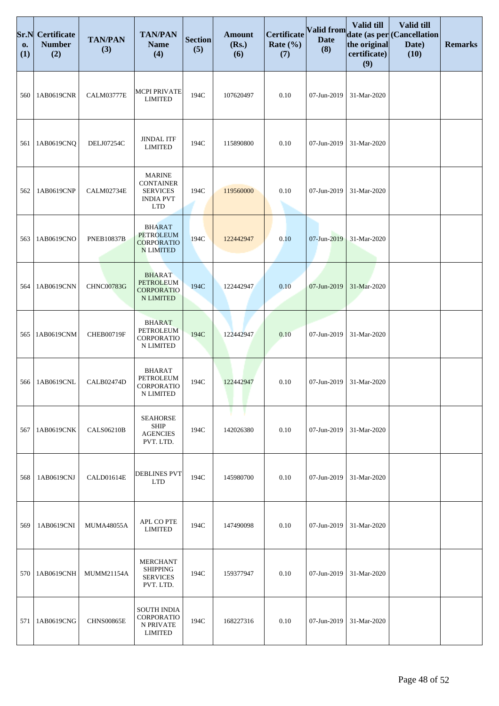| Sr.N<br>0.<br>(1) | <b>Certificate</b><br><b>Number</b><br>(2) | <b>TAN/PAN</b><br>(3) | <b>TAN/PAN</b><br><b>Name</b><br>(4)                                                   | <b>Section</b><br>(5) | <b>Amount</b><br>(Rs.)<br>(6) | <b>Certificate</b><br>Rate $(\% )$<br>(7) | Valid from<br><b>Date</b><br>(8) | Valid till<br>the original<br>certificate)<br>(9) | Valid till<br>date (as per (Cancellation<br>Date)<br>(10) | <b>Remarks</b> |
|-------------------|--------------------------------------------|-----------------------|----------------------------------------------------------------------------------------|-----------------------|-------------------------------|-------------------------------------------|----------------------------------|---------------------------------------------------|-----------------------------------------------------------|----------------|
| 560               | 1AB0619CNR                                 | <b>CALM03777E</b>     | <b>MCPI PRIVATE</b><br><b>LIMITED</b>                                                  | 194C                  | 107620497                     | 0.10                                      | 07-Jun-2019                      | 31-Mar-2020                                       |                                                           |                |
| 561               | 1AB0619CNQ                                 | DELJ07254C            | <b>JINDAL ITF</b><br><b>LIMITED</b>                                                    | 194C                  | 115890800                     | 0.10                                      | 07-Jun-2019                      | 31-Mar-2020                                       |                                                           |                |
| 562               | 1AB0619CNP                                 | CALM02734E            | <b>MARINE</b><br><b>CONTAINER</b><br><b>SERVICES</b><br><b>INDIA PVT</b><br><b>LTD</b> | 194C                  | 119560000                     | 0.10                                      | 07-Jun-2019                      | 31-Mar-2020                                       |                                                           |                |
| 563               | 1AB0619CNO                                 | <b>PNEB10837B</b>     | <b>BHARAT</b><br><b>PETROLEUM</b><br><b>CORPORATIO</b><br><b>N LIMITED</b>             | 194C                  | 122442947                     | 0.10                                      | 07-Jun-2019                      | 31-Mar-2020                                       |                                                           |                |
| 564               | 1AB0619CNN                                 | <b>CHNC00783G</b>     | <b>BHARAT</b><br><b>PETROLEUM</b><br><b>CORPORATIO</b><br><b>N LIMITED</b>             | 194C                  | 122442947                     | 0.10                                      | 07-Jun-2019                      | 31-Mar-2020                                       |                                                           |                |
| 565               | 1AB0619CNM                                 | <b>CHEB00719F</b>     | <b>BHARAT</b><br><b>PETROLEUM</b><br>CORPORATIO<br>N LIMITED                           | 194C                  | 122442947                     | 0.10                                      | 07-Jun-2019                      | 31-Mar-2020                                       |                                                           |                |
| 566               | 1AB0619CNL                                 | CALB02474D            | <b>BHARAT</b><br>PETROLEUM<br>CORPORATIO<br><b>N LIMITED</b>                           | 194C                  | 122442947                     | 0.10                                      | 07-Jun-2019                      | 31-Mar-2020                                       |                                                           |                |
| 567               | 1AB0619CNK                                 | <b>CALS06210B</b>     | <b>SEAHORSE</b><br><b>SHIP</b><br><b>AGENCIES</b><br>PVT. LTD.                         | 194C                  | 142026380                     | 0.10                                      | 07-Jun-2019                      | 31-Mar-2020                                       |                                                           |                |
| 568               | 1AB0619CNJ                                 | <b>CALD01614E</b>     | <b>DEBLINES PVT</b><br><b>LTD</b>                                                      | 194C                  | 145980700                     | 0.10                                      | 07-Jun-2019                      | 31-Mar-2020                                       |                                                           |                |
| 569               | 1AB0619CNI                                 | <b>MUMA48055A</b>     | APL CO PTE<br><b>LIMITED</b>                                                           | 194C                  | 147490098                     | 0.10                                      | 07-Jun-2019                      | 31-Mar-2020                                       |                                                           |                |
| 570               | 1AB0619CNH                                 | <b>MUMM21154A</b>     | <b>MERCHANT</b><br><b>SHIPPING</b><br><b>SERVICES</b><br>PVT. LTD.                     | 194C                  | 159377947                     | 0.10                                      | 07-Jun-2019                      | 31-Mar-2020                                       |                                                           |                |
| 571               | 1AB0619CNG                                 | <b>CHNS00865E</b>     | <b>SOUTH INDIA</b><br>CORPORATIO<br>N PRIVATE<br><b>LIMITED</b>                        | 194C                  | 168227316                     | 0.10                                      | 07-Jun-2019                      | 31-Mar-2020                                       |                                                           |                |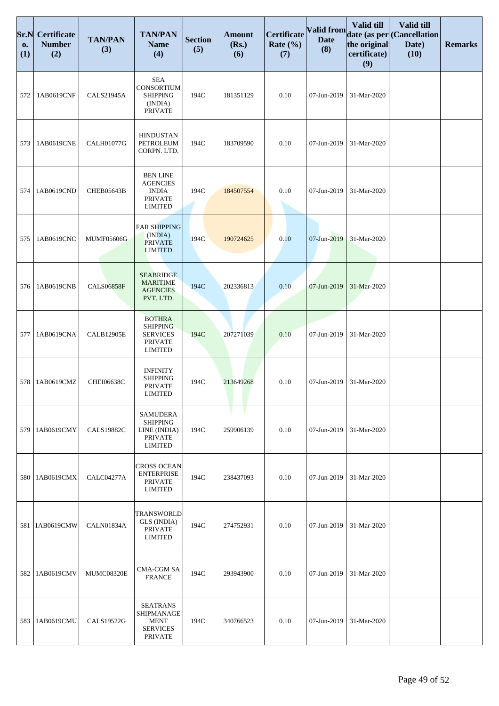| Sr.N<br>0.<br>(1) | <b>Certificate</b><br><b>Number</b><br>(2) | <b>TAN/PAN</b><br>(3) | <b>TAN/PAN</b><br><b>Name</b><br>(4)                                                    | <b>Section</b><br>(5) | <b>Amount</b><br>(Rs.)<br>(6) | Certificate<br>Rate $(\% )$<br>(7) | Valid from<br><b>Date</b><br>(8) | Valid till<br>the original<br>certificate)<br>(9) | Valid till<br>date (as per (Cancellation<br>Date)<br>(10) | <b>Remarks</b> |
|-------------------|--------------------------------------------|-----------------------|-----------------------------------------------------------------------------------------|-----------------------|-------------------------------|------------------------------------|----------------------------------|---------------------------------------------------|-----------------------------------------------------------|----------------|
| 572               | 1AB0619CNF                                 | <b>CALS21945A</b>     | <b>SEA</b><br>CONSORTIUM<br><b>SHIPPING</b><br>(INDIA)<br><b>PRIVATE</b>                | 194C                  | 181351129                     | 0.10                               | 07-Jun-2019                      | 31-Mar-2020                                       |                                                           |                |
| 573               | 1AB0619CNE                                 | <b>CALH01077G</b>     | <b>HINDUSTAN</b><br>PETROLEUM<br>CORPN. LTD.                                            | 194C                  | 183709590                     | 0.10                               | 07-Jun-2019                      | 31-Mar-2020                                       |                                                           |                |
| 574               | 1AB0619CND                                 | <b>CHEB05643B</b>     | <b>BEN LINE</b><br><b>AGENCIES</b><br><b>INDIA</b><br><b>PRIVATE</b><br><b>LIMITED</b>  | 194C                  | 184507554                     | 0.10                               | 07-Jun-2019                      | 31-Mar-2020                                       |                                                           |                |
| 575               | 1AB0619CNC                                 | <b>MUMF05606G</b>     | <b>FAR SHIPPING</b><br>(INDIA)<br><b>PRIVATE</b><br><b>LIMITED</b>                      | 194C                  | 190724625                     | 0.10                               | 07-Jun-2019                      | 31-Mar-2020                                       |                                                           |                |
| 576               | 1AB0619CNB                                 | <b>CALS06858F</b>     | <b>SEABRIDGE</b><br><b>MARITIME</b><br><b>AGENCIES</b><br>PVT. LTD.                     | 194C                  | 202336813                     | 0.10                               | 07-Jun-2019                      | 31-Mar-2020                                       |                                                           |                |
| 577               | 1AB0619CNA                                 | <b>CALB12905E</b>     | <b>BOTHRA</b><br><b>SHIPPING</b><br><b>SERVICES</b><br><b>PRIVATE</b><br><b>LIMITED</b> | 194C                  | 207271039                     | 0.10                               | 07-Jun-2019                      | 31-Mar-2020                                       |                                                           |                |
| 578               | 1AB0619CMZ                                 | <b>CHEI06638C</b>     | <b>INFINITY</b><br><b>SHIPPING</b><br><b>PRIVATE</b><br><b>LIMITED</b>                  | 194C                  | 213649268                     | 0.10                               | 07-Jun-2019                      | 31-Mar-2020                                       |                                                           |                |
| 579               | 1AB0619CMY                                 | <b>CALS19882C</b>     | <b>SAMUDERA</b><br><b>SHIPPING</b><br>LINE (INDIA)<br><b>PRIVATE</b><br><b>LIMITED</b>  | 194C                  | 259906139                     | 0.10                               | 07-Jun-2019                      | 31-Mar-2020                                       |                                                           |                |
| 580               | 1AB0619CMX                                 | CALC04277A            | <b>CROSS OCEAN</b><br><b>ENTERPRISE</b><br><b>PRIVATE</b><br><b>LIMITED</b>             | 194C                  | 238437093                     | 0.10                               | 07-Jun-2019                      | 31-Mar-2020                                       |                                                           |                |
| 581               | 1AB0619CMW                                 | CALN01834A            | <b>TRANSWORLD</b><br>GLS (INDIA)<br><b>PRIVATE</b><br><b>LIMITED</b>                    | 194C                  | 274752931                     | 0.10                               | 07-Jun-2019                      | 31-Mar-2020                                       |                                                           |                |
| 582               | 1AB0619CMV                                 | <b>MUMC08320E</b>     | <b>CMA-CGM SA</b><br><b>FRANCE</b>                                                      | 194C                  | 293943900                     | 0.10                               | 07-Jun-2019                      | 31-Mar-2020                                       |                                                           |                |
| 583               | 1AB0619CMU                                 | CALS19522G            | <b>SEATRANS</b><br>SHIPMANAGE<br><b>MENT</b><br><b>SERVICES</b><br><b>PRIVATE</b>       | 194C                  | 340766523                     | 0.10                               | 07-Jun-2019                      | 31-Mar-2020                                       |                                                           |                |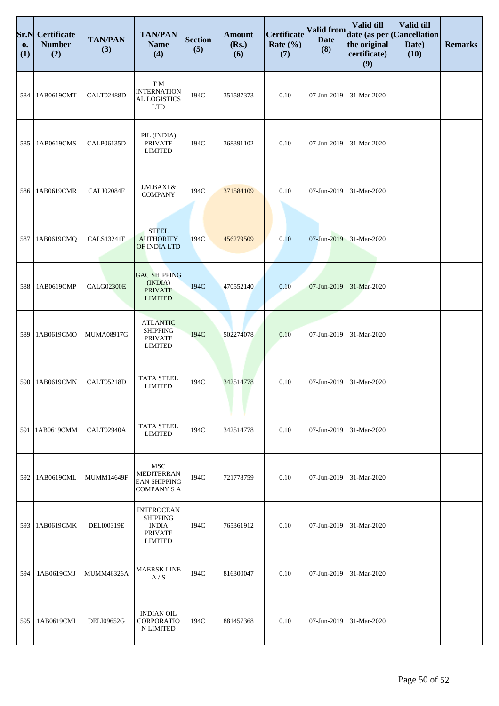| Sr.N<br>0.<br>(1) | <b>Certificate</b><br><b>Number</b><br>(2) | <b>TAN/PAN</b><br>(3) | <b>TAN/PAN</b><br><b>Name</b><br>(4)                                                     | <b>Section</b><br>(5) | <b>Amount</b><br>(Rs.)<br>(6) | <b>Certificate</b><br>Rate $(\% )$<br>(7) | Valid from<br><b>Date</b><br>(8) | Valid till<br>the original<br>certificate)<br>(9) | Valid till<br>date (as per (Cancellation<br>Date)<br>(10) | <b>Remarks</b> |
|-------------------|--------------------------------------------|-----------------------|------------------------------------------------------------------------------------------|-----------------------|-------------------------------|-------------------------------------------|----------------------------------|---------------------------------------------------|-----------------------------------------------------------|----------------|
| 584               | 1AB0619CMT                                 | CALT02488D            | T M<br><b>INTERNATION</b><br>AL LOGISTICS<br><b>LTD</b>                                  | 194C                  | 351587373                     | 0.10                                      | 07-Jun-2019                      | 31-Mar-2020                                       |                                                           |                |
| 585               | 1AB0619CMS                                 | CALP06135D            | PIL (INDIA)<br><b>PRIVATE</b><br><b>LIMITED</b>                                          | 194C                  | 368391102                     | 0.10                                      | 07-Jun-2019                      | 31-Mar-2020                                       |                                                           |                |
| 586               | 1AB0619CMR                                 | CALJ02084F            | J.M.BAXI &<br><b>COMPANY</b>                                                             | 194C                  | 371584109                     | 0.10                                      | 07-Jun-2019                      | 31-Mar-2020                                       |                                                           |                |
| 587               | 1AB0619CMQ                                 | <b>CALS13241E</b>     | <b>STEEL</b><br><b>AUTHORITY</b><br>OF INDIA LTD                                         | 194C                  | 456279509                     | 0.10                                      | 07-Jun-2019                      | 31-Mar-2020                                       |                                                           |                |
| 588               | 1AB0619CMP                                 | <b>CALG02300E</b>     | <b>GAC SHIPPING</b><br>(INDIA)<br><b>PRIVATE</b><br><b>LIMITED</b>                       | 194C                  | 470552140                     | 0.10                                      | 07-Jun-2019                      | 31-Mar-2020                                       |                                                           |                |
| 589               | 1AB0619CMO                                 | MUMA08917G            | <b>ATLANTIC</b><br><b>SHIPPING</b><br><b>PRIVATE</b><br><b>LIMITED</b>                   | 194C                  | 502274078                     | 0.10                                      | 07-Jun-2019                      | 31-Mar-2020                                       |                                                           |                |
| 590               | 1AB0619CMN                                 | <b>CALT05218D</b>     | <b>TATA STEEL</b><br><b>LIMITED</b>                                                      | 194C                  | 342514778                     | 0.10                                      | 07-Jun-2019                      | 31-Mar-2020                                       |                                                           |                |
| 591               | 1AB0619CMM                                 | CALT02940A            | <b>TATA STEEL</b><br>LIMITED                                                             | 194C                  | 342514778                     | 0.10                                      | 07-Jun-2019                      | 31-Mar-2020                                       |                                                           |                |
| 592               | 1AB0619CML                                 | <b>MUMM14649F</b>     | <b>MSC</b><br><b>MEDITERRAN</b><br><b>EAN SHIPPING</b><br><b>COMPANY S A</b>             | 194C                  | 721778759                     | 0.10                                      | 07-Jun-2019                      | 31-Mar-2020                                       |                                                           |                |
| 593               | 1AB0619CMK                                 | DELI00319E            | <b>INTEROCEAN</b><br><b>SHIPPING</b><br><b>INDIA</b><br><b>PRIVATE</b><br><b>LIMITED</b> | 194C                  | 765361912                     | 0.10                                      | 07-Jun-2019                      | 31-Mar-2020                                       |                                                           |                |
| 594               | 1AB0619CMJ                                 | <b>MUMM46326A</b>     | <b>MAERSK LINE</b><br>A/S                                                                | 194C                  | 816300047                     | 0.10                                      | 07-Jun-2019                      | 31-Mar-2020                                       |                                                           |                |
| 595               | 1AB0619CMI                                 | DELI09652G            | <b>INDIAN OIL</b><br>CORPORATIO<br>N LIMITED                                             | 194C                  | 881457368                     | 0.10                                      | 07-Jun-2019                      | 31-Mar-2020                                       |                                                           |                |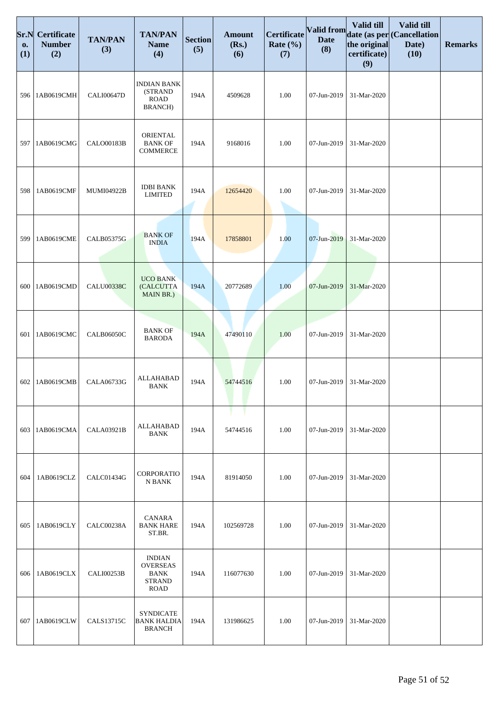| Sr.N<br>0.<br>(1) | Certificate<br><b>Number</b><br>(2) | <b>TAN/PAN</b><br>(3) | <b>TAN/PAN</b><br><b>Name</b><br>(4)                                     | <b>Section</b><br>(5) | <b>Amount</b><br>(Rs.)<br>(6) | Certificate<br>Rate $(\% )$<br>(7) | Valid from<br><b>Date</b><br>(8) | Valid till<br>the original<br>certificate)<br>(9) | Valid till<br>date (as per (Cancellation<br>Date)<br>(10) | <b>Remarks</b> |
|-------------------|-------------------------------------|-----------------------|--------------------------------------------------------------------------|-----------------------|-------------------------------|------------------------------------|----------------------------------|---------------------------------------------------|-----------------------------------------------------------|----------------|
| 596               | 1AB0619CMH                          | <b>CALI00647D</b>     | <b>INDIAN BANK</b><br>(STRAND<br><b>ROAD</b><br><b>BRANCH</b> )          | 194A                  | 4509628                       | 1.00                               | 07-Jun-2019                      | 31-Mar-2020                                       |                                                           |                |
| 597               | 1AB0619CMG                          | <b>CALO00183B</b>     | ORIENTAL<br><b>BANK OF</b><br><b>COMMERCE</b>                            | 194A                  | 9168016                       | 1.00                               | 07-Jun-2019                      | 31-Mar-2020                                       |                                                           |                |
| 598               | 1AB0619CMF                          | MUMI04922B            | <b>IDBI BANK</b><br><b>LIMITED</b>                                       | 194A                  | 12654420                      | 1.00                               | 07-Jun-2019                      | 31-Mar-2020                                       |                                                           |                |
| 599               | 1AB0619CME                          | <b>CALB05375G</b>     | <b>BANK OF</b><br><b>INDIA</b>                                           | 194A                  | 17858801                      | 1.00                               | 07-Jun-2019                      | 31-Mar-2020                                       |                                                           |                |
| 600               | 1AB0619CMD                          | <b>CALU00338C</b>     | <b>UCO BANK</b><br>(CALCUTTA<br>MAIN BR.)                                | 194A                  | 20772689                      | 1.00                               | 07-Jun-2019                      | 31-Mar-2020                                       |                                                           |                |
| 601               | 1AB0619CMC                          | <b>CALB06050C</b>     | <b>BANK OF</b><br><b>BARODA</b>                                          | 194A                  | 47490110                      | 1.00                               | 07-Jun-2019                      | 31-Mar-2020                                       |                                                           |                |
| 602               | 1AB0619CMB                          | CALA06733G            | <b>ALLAHABAD</b><br><b>BANK</b>                                          | 194A                  | 54744516                      | 1.00                               | 07-Jun-2019                      | 31-Mar-2020                                       |                                                           |                |
| 603               | 1AB0619CMA                          | <b>CALA03921B</b>     | ALLAHABAD<br>BANK                                                        | 194A                  | 54744516                      | 1.00                               | 07-Jun-2019                      | 31-Mar-2020                                       |                                                           |                |
| 604               | 1AB0619CLZ                          | <b>CALC01434G</b>     | <b>CORPORATIO</b><br>N BANK                                              | 194A                  | 81914050                      | 1.00                               | 07-Jun-2019                      | 31-Mar-2020                                       |                                                           |                |
| 605               | 1AB0619CLY                          | CALC00238A            | CANARA<br><b>BANK HARE</b><br>ST.BR.                                     | 194A                  | 102569728                     | 1.00                               | 07-Jun-2019                      | 31-Mar-2020                                       |                                                           |                |
| 606               | 1AB0619CLX                          | CALI00253B            | <b>INDIAN</b><br><b>OVERSEAS</b><br>BANK<br><b>STRAND</b><br><b>ROAD</b> | 194A                  | 116077630                     | 1.00                               | 07-Jun-2019                      | 31-Mar-2020                                       |                                                           |                |
| 607               | 1AB0619CLW                          | CALS13715C            | <b>SYNDICATE</b><br><b>BANK HALDIA</b><br><b>BRANCH</b>                  | 194A                  | 131986625                     | 1.00                               | 07-Jun-2019                      | 31-Mar-2020                                       |                                                           |                |